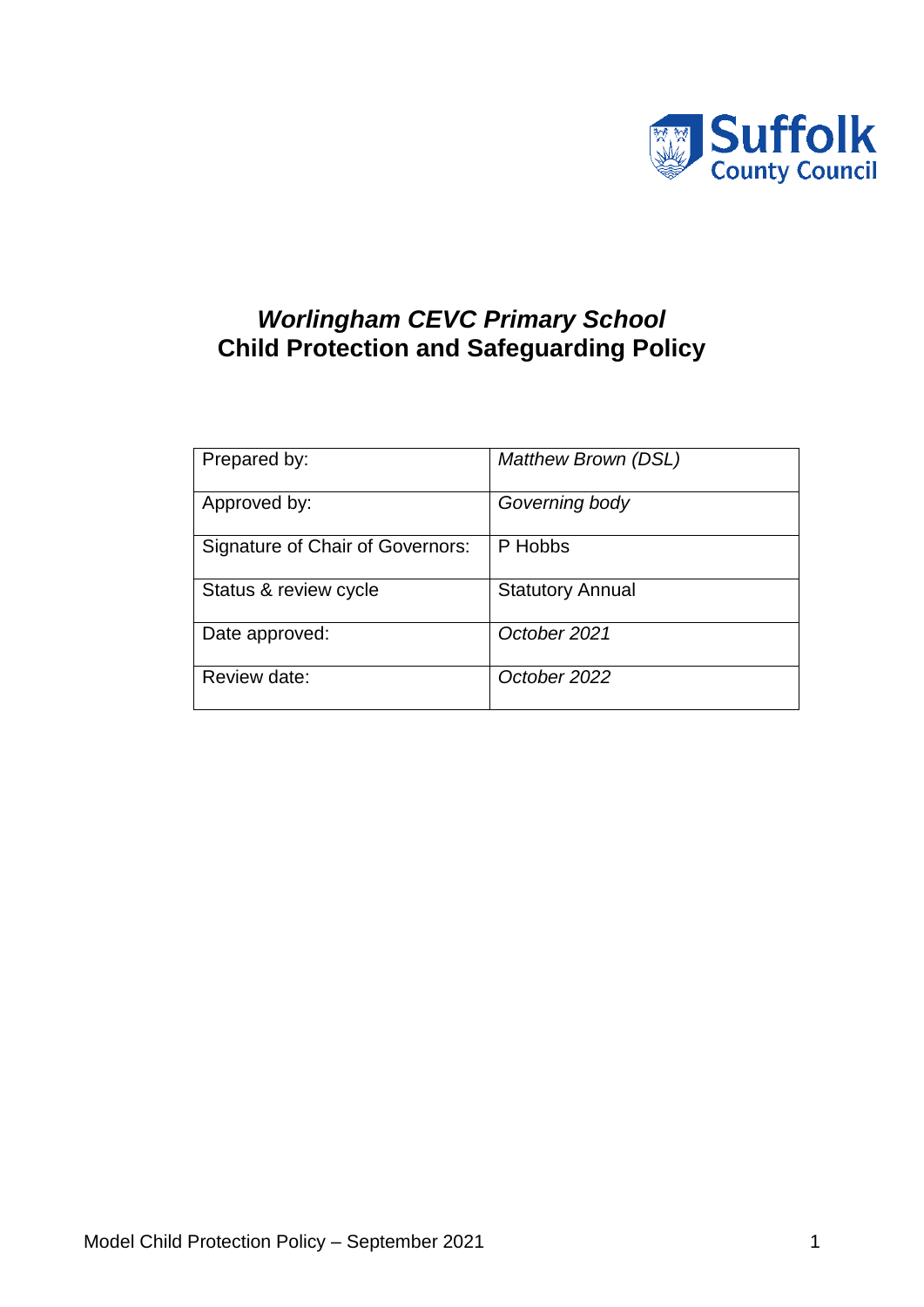

# *Worlingham CEVC Primary School* **Child Protection and Safeguarding Policy**

| Prepared by:                     | <b>Matthew Brown (DSL)</b> |
|----------------------------------|----------------------------|
| Approved by:                     | Governing body             |
| Signature of Chair of Governors: | P Hobbs                    |
| Status & review cycle            | <b>Statutory Annual</b>    |
| Date approved:                   | October 2021               |
| Review date:                     | October 2022               |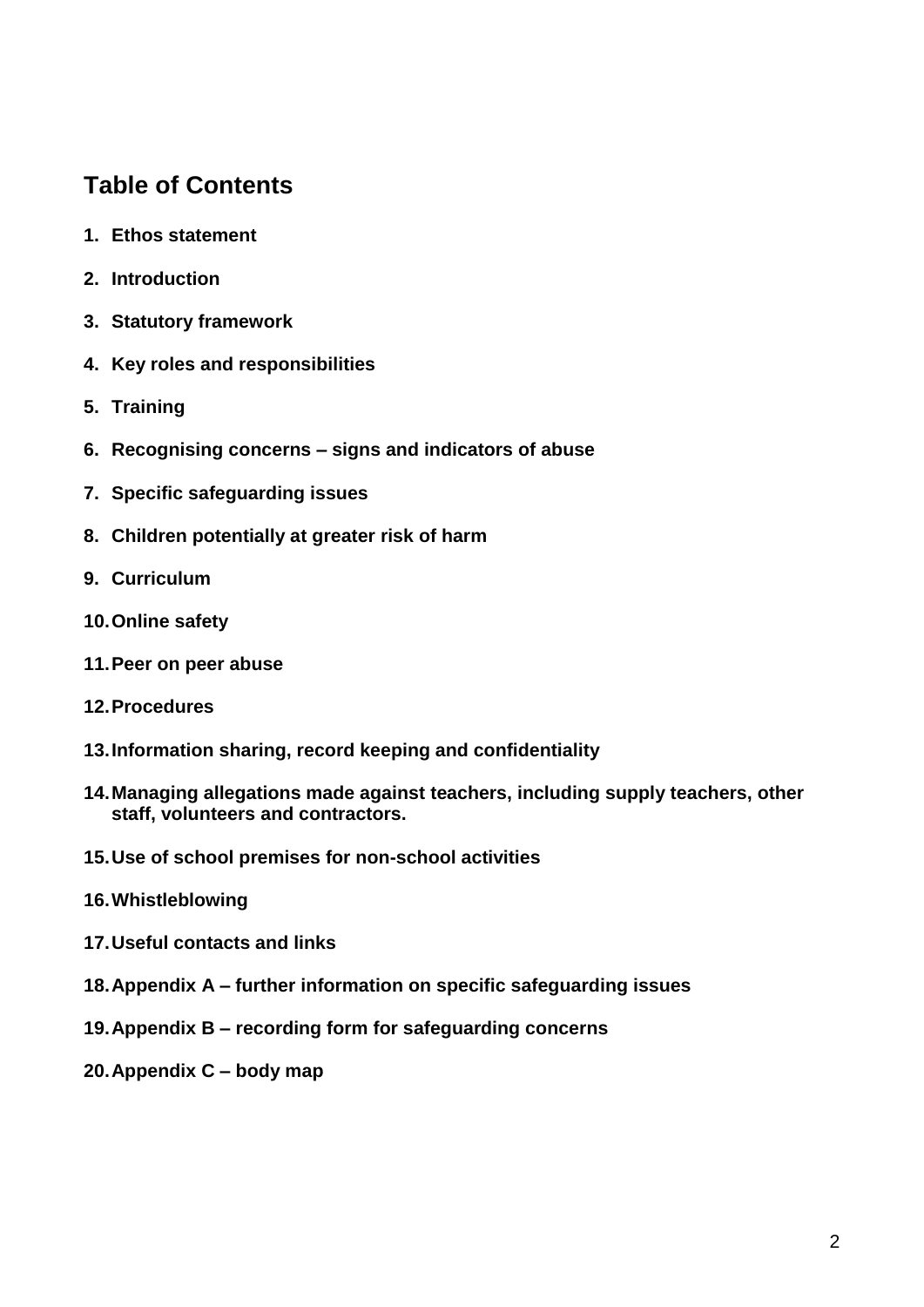# **Table of Contents**

- **1. Ethos statement**
- **2. Introduction**
- **3. Statutory framework**
- **4. Key roles and responsibilities**
- **5. Training**
- **6. Recognising concerns – signs and indicators of abuse**
- **7. Specific safeguarding issues**
- **8. Children potentially at greater risk of harm**
- **9. Curriculum**
- **10.Online safety**
- **11.Peer on peer abuse**
- **12.Procedures**
- **13.Information sharing, record keeping and confidentiality**
- **14.Managing allegations made against teachers, including supply teachers, other staff, volunteers and contractors.**
- **15.Use of school premises for non-school activities**
- **16.Whistleblowing**
- **17.Useful contacts and links**
- **18.Appendix A – further information on specific safeguarding issues**
- **19.Appendix B – recording form for safeguarding concerns**
- **20.Appendix C – body map**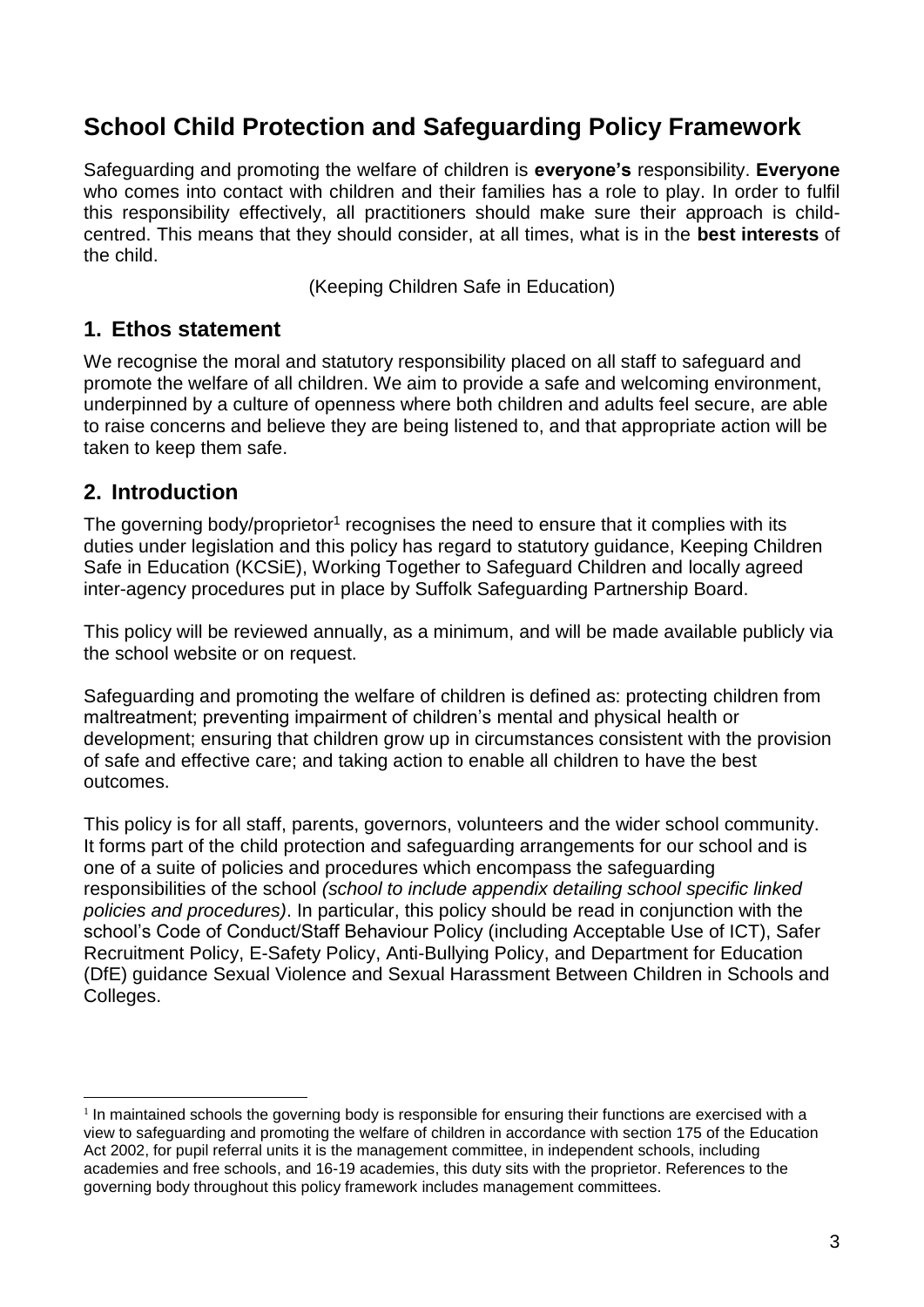# **School Child Protection and Safeguarding Policy Framework**

Safeguarding and promoting the welfare of children is **everyone's** responsibility. **Everyone** who comes into contact with children and their families has a role to play. In order to fulfil this responsibility effectively, all practitioners should make sure their approach is childcentred. This means that they should consider, at all times, what is in the **best interests** of the child.

(Keeping Children Safe in Education)

### **1. Ethos statement**

We recognise the moral and statutory responsibility placed on all staff to safeguard and promote the welfare of all children. We aim to provide a safe and welcoming environment, underpinned by a culture of openness where both children and adults feel secure, are able to raise concerns and believe they are being listened to, and that appropriate action will be taken to keep them safe.

## **2. Introduction**

1

The governing body/proprietor<sup>1</sup> recognises the need to ensure that it complies with its duties under legislation and this policy has regard to statutory guidance, Keeping Children Safe in Education (KCSiE), Working Together to Safeguard Children and locally agreed inter-agency procedures put in place by Suffolk Safeguarding Partnership Board.

This policy will be reviewed annually, as a minimum, and will be made available publicly via the school website or on request.

Safeguarding and promoting the welfare of children is defined as: protecting children from maltreatment; preventing impairment of children's mental and physical health or development; ensuring that children grow up in circumstances consistent with the provision of safe and effective care; and taking action to enable all children to have the best outcomes.

This policy is for all staff, parents, governors, volunteers and the wider school community. It forms part of the child protection and safeguarding arrangements for our school and is one of a suite of policies and procedures which encompass the safeguarding responsibilities of the school *(school to include appendix detailing school specific linked policies and procedures)*. In particular, this policy should be read in conjunction with the school's Code of Conduct/Staff Behaviour Policy (including Acceptable Use of ICT), Safer Recruitment Policy, E-Safety Policy, Anti-Bullying Policy, and Department for Education (DfE) guidance Sexual Violence and Sexual Harassment Between Children in Schools and Colleges.

<sup>&</sup>lt;sup>1</sup> In maintained schools the governing body is responsible for ensuring their functions are exercised with a view to safeguarding and promoting the welfare of children in accordance with section 175 of the Education Act 2002, for pupil referral units it is the management committee, in independent schools, including academies and free schools, and 16-19 academies, this duty sits with the proprietor. References to the governing body throughout this policy framework includes management committees.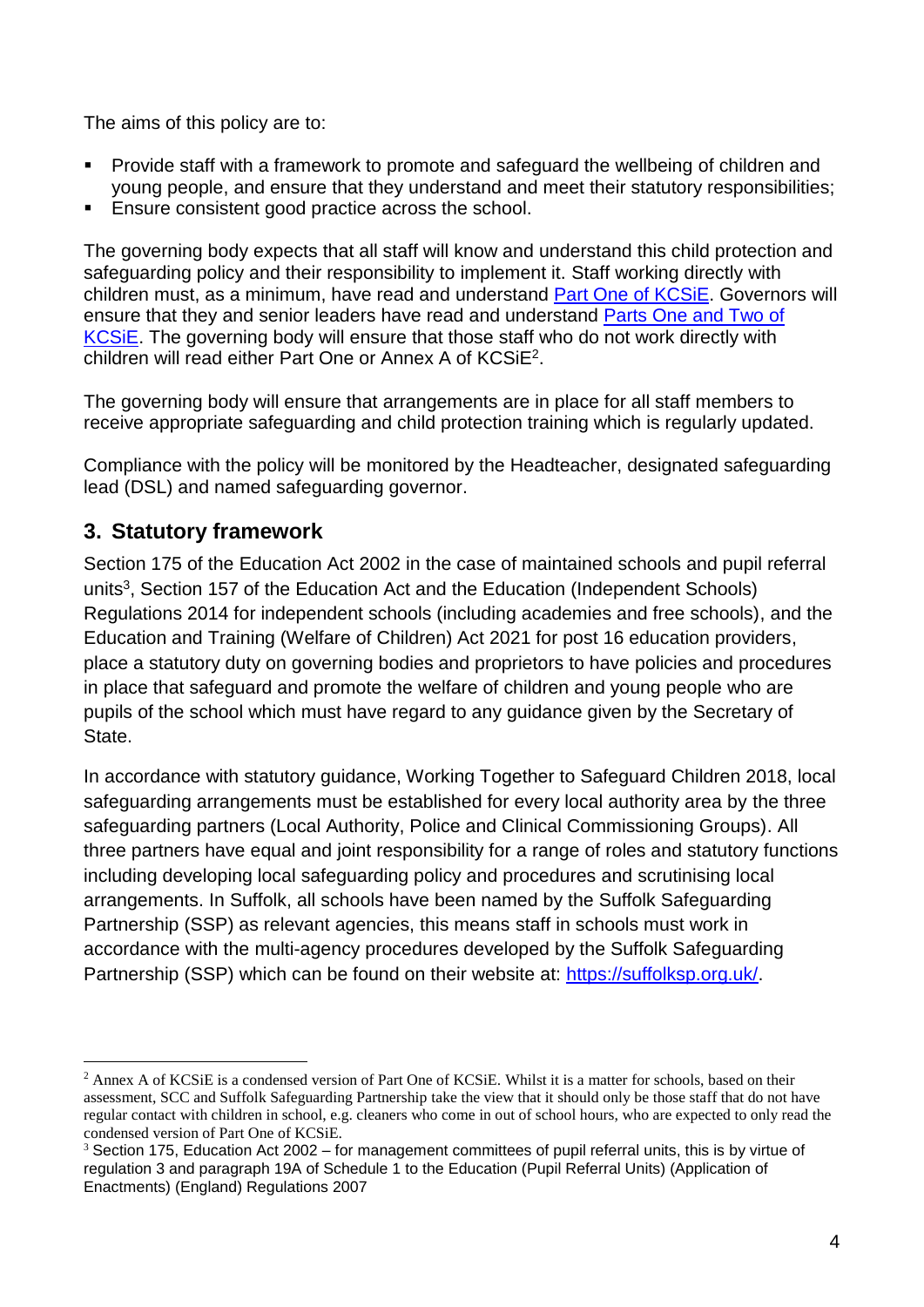The aims of this policy are to:

- Provide staff with a framework to promote and safeguard the wellbeing of children and young people, and ensure that they understand and meet their statutory responsibilities;
- Ensure consistent good practice across the school.

The governing body expects that all staff will know and understand this child protection and safeguarding policy and their responsibility to implement it. Staff working directly with children must, as a minimum, have read and understand **Part One of KCSIE**. Governors will ensure that they and senior leaders have read and understand [Parts One and Two of](https://www.gov.uk/government/publications/keeping-children-safe-in-education--2)  [KCSiE.](https://www.gov.uk/government/publications/keeping-children-safe-in-education--2) The governing body will ensure that those staff who do not work directly with children will read either Part One or Annex A of KCSiE<sup>2</sup>.

The governing body will ensure that arrangements are in place for all staff members to receive appropriate safeguarding and child protection training which is regularly updated.

Compliance with the policy will be monitored by the Headteacher, designated safeguarding lead (DSL) and named safeguarding governor.

## **3. Statutory framework**

1

Section 175 of the Education Act 2002 in the case of maintained schools and pupil referral units<sup>3</sup>, Section 157 of the Education Act and the Education (Independent Schools) Regulations 2014 for independent schools (including academies and free schools), and the Education and Training (Welfare of Children) Act 2021 for post 16 education providers, place a statutory duty on governing bodies and proprietors to have policies and procedures in place that safeguard and promote the welfare of children and young people who are pupils of the school which must have regard to any guidance given by the Secretary of State.

In accordance with statutory guidance, Working Together to Safeguard Children 2018, local safeguarding arrangements must be established for every local authority area by the three safeguarding partners (Local Authority, Police and Clinical Commissioning Groups). All three partners have equal and joint responsibility for a range of roles and statutory functions including developing local safeguarding policy and procedures and scrutinising local arrangements. In Suffolk, all schools have been named by the Suffolk Safeguarding Partnership (SSP) as relevant agencies, this means staff in schools must work in accordance with the multi-agency procedures developed by the Suffolk Safeguarding Partnership (SSP) which can be found on their website at: [https://suffolksp.org.uk/.](https://suffolksp.org.uk/)

<sup>&</sup>lt;sup>2</sup> Annex A of KCSiE is a condensed version of Part One of KCSiE. Whilst it is a matter for schools, based on their assessment, SCC and Suffolk Safeguarding Partnership take the view that it should only be those staff that do not have regular contact with children in school, e.g. cleaners who come in out of school hours, who are expected to only read the condensed version of Part One of KCSiE.

<sup>&</sup>lt;sup>3</sup> Section 175, Education Act 2002 – for management committees of pupil referral units, this is by virtue of regulation 3 and paragraph 19A of Schedule 1 to the Education (Pupil Referral Units) (Application of Enactments) (England) Regulations 2007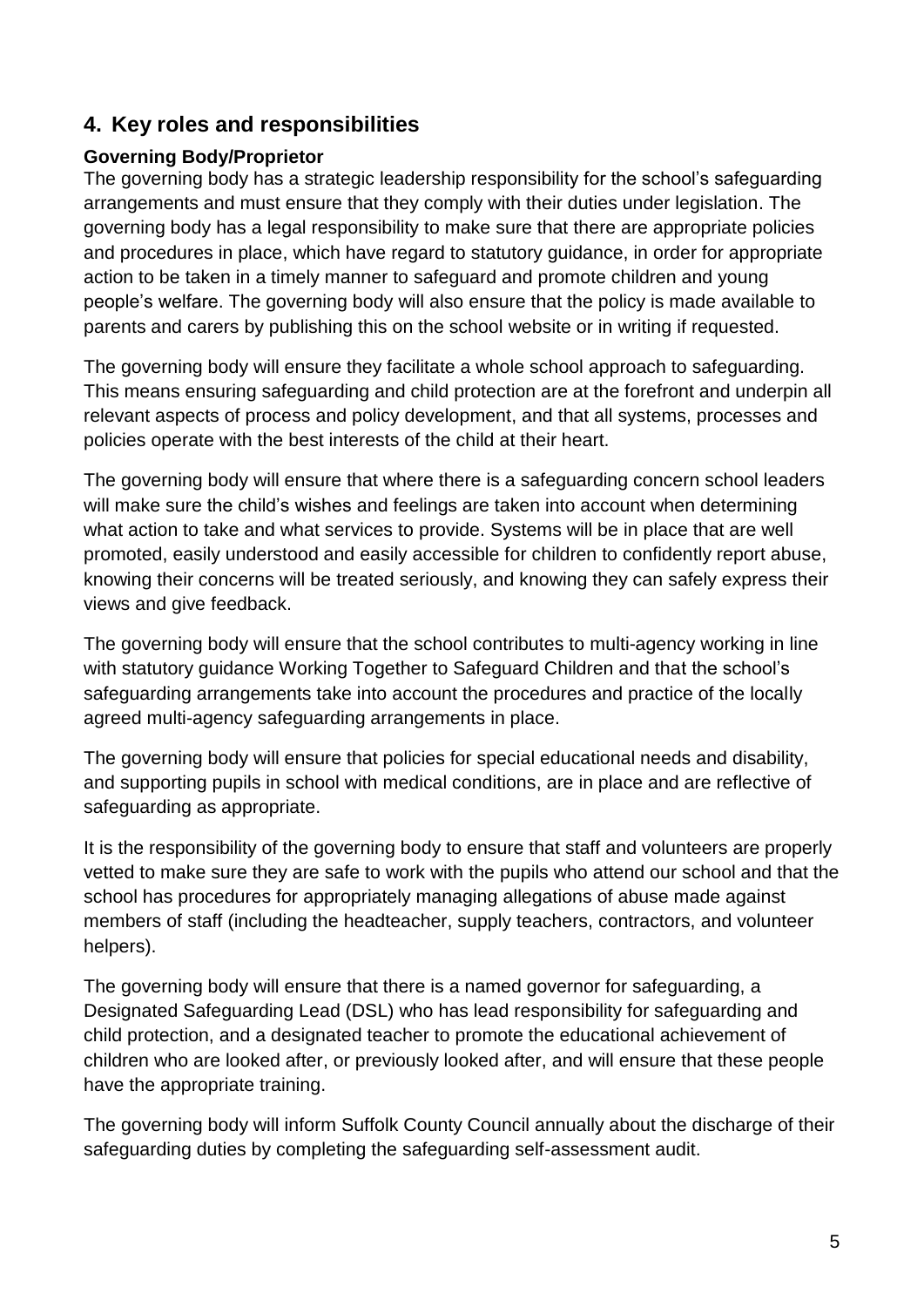## **4. Key roles and responsibilities**

#### **Governing Body/Proprietor**

The governing body has a strategic leadership responsibility for the school's safeguarding arrangements and must ensure that they comply with their duties under legislation. The governing body has a legal responsibility to make sure that there are appropriate policies and procedures in place, which have regard to statutory guidance, in order for appropriate action to be taken in a timely manner to safeguard and promote children and young people's welfare. The governing body will also ensure that the policy is made available to parents and carers by publishing this on the school website or in writing if requested.

The governing body will ensure they facilitate a whole school approach to safeguarding. This means ensuring safeguarding and child protection are at the forefront and underpin all relevant aspects of process and policy development, and that all systems, processes and policies operate with the best interests of the child at their heart.

The governing body will ensure that where there is a safeguarding concern school leaders will make sure the child's wishes and feelings are taken into account when determining what action to take and what services to provide. Systems will be in place that are well promoted, easily understood and easily accessible for children to confidently report abuse, knowing their concerns will be treated seriously, and knowing they can safely express their views and give feedback.

The governing body will ensure that the school contributes to multi-agency working in line with statutory guidance Working Together to Safeguard Children and that the school's safeguarding arrangements take into account the procedures and practice of the locally agreed multi-agency safeguarding arrangements in place.

The governing body will ensure that policies for special educational needs and disability, and supporting pupils in school with medical conditions, are in place and are reflective of safeguarding as appropriate.

It is the responsibility of the governing body to ensure that staff and volunteers are properly vetted to make sure they are safe to work with the pupils who attend our school and that the school has procedures for appropriately managing allegations of abuse made against members of staff (including the headteacher, supply teachers, contractors, and volunteer helpers).

The governing body will ensure that there is a named governor for safeguarding, a Designated Safeguarding Lead (DSL) who has lead responsibility for safeguarding and child protection, and a designated teacher to promote the educational achievement of children who are looked after, or previously looked after, and will ensure that these people have the appropriate training.

The governing body will inform Suffolk County Council annually about the discharge of their safeguarding duties by completing the safeguarding self-assessment audit.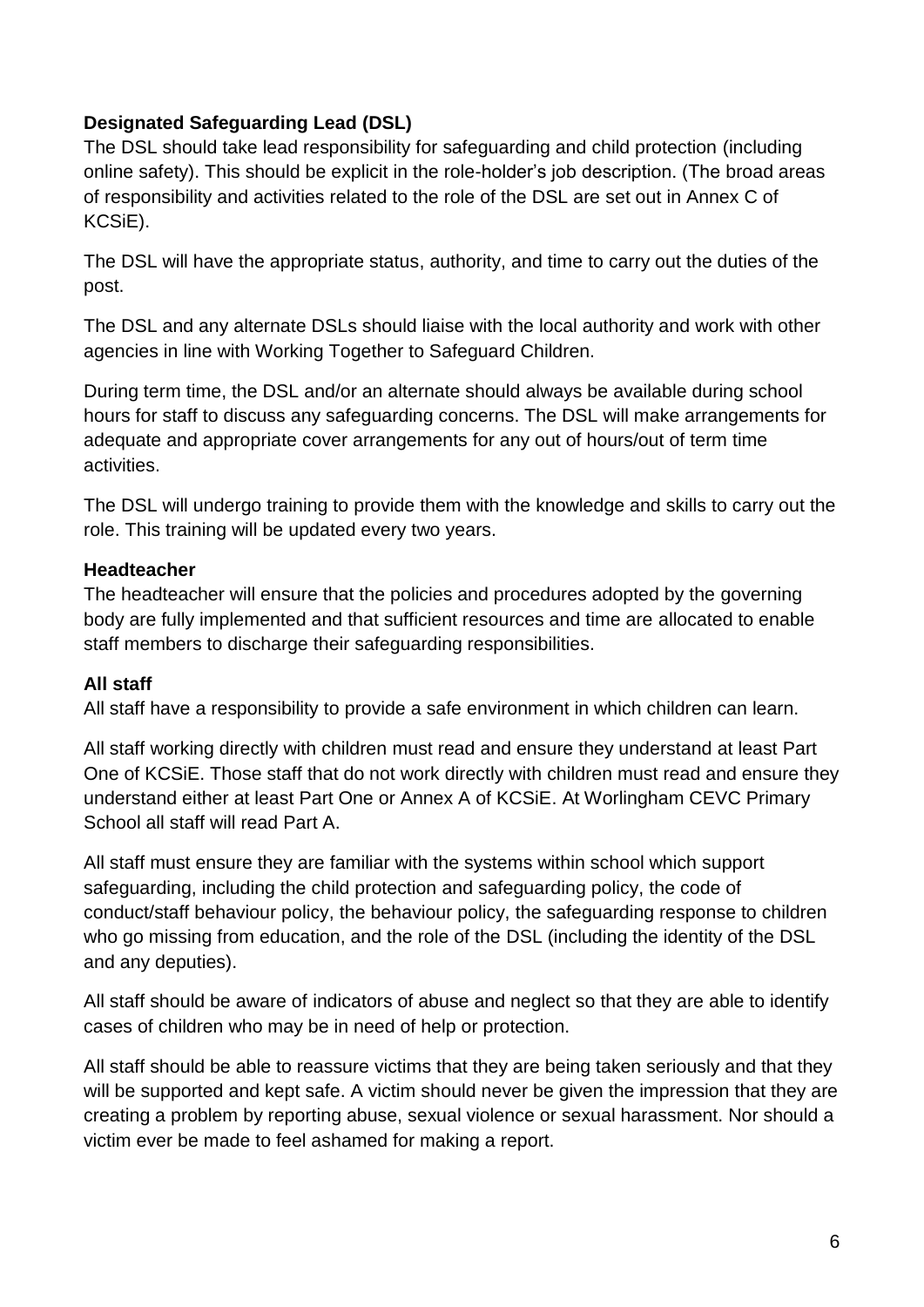### **Designated Safeguarding Lead (DSL)**

The DSL should take lead responsibility for safeguarding and child protection (including online safety). This should be explicit in the role-holder's job description. (The broad areas of responsibility and activities related to the role of the DSL are set out in Annex C of KCSiE).

The DSL will have the appropriate status, authority, and time to carry out the duties of the post.

The DSL and any alternate DSLs should liaise with the local authority and work with other agencies in line with Working Together to Safeguard Children.

During term time, the DSL and/or an alternate should always be available during school hours for staff to discuss any safeguarding concerns. The DSL will make arrangements for adequate and appropriate cover arrangements for any out of hours/out of term time activities.

The DSL will undergo training to provide them with the knowledge and skills to carry out the role. This training will be updated every two years.

#### **Headteacher**

The headteacher will ensure that the policies and procedures adopted by the governing body are fully implemented and that sufficient resources and time are allocated to enable staff members to discharge their safeguarding responsibilities.

#### **All staff**

All staff have a responsibility to provide a safe environment in which children can learn.

All staff working directly with children must read and ensure they understand at least Part One of KCSiE. Those staff that do not work directly with children must read and ensure they understand either at least Part One or Annex A of KCSiE. At Worlingham CEVC Primary School all staff will read Part A.

All staff must ensure they are familiar with the systems within school which support safeguarding, including the child protection and safeguarding policy, the code of conduct/staff behaviour policy, the behaviour policy, the safeguarding response to children who go missing from education, and the role of the DSL (including the identity of the DSL and any deputies).

All staff should be aware of indicators of abuse and neglect so that they are able to identify cases of children who may be in need of help or protection.

All staff should be able to reassure victims that they are being taken seriously and that they will be supported and kept safe. A victim should never be given the impression that they are creating a problem by reporting abuse, sexual violence or sexual harassment. Nor should a victim ever be made to feel ashamed for making a report.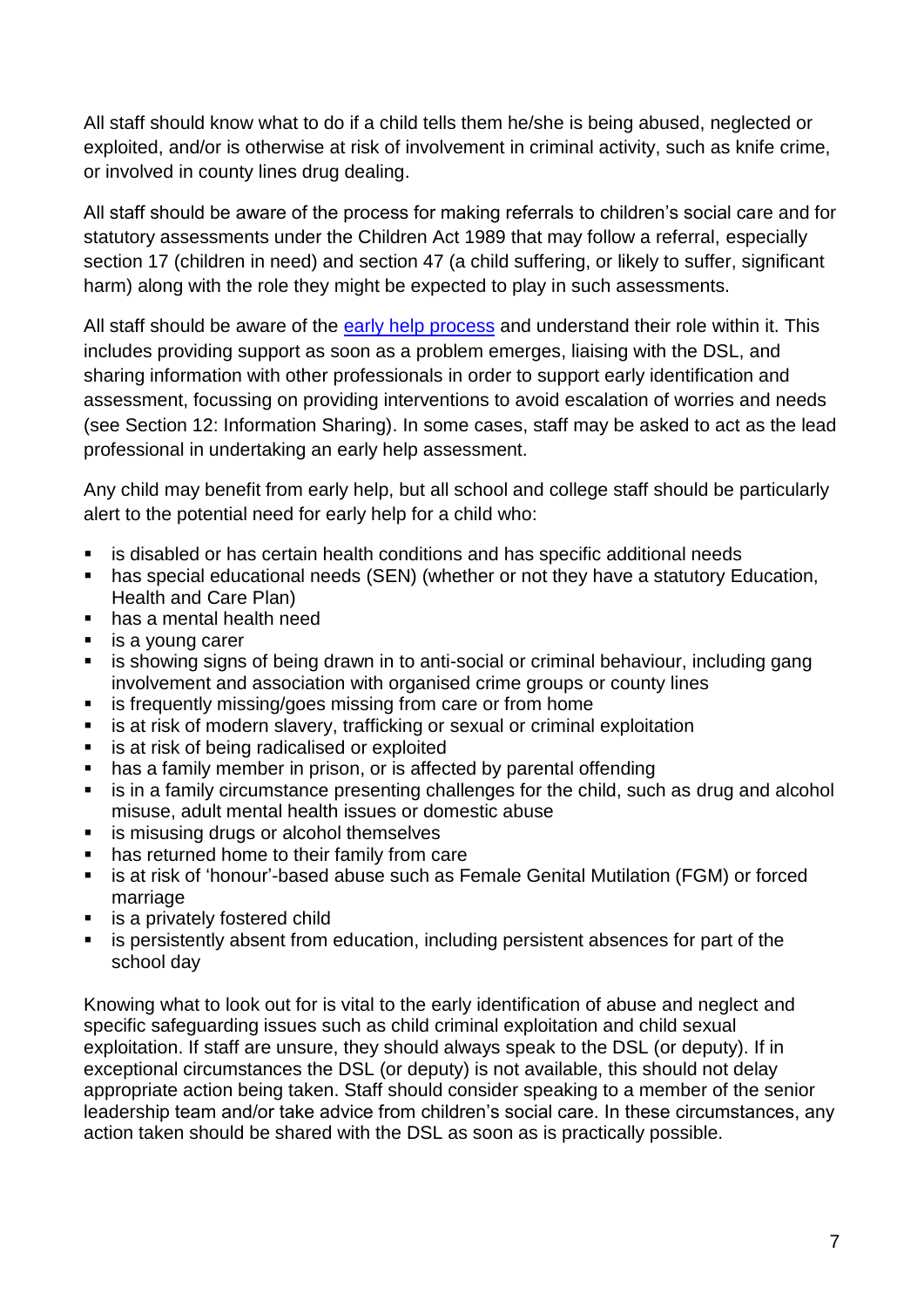All staff should know what to do if a child tells them he/she is being abused, neglected or exploited, and/or is otherwise at risk of involvement in criminal activity, such as knife crime, or involved in county lines drug dealing.

All staff should be aware of the process for making referrals to children's social care and for statutory assessments under the Children Act 1989 that may follow a referral, especially section 17 (children in need) and section 47 (a child suffering, or likely to suffer, significant harm) along with the role they might be expected to play in such assessments.

All staff should be aware of the [early help process](https://suffolksp.org.uk/working-with-children-and-adults/children/early-help/) and understand their role within it. This includes providing support as soon as a problem emerges, liaising with the DSL, and sharing information with other professionals in order to support early identification and assessment, focussing on providing interventions to avoid escalation of worries and needs (see Section 12: Information Sharing). In some cases, staff may be asked to act as the lead professional in undertaking an early help assessment.

Any child may benefit from early help, but all school and college staff should be particularly alert to the potential need for early help for a child who:

- is disabled or has certain health conditions and has specific additional needs
- has special educational needs (SEN) (whether or not they have a statutory Education, Health and Care Plan)
- has a mental health need
- is a young carer
- is showing signs of being drawn in to anti-social or criminal behaviour, including gang involvement and association with organised crime groups or county lines
- **EXECT:** is frequently missing/goes missing from care or from home
- is at risk of modern slavery, trafficking or sexual or criminal exploitation
- is at risk of being radicalised or exploited
- has a family member in prison, or is affected by parental offending
- is in a family circumstance presenting challenges for the child, such as drug and alcohol misuse, adult mental health issues or domestic abuse
- is misusing drugs or alcohol themselves
- has returned home to their family from care
- is at risk of 'honour'-based abuse such as Female Genital Mutilation (FGM) or forced marriage
- is a privately fostered child
- is persistently absent from education, including persistent absences for part of the school day

Knowing what to look out for is vital to the early identification of abuse and neglect and specific safeguarding issues such as child criminal exploitation and child sexual exploitation. If staff are unsure, they should always speak to the DSL (or deputy). If in exceptional circumstances the DSL (or deputy) is not available, this should not delay appropriate action being taken. Staff should consider speaking to a member of the senior leadership team and/or take advice from children's social care. In these circumstances, any action taken should be shared with the DSL as soon as is practically possible.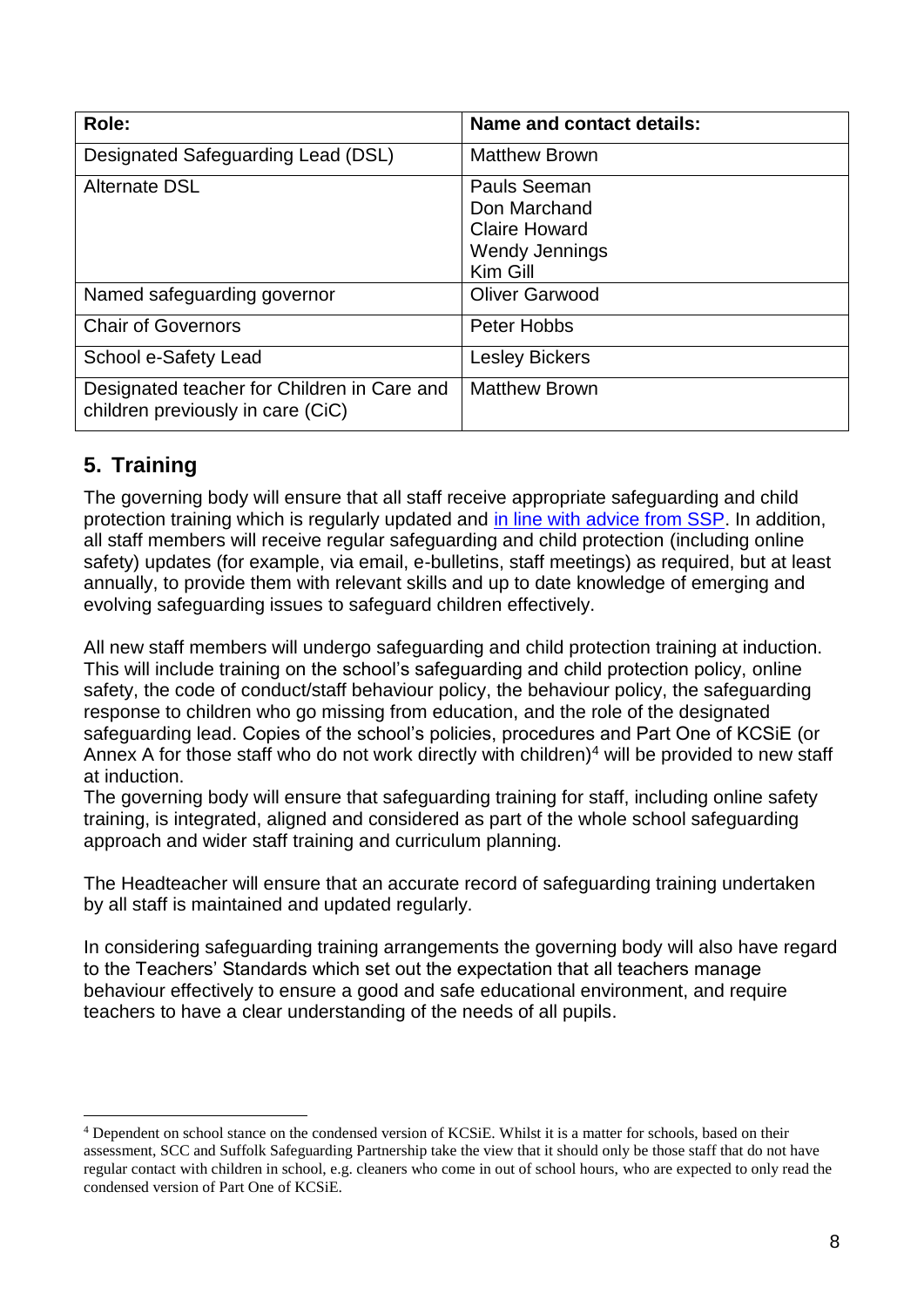| Role:                                                                            | <b>Name and contact details:</b>                                                          |
|----------------------------------------------------------------------------------|-------------------------------------------------------------------------------------------|
| Designated Safeguarding Lead (DSL)                                               | <b>Matthew Brown</b>                                                                      |
| <b>Alternate DSL</b>                                                             | Pauls Seeman<br>Don Marchand<br><b>Claire Howard</b><br><b>Wendy Jennings</b><br>Kim Gill |
| Named safeguarding governor                                                      | <b>Oliver Garwood</b>                                                                     |
| <b>Chair of Governors</b>                                                        | Peter Hobbs                                                                               |
| School e-Safety Lead                                                             | <b>Lesley Bickers</b>                                                                     |
| Designated teacher for Children in Care and<br>children previously in care (CiC) | <b>Matthew Brown</b>                                                                      |

## **5. Training**

1

The governing body will ensure that all staff receive appropriate safeguarding and child protection training which is regularly updated and [in line with advice from SSP.](https://suffolksp.org.uk/working-with-children-and-adults/children/early-help/) In addition, all staff members will receive regular safeguarding and child protection (including online safety) updates (for example, via email, e-bulletins, staff meetings) as required, but at least annually, to provide them with relevant skills and up to date knowledge of emerging and evolving safeguarding issues to safeguard children effectively.

All new staff members will undergo safeguarding and child protection training at induction. This will include training on the school's safeguarding and child protection policy, online safety, the code of conduct/staff behaviour policy, the behaviour policy, the safeguarding response to children who go missing from education, and the role of the designated safeguarding lead. Copies of the school's policies, procedures and Part One of KCSiE (or Annex A for those staff who do not work directly with children)<sup>4</sup> will be provided to new staff at induction.

The governing body will ensure that safeguarding training for staff, including online safety training, is integrated, aligned and considered as part of the whole school safeguarding approach and wider staff training and curriculum planning.

The Headteacher will ensure that an accurate record of safeguarding training undertaken by all staff is maintained and updated regularly.

In considering safeguarding training arrangements the governing body will also have regard to the Teachers' Standards which set out the expectation that all teachers manage behaviour effectively to ensure a good and safe educational environment, and require teachers to have a clear understanding of the needs of all pupils.

<sup>4</sup> Dependent on school stance on the condensed version of KCSiE. Whilst it is a matter for schools, based on their assessment, SCC and Suffolk Safeguarding Partnership take the view that it should only be those staff that do not have regular contact with children in school, e.g. cleaners who come in out of school hours, who are expected to only read the condensed version of Part One of KCSiE.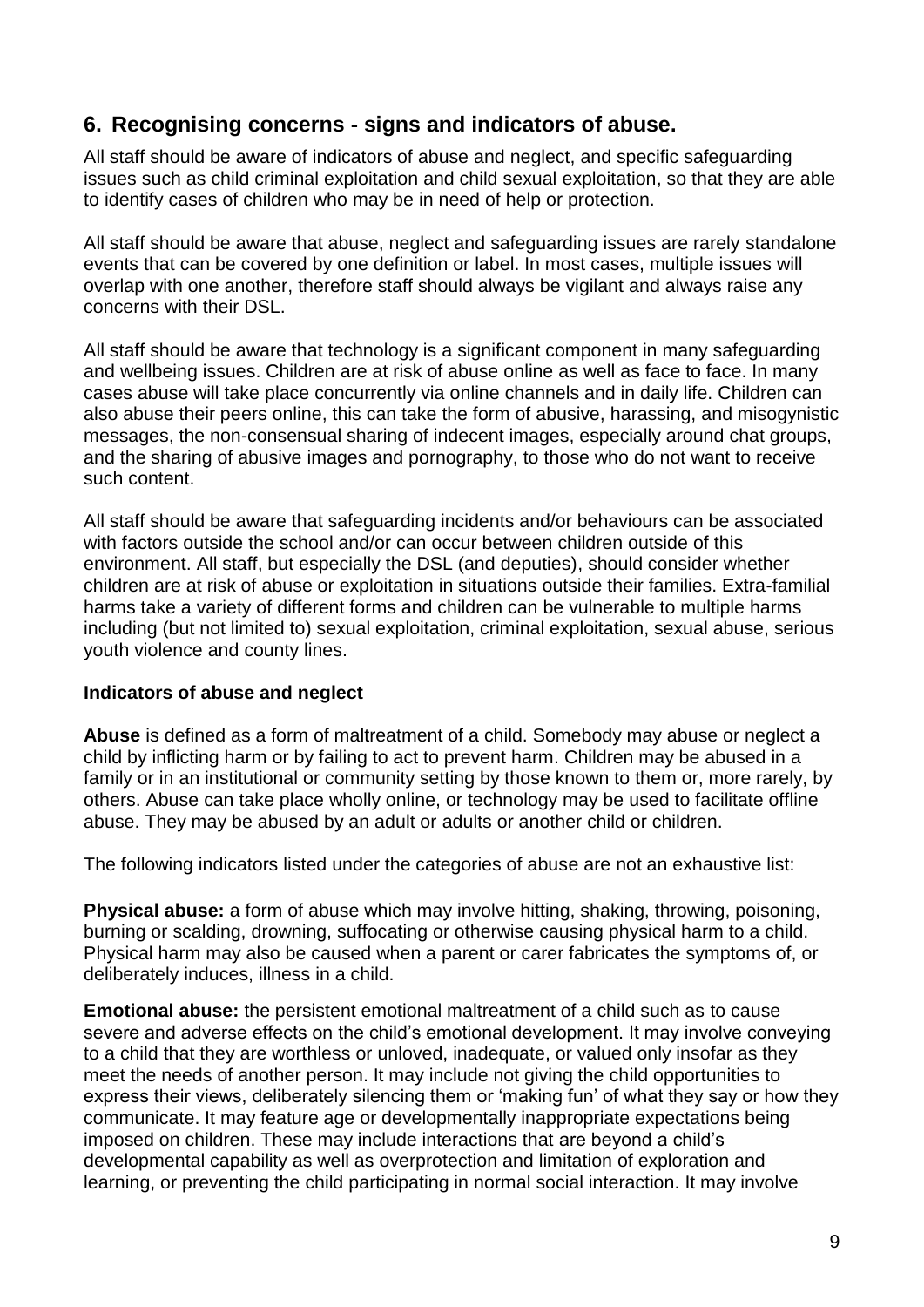## **6. Recognising concerns - signs and indicators of abuse.**

All staff should be aware of indicators of abuse and neglect, and specific safeguarding issues such as child criminal exploitation and child sexual exploitation, so that they are able to identify cases of children who may be in need of help or protection.

All staff should be aware that abuse, neglect and safeguarding issues are rarely standalone events that can be covered by one definition or label. In most cases, multiple issues will overlap with one another, therefore staff should always be vigilant and always raise any concerns with their DSL.

All staff should be aware that technology is a significant component in many safeguarding and wellbeing issues. Children are at risk of abuse online as well as face to face. In many cases abuse will take place concurrently via online channels and in daily life. Children can also abuse their peers online, this can take the form of abusive, harassing, and misogynistic messages, the non-consensual sharing of indecent images, especially around chat groups, and the sharing of abusive images and pornography, to those who do not want to receive such content.

All staff should be aware that safeguarding incidents and/or behaviours can be associated with factors outside the school and/or can occur between children outside of this environment. All staff, but especially the DSL (and deputies), should consider whether children are at risk of abuse or exploitation in situations outside their families. Extra-familial harms take a variety of different forms and children can be vulnerable to multiple harms including (but not limited to) sexual exploitation, criminal exploitation, sexual abuse, serious youth violence and county lines.

#### **Indicators of abuse and neglect**

**Abuse** is defined as a form of maltreatment of a child. Somebody may abuse or neglect a child by inflicting harm or by failing to act to prevent harm. Children may be abused in a family or in an institutional or community setting by those known to them or, more rarely, by others. Abuse can take place wholly online, or technology may be used to facilitate offline abuse. They may be abused by an adult or adults or another child or children.

The following indicators listed under the categories of abuse are not an exhaustive list:

**Physical abuse:** a form of abuse which may involve hitting, shaking, throwing, poisoning, burning or scalding, drowning, suffocating or otherwise causing physical harm to a child. Physical harm may also be caused when a parent or carer fabricates the symptoms of, or deliberately induces, illness in a child.

**Emotional abuse:** the persistent emotional maltreatment of a child such as to cause severe and adverse effects on the child's emotional development. It may involve conveying to a child that they are worthless or unloved, inadequate, or valued only insofar as they meet the needs of another person. It may include not giving the child opportunities to express their views, deliberately silencing them or 'making fun' of what they say or how they communicate. It may feature age or developmentally inappropriate expectations being imposed on children. These may include interactions that are beyond a child's developmental capability as well as overprotection and limitation of exploration and learning, or preventing the child participating in normal social interaction. It may involve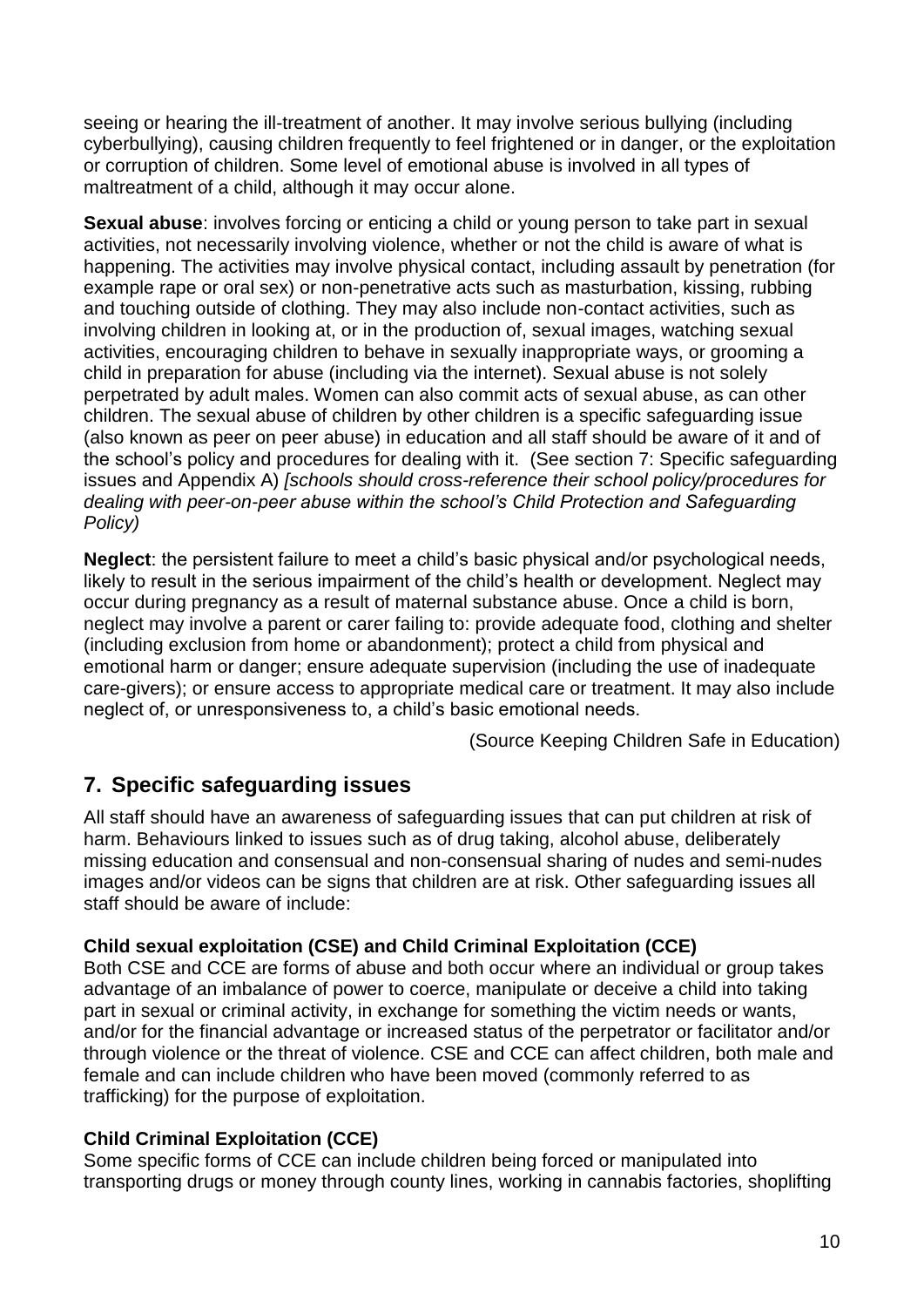seeing or hearing the ill-treatment of another. It may involve serious bullying (including cyberbullying), causing children frequently to feel frightened or in danger, or the exploitation or corruption of children. Some level of emotional abuse is involved in all types of maltreatment of a child, although it may occur alone.

**Sexual abuse:** involves forcing or enticing a child or young person to take part in sexual activities, not necessarily involving violence, whether or not the child is aware of what is happening. The activities may involve physical contact, including assault by penetration (for example rape or oral sex) or non-penetrative acts such as masturbation, kissing, rubbing and touching outside of clothing. They may also include non-contact activities, such as involving children in looking at, or in the production of, sexual images, watching sexual activities, encouraging children to behave in sexually inappropriate ways, or grooming a child in preparation for abuse (including via the internet). Sexual abuse is not solely perpetrated by adult males. Women can also commit acts of sexual abuse, as can other children. The sexual abuse of children by other children is a specific safeguarding issue (also known as peer on peer abuse) in education and all staff should be aware of it and of the school's policy and procedures for dealing with it. (See section 7: Specific safeguarding issues and Appendix A) *[schools should cross-reference their school policy/procedures for dealing with peer-on-peer abuse within the school's Child Protection and Safeguarding Policy)*

**Neglect**: the persistent failure to meet a child's basic physical and/or psychological needs, likely to result in the serious impairment of the child's health or development. Neglect may occur during pregnancy as a result of maternal substance abuse. Once a child is born, neglect may involve a parent or carer failing to: provide adequate food, clothing and shelter (including exclusion from home or abandonment); protect a child from physical and emotional harm or danger; ensure adequate supervision (including the use of inadequate care-givers); or ensure access to appropriate medical care or treatment. It may also include neglect of, or unresponsiveness to, a child's basic emotional needs.

(Source Keeping Children Safe in Education)

## **7. Specific safeguarding issues**

All staff should have an awareness of safeguarding issues that can put children at risk of harm. Behaviours linked to issues such as of drug taking, alcohol abuse, deliberately missing education and consensual and non-consensual sharing of nudes and semi-nudes images and/or videos can be signs that children are at risk. Other safeguarding issues all staff should be aware of include:

#### **Child sexual exploitation (CSE) and Child Criminal Exploitation (CCE)**

Both CSE and CCE are forms of abuse and both occur where an individual or group takes advantage of an imbalance of power to coerce, manipulate or deceive a child into taking part in sexual or criminal activity, in exchange for something the victim needs or wants, and/or for the financial advantage or increased status of the perpetrator or facilitator and/or through violence or the threat of violence. CSE and CCE can affect children, both male and female and can include children who have been moved (commonly referred to as trafficking) for the purpose of exploitation.

#### **Child Criminal Exploitation (CCE)**

Some specific forms of CCE can include children being forced or manipulated into transporting drugs or money through county lines, working in cannabis factories, shoplifting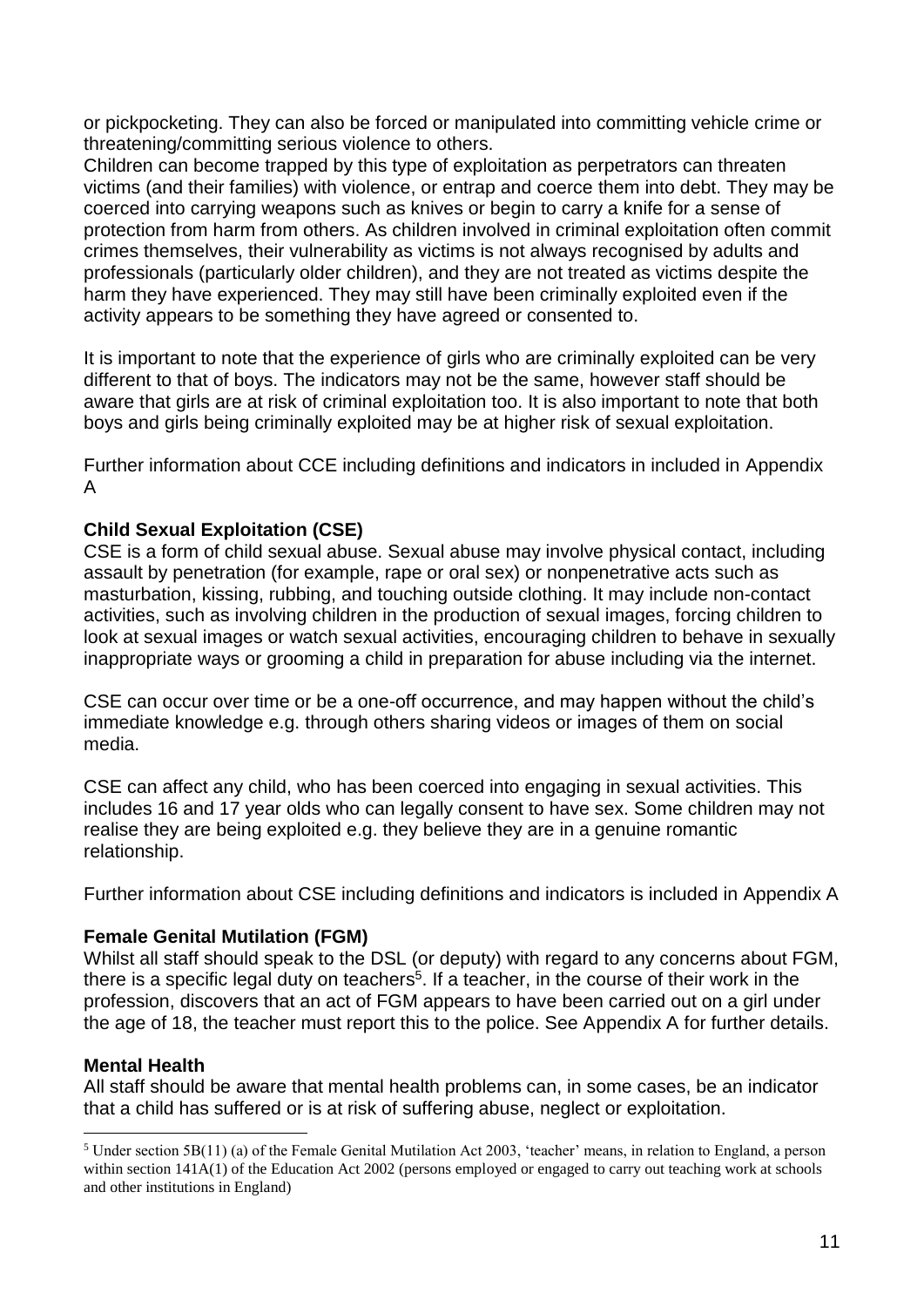or pickpocketing. They can also be forced or manipulated into committing vehicle crime or threatening/committing serious violence to others.

Children can become trapped by this type of exploitation as perpetrators can threaten victims (and their families) with violence, or entrap and coerce them into debt. They may be coerced into carrying weapons such as knives or begin to carry a knife for a sense of protection from harm from others. As children involved in criminal exploitation often commit crimes themselves, their vulnerability as victims is not always recognised by adults and professionals (particularly older children), and they are not treated as victims despite the harm they have experienced. They may still have been criminally exploited even if the activity appears to be something they have agreed or consented to.

It is important to note that the experience of girls who are criminally exploited can be very different to that of boys. The indicators may not be the same, however staff should be aware that girls are at risk of criminal exploitation too. It is also important to note that both boys and girls being criminally exploited may be at higher risk of sexual exploitation.

Further information about CCE including definitions and indicators in included in Appendix A

#### **Child Sexual Exploitation (CSE)**

CSE is a form of child sexual abuse. Sexual abuse may involve physical contact, including assault by penetration (for example, rape or oral sex) or nonpenetrative acts such as masturbation, kissing, rubbing, and touching outside clothing. It may include non-contact activities, such as involving children in the production of sexual images, forcing children to look at sexual images or watch sexual activities, encouraging children to behave in sexually inappropriate ways or grooming a child in preparation for abuse including via the internet.

CSE can occur over time or be a one-off occurrence, and may happen without the child's immediate knowledge e.g. through others sharing videos or images of them on social media.

CSE can affect any child, who has been coerced into engaging in sexual activities. This includes 16 and 17 year olds who can legally consent to have sex. Some children may not realise they are being exploited e.g. they believe they are in a genuine romantic relationship.

Further information about CSE including definitions and indicators is included in Appendix A

#### **Female Genital Mutilation (FGM)**

Whilst all staff should speak to the DSL (or deputy) with regard to any concerns about FGM, there is a specific legal duty on teachers<sup>5</sup>. If a teacher, in the course of their work in the profession, discovers that an act of FGM appears to have been carried out on a girl under the age of 18, the teacher must report this to the police. See Appendix A for further details.

#### **Mental Health**

<u>.</u>

All staff should be aware that mental health problems can, in some cases, be an indicator that a child has suffered or is at risk of suffering abuse, neglect or exploitation.

<sup>5</sup> Under section 5B(11) (a) of the Female Genital Mutilation Act 2003, 'teacher' means, in relation to England, a person within section  $141A(1)$  of the Education Act 2002 (persons employed or engaged to carry out teaching work at schools and other institutions in England)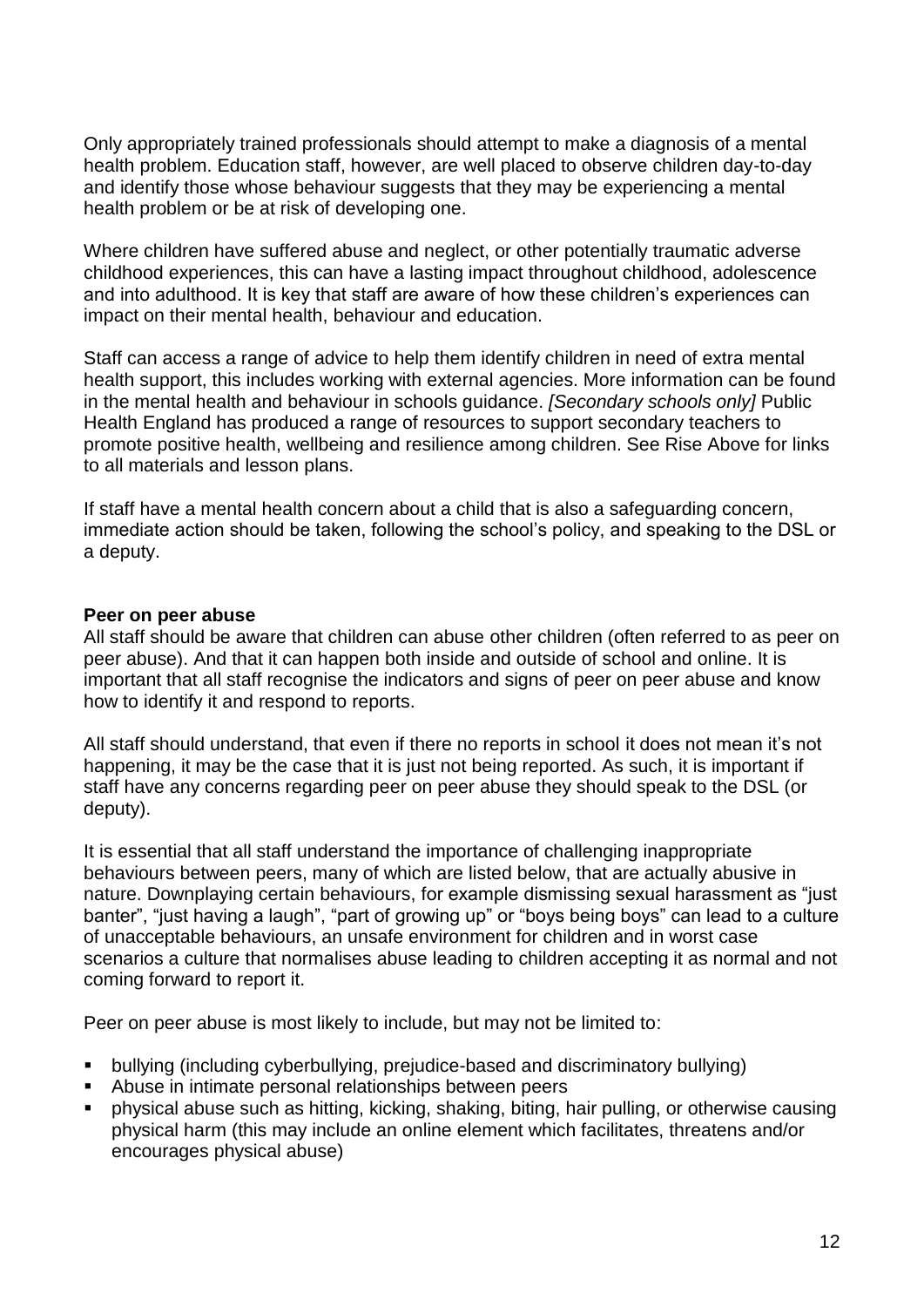Only appropriately trained professionals should attempt to make a diagnosis of a mental health problem. Education staff, however, are well placed to observe children day-to-day and identify those whose behaviour suggests that they may be experiencing a mental health problem or be at risk of developing one.

Where children have suffered abuse and neglect, or other potentially traumatic adverse childhood experiences, this can have a lasting impact throughout childhood, adolescence and into adulthood. It is key that staff are aware of how these children's experiences can impact on their mental health, behaviour and education.

Staff can access a range of advice to help them identify children in need of extra mental health support, this includes working with external agencies. More information can be found in the mental health and behaviour in schools guidance. *[Secondary schools only]* Public Health England has produced a range of resources to support secondary teachers to promote positive health, wellbeing and resilience among children. See Rise Above for links to all materials and lesson plans.

If staff have a mental health concern about a child that is also a safeguarding concern, immediate action should be taken, following the school's policy, and speaking to the DSL or a deputy.

#### **Peer on peer abuse**

All staff should be aware that children can abuse other children (often referred to as peer on peer abuse). And that it can happen both inside and outside of school and online. It is important that all staff recognise the indicators and signs of peer on peer abuse and know how to identify it and respond to reports.

All staff should understand, that even if there no reports in school it does not mean it's not happening, it may be the case that it is just not being reported. As such, it is important if staff have any concerns regarding peer on peer abuse they should speak to the DSL (or deputy).

It is essential that all staff understand the importance of challenging inappropriate behaviours between peers, many of which are listed below, that are actually abusive in nature. Downplaying certain behaviours, for example dismissing sexual harassment as "just banter", "just having a laugh", "part of growing up" or "boys being boys" can lead to a culture of unacceptable behaviours, an unsafe environment for children and in worst case scenarios a culture that normalises abuse leading to children accepting it as normal and not coming forward to report it.

Peer on peer abuse is most likely to include, but may not be limited to:

- bullying (including cyberbullying, prejudice-based and discriminatory bullying)
- Abuse in intimate personal relationships between peers
- physical abuse such as hitting, kicking, shaking, biting, hair pulling, or otherwise causing physical harm (this may include an online element which facilitates, threatens and/or encourages physical abuse)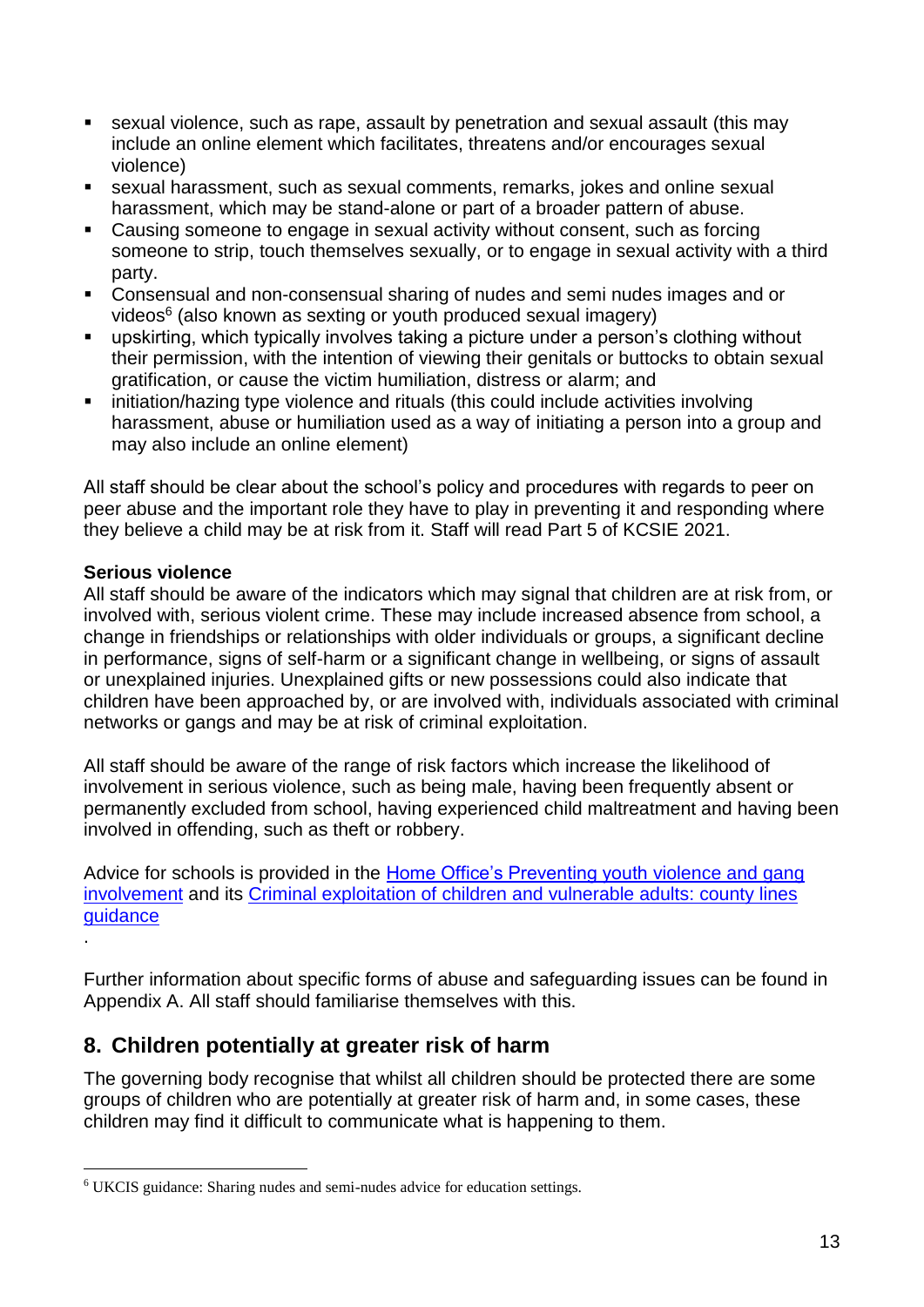- sexual violence, such as rape, assault by penetration and sexual assault (this may include an online element which facilitates, threatens and/or encourages sexual violence)
- sexual harassment, such as sexual comments, remarks, jokes and online sexual harassment, which may be stand-alone or part of a broader pattern of abuse.
- Causing someone to engage in sexual activity without consent, such as forcing someone to strip, touch themselves sexually, or to engage in sexual activity with a third party.
- Consensual and non-consensual sharing of nudes and semi nudes images and or videos<sup>6</sup> (also known as sexting or youth produced sexual imagery)
- upskirting, which typically involves taking a picture under a person's clothing without their permission, with the intention of viewing their genitals or buttocks to obtain sexual gratification, or cause the victim humiliation, distress or alarm; and
- initiation/hazing type violence and rituals (this could include activities involving harassment, abuse or humiliation used as a way of initiating a person into a group and may also include an online element)

All staff should be clear about the school's policy and procedures with regards to peer on peer abuse and the important role they have to play in preventing it and responding where they believe a child may be at risk from it. Staff will read Part 5 of KCSIE 2021.

#### **Serious violence**

1

All staff should be aware of the indicators which may signal that children are at risk from, or involved with, serious violent crime. These may include increased absence from school, a change in friendships or relationships with older individuals or groups, a significant decline in performance, signs of self-harm or a significant change in wellbeing, or signs of assault or unexplained injuries. Unexplained gifts or new possessions could also indicate that children have been approached by, or are involved with, individuals associated with criminal networks or gangs and may be at risk of criminal exploitation.

All staff should be aware of the range of risk factors which increase the likelihood of involvement in serious violence, such as being male, having been frequently absent or permanently excluded from school, having experienced child maltreatment and having been involved in offending, such as theft or robbery.

Advice for schools is provided in the [Home Office's Preventing youth](https://assets.publishing.service.gov.uk/government/uploads/system/uploads/attachment_data/file/418131/Preventing_youth_violence_and_gang_involvement_v3_March2015.pdf) violence and gang [involvement](https://assets.publishing.service.gov.uk/government/uploads/system/uploads/attachment_data/file/418131/Preventing_youth_violence_and_gang_involvement_v3_March2015.pdf) and its [Criminal exploitation of children and vulnerable adults: county lines](https://www.gov.uk/government/publications/criminal-exploitation-of-children-and-vulnerable-adults-county-lines)  [guidance](https://www.gov.uk/government/publications/criminal-exploitation-of-children-and-vulnerable-adults-county-lines) .

Further information about specific forms of abuse and safeguarding issues can be found in Appendix A. All staff should familiarise themselves with this.

## **8. Children potentially at greater risk of harm**

The governing body recognise that whilst all children should be protected there are some groups of children who are potentially at greater risk of harm and, in some cases, these children may find it difficult to communicate what is happening to them.

<sup>6</sup> UKCIS guidance: Sharing nudes and semi-nudes advice for education settings.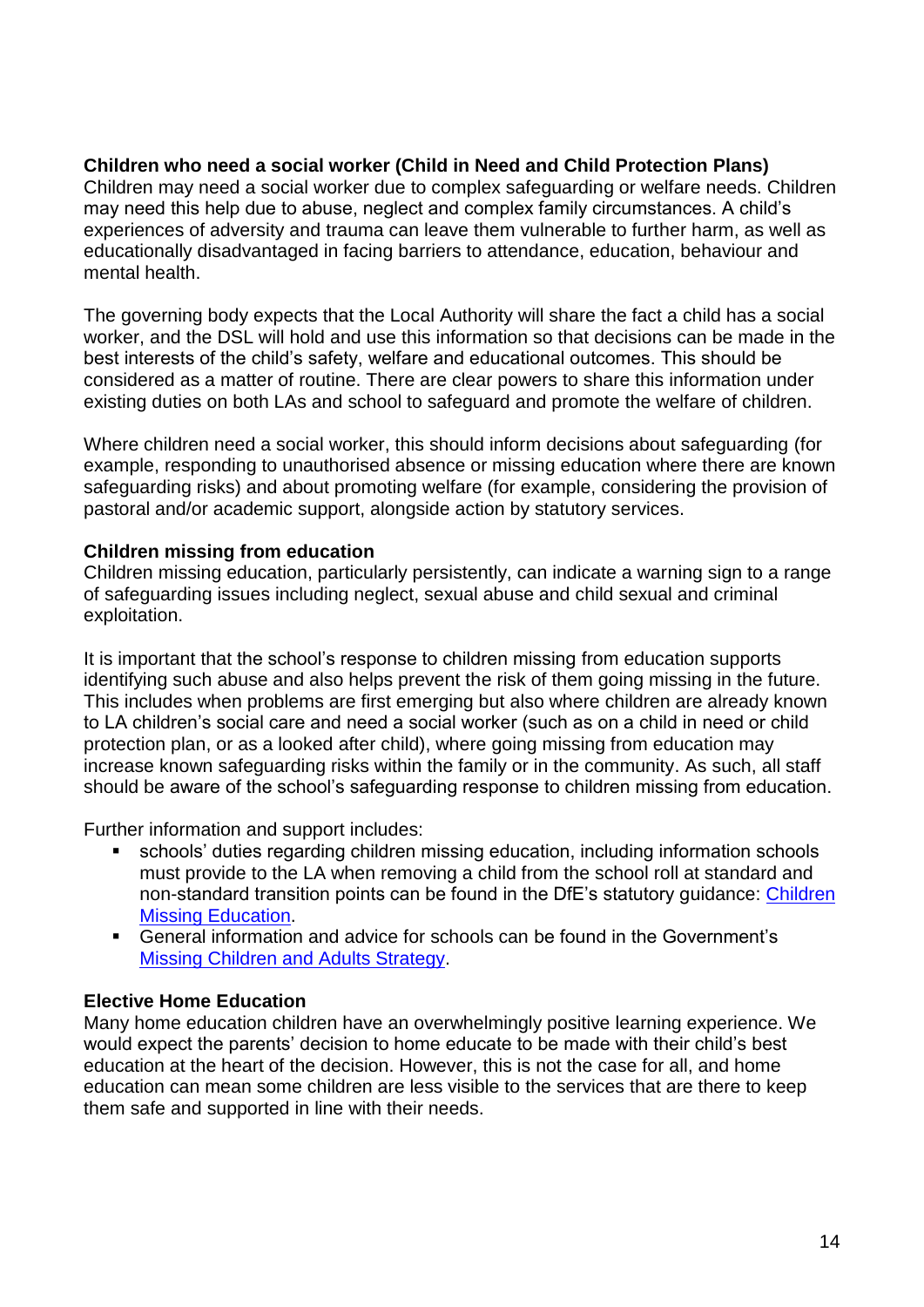#### **Children who need a social worker (Child in Need and Child Protection Plans)**

Children may need a social worker due to complex safeguarding or welfare needs. Children may need this help due to abuse, neglect and complex family circumstances. A child's experiences of adversity and trauma can leave them vulnerable to further harm, as well as educationally disadvantaged in facing barriers to attendance, education, behaviour and mental health.

The governing body expects that the Local Authority will share the fact a child has a social worker, and the DSL will hold and use this information so that decisions can be made in the best interests of the child's safety, welfare and educational outcomes. This should be considered as a matter of routine. There are clear powers to share this information under existing duties on both LAs and school to safeguard and promote the welfare of children.

Where children need a social worker, this should inform decisions about safeguarding (for example, responding to unauthorised absence or missing education where there are known safeguarding risks) and about promoting welfare (for example, considering the provision of pastoral and/or academic support, alongside action by statutory services.

#### **Children missing from education**

Children missing education, particularly persistently, can indicate a warning sign to a range of safeguarding issues including neglect, sexual abuse and child sexual and criminal exploitation.

It is important that the school's response to children missing from education supports identifying such abuse and also helps prevent the risk of them going missing in the future. This includes when problems are first emerging but also where children are already known to LA children's social care and need a social worker (such as on a child in need or child protection plan, or as a looked after child), where going missing from education may increase known safeguarding risks within the family or in the community. As such, all staff should be aware of the school's safeguarding response to children missing from education.

Further information and support includes:

- schools' duties regarding children missing education, including information schools must provide to the LA when removing a child from the school roll at standard and non-standard transition points can be found in the DfE's statutory guidance: [Children](https://assets.publishing.service.gov.uk/government/uploads/system/uploads/attachment_data/file/550416/Children_Missing_Education_-_statutory_guidance.pdf)  [Missing Education.](https://assets.publishing.service.gov.uk/government/uploads/system/uploads/attachment_data/file/550416/Children_Missing_Education_-_statutory_guidance.pdf)
- General information and advice for schools can be found in the Government's [Missing Children and Adults Strategy.](https://assets.publishing.service.gov.uk/government/uploads/system/uploads/attachment_data/file/117793/missing-persons-strategy.pdf)

#### **Elective Home Education**

Many home education children have an overwhelmingly positive learning experience. We would expect the parents' decision to home educate to be made with their child's best education at the heart of the decision. However, this is not the case for all, and home education can mean some children are less visible to the services that are there to keep them safe and supported in line with their needs.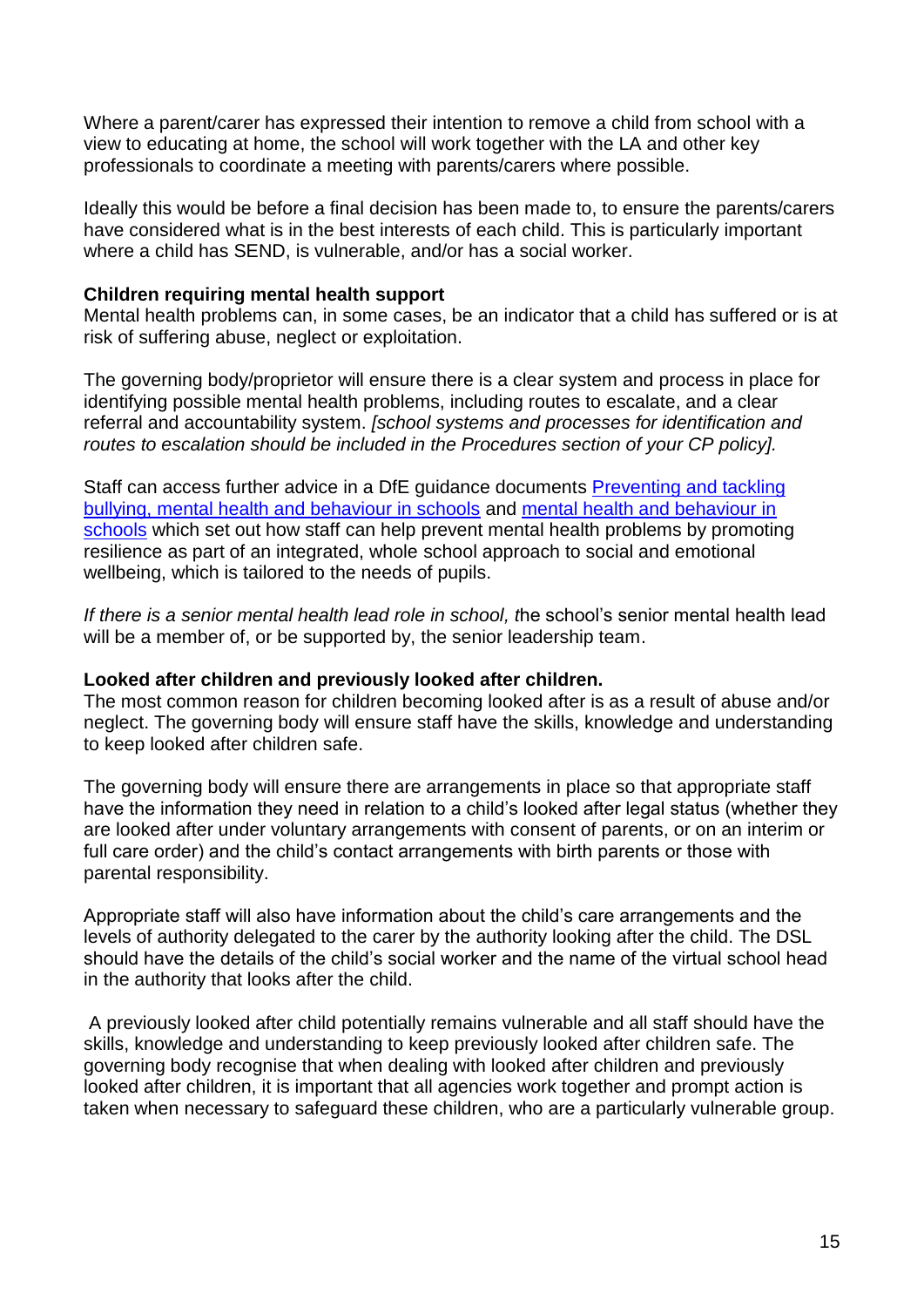Where a parent/carer has expressed their intention to remove a child from school with a view to educating at home, the school will work together with the LA and other key professionals to coordinate a meeting with parents/carers where possible.

Ideally this would be before a final decision has been made to, to ensure the parents/carers have considered what is in the best interests of each child. This is particularly important where a child has SEND, is vulnerable, and/or has a social worker.

#### **Children requiring mental health support**

Mental health problems can, in some cases, be an indicator that a child has suffered or is at risk of suffering abuse, neglect or exploitation.

The governing body/proprietor will ensure there is a clear system and process in place for identifying possible mental health problems, including routes to escalate, and a clear referral and accountability system. *[school systems and processes for identification and routes to escalation should be included in the Procedures section of your CP policy].*

Staff can access further advice in a DfE guidance documents [Preventing and tackling](https://assets.publishing.service.gov.uk/government/uploads/system/uploads/attachment_data/file/623895/Preventing_and_tackling_bullying_advice.pdf)  [bullying, mental health and behaviour in schools](https://assets.publishing.service.gov.uk/government/uploads/system/uploads/attachment_data/file/623895/Preventing_and_tackling_bullying_advice.pdf) and [mental health and behaviour in](https://assets.publishing.service.gov.uk/government/uploads/system/uploads/attachment_data/file/755135/Mental_health_and_behaviour_in_schools__.pdf)  [schools](https://assets.publishing.service.gov.uk/government/uploads/system/uploads/attachment_data/file/755135/Mental_health_and_behaviour_in_schools__.pdf) which set out how staff can help prevent mental health problems by promoting resilience as part of an integrated, whole school approach to social and emotional wellbeing, which is tailored to the needs of pupils.

*If there is a senior mental health lead role in school, t*he school's senior mental health lead will be a member of, or be supported by, the senior leadership team.

#### **Looked after children and previously looked after children.**

The most common reason for children becoming looked after is as a result of abuse and/or neglect. The governing body will ensure staff have the skills, knowledge and understanding to keep looked after children safe.

The governing body will ensure there are arrangements in place so that appropriate staff have the information they need in relation to a child's looked after legal status (whether they are looked after under voluntary arrangements with consent of parents, or on an interim or full care order) and the child's contact arrangements with birth parents or those with parental responsibility.

Appropriate staff will also have information about the child's care arrangements and the levels of authority delegated to the carer by the authority looking after the child. The DSL should have the details of the child's social worker and the name of the virtual school head in the authority that looks after the child.

A previously looked after child potentially remains vulnerable and all staff should have the skills, knowledge and understanding to keep previously looked after children safe. The governing body recognise that when dealing with looked after children and previously looked after children, it is important that all agencies work together and prompt action is taken when necessary to safeguard these children, who are a particularly vulnerable group.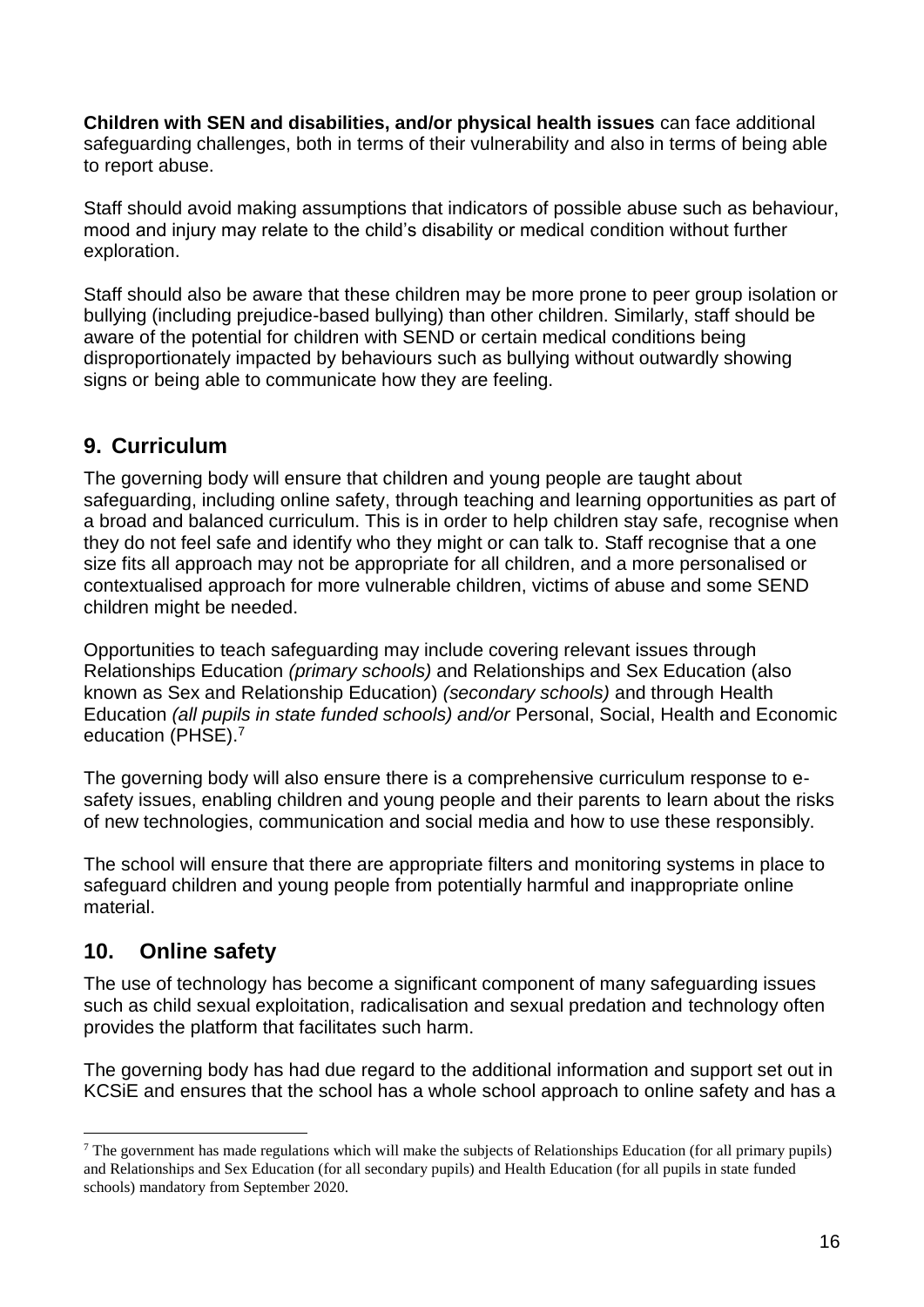**Children with SEN and disabilities, and/or physical health issues** can face additional safeguarding challenges, both in terms of their vulnerability and also in terms of being able to report abuse.

Staff should avoid making assumptions that indicators of possible abuse such as behaviour, mood and injury may relate to the child's disability or medical condition without further exploration.

Staff should also be aware that these children may be more prone to peer group isolation or bullying (including prejudice-based bullying) than other children. Similarly, staff should be aware of the potential for children with SEND or certain medical conditions being disproportionately impacted by behaviours such as bullying without outwardly showing signs or being able to communicate how they are feeling.

## **9. Curriculum**

The governing body will ensure that children and young people are taught about safeguarding, including online safety, through teaching and learning opportunities as part of a broad and balanced curriculum. This is in order to help children stay safe, recognise when they do not feel safe and identify who they might or can talk to. Staff recognise that a one size fits all approach may not be appropriate for all children, and a more personalised or contextualised approach for more vulnerable children, victims of abuse and some SEND children might be needed.

Opportunities to teach safeguarding may include covering relevant issues through Relationships Education *(primary schools)* and Relationships and Sex Education (also known as Sex and Relationship Education) *(secondary schools)* and through Health Education *(all pupils in state funded schools) and/or* Personal, Social, Health and Economic education (PHSE).<sup>7</sup>

The governing body will also ensure there is a comprehensive curriculum response to esafety issues, enabling children and young people and their parents to learn about the risks of new technologies, communication and social media and how to use these responsibly.

The school will ensure that there are appropriate filters and monitoring systems in place to safeguard children and young people from potentially harmful and inappropriate online material.

## **10. Online safety**

The use of technology has become a significant component of many safeguarding issues such as child sexual exploitation, radicalisation and sexual predation and technology often provides the platform that facilitates such harm.

The governing body has had due regard to the additional information and support set out in KCSiE and ensures that the school has a whole school approach to online safety and has a

<sup>&</sup>lt;u>.</u>  $7$  The government has made regulations which will make the subjects of Relationships Education (for all primary pupils) and Relationships and Sex Education (for all secondary pupils) and Health Education (for all pupils in state funded schools) mandatory from September 2020.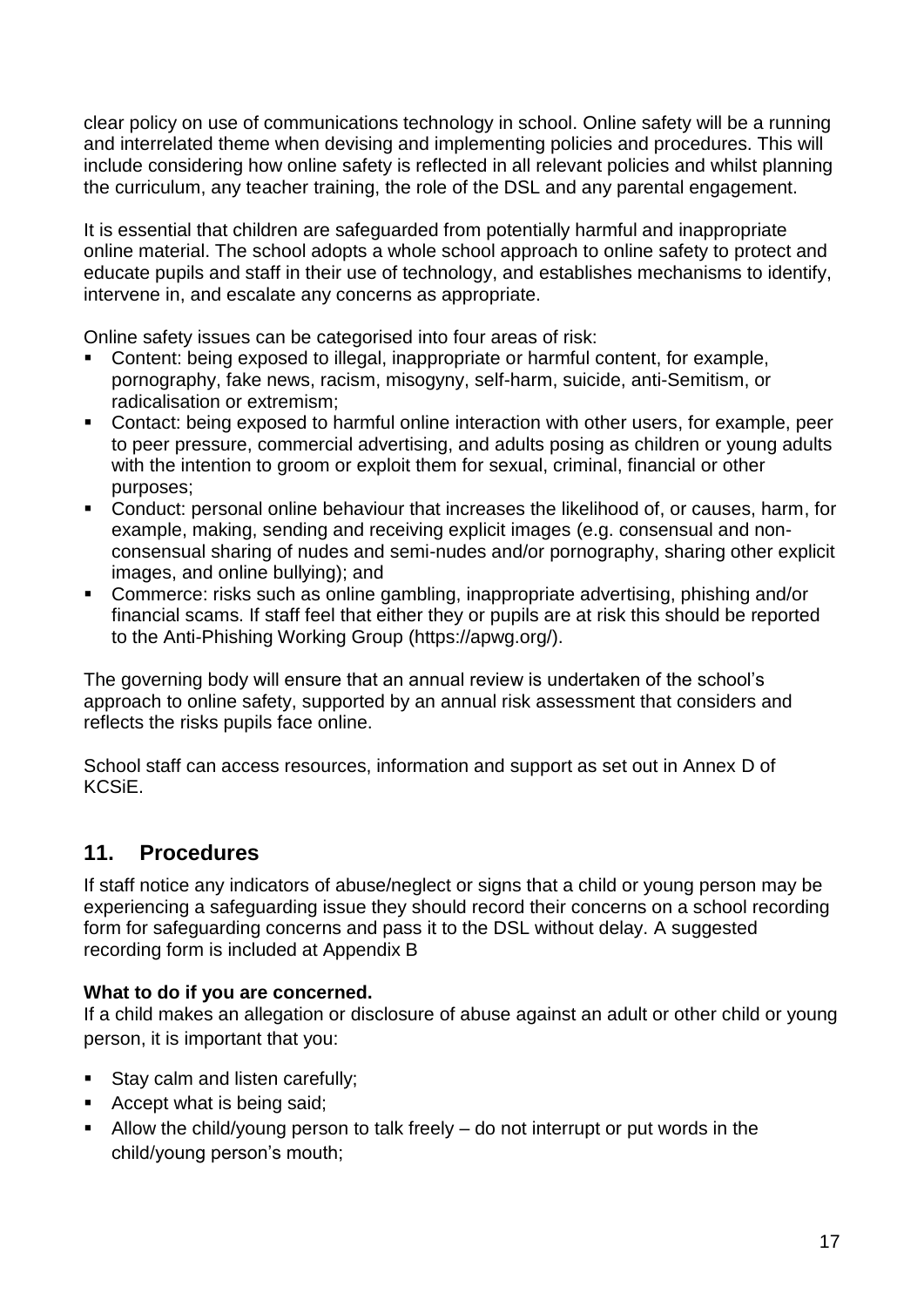clear policy on use of communications technology in school. Online safety will be a running and interrelated theme when devising and implementing policies and procedures. This will include considering how online safety is reflected in all relevant policies and whilst planning the curriculum, any teacher training, the role of the DSL and any parental engagement.

It is essential that children are safeguarded from potentially harmful and inappropriate online material. The school adopts a whole school approach to online safety to protect and educate pupils and staff in their use of technology, and establishes mechanisms to identify, intervene in, and escalate any concerns as appropriate.

Online safety issues can be categorised into four areas of risk:

- Content: being exposed to illegal, inappropriate or harmful content, for example, pornography, fake news, racism, misogyny, self-harm, suicide, anti-Semitism, or radicalisation or extremism;
- Contact: being exposed to harmful online interaction with other users, for example, peer to peer pressure, commercial advertising, and adults posing as children or young adults with the intention to groom or exploit them for sexual, criminal, financial or other purposes;
- Conduct: personal online behaviour that increases the likelihood of, or causes, harm, for example, making, sending and receiving explicit images (e.g. consensual and nonconsensual sharing of nudes and semi-nudes and/or pornography, sharing other explicit images, and online bullying); and
- Commerce: risks such as online gambling, inappropriate advertising, phishing and/or financial scams. If staff feel that either they or pupils are at risk this should be reported to the Anti-Phishing Working Group (https://apwg.org/).

The governing body will ensure that an annual review is undertaken of the school's approach to online safety, supported by an annual risk assessment that considers and reflects the risks pupils face online.

School staff can access resources, information and support as set out in Annex D of KCSiE.

## **11. Procedures**

If staff notice any indicators of abuse/neglect or signs that a child or young person may be experiencing a safeguarding issue they should record their concerns on a school recording form for safeguarding concerns and pass it to the DSL without delay. A suggested recording form is included at Appendix B

#### **What to do if you are concerned.**

If a child makes an allegation or disclosure of abuse against an adult or other child or young person, it is important that you:

- Stay calm and listen carefully;
- Accept what is being said;
- **EXECUTE:** Allow the child/young person to talk freely  $-$  do not interrupt or put words in the child/young person's mouth;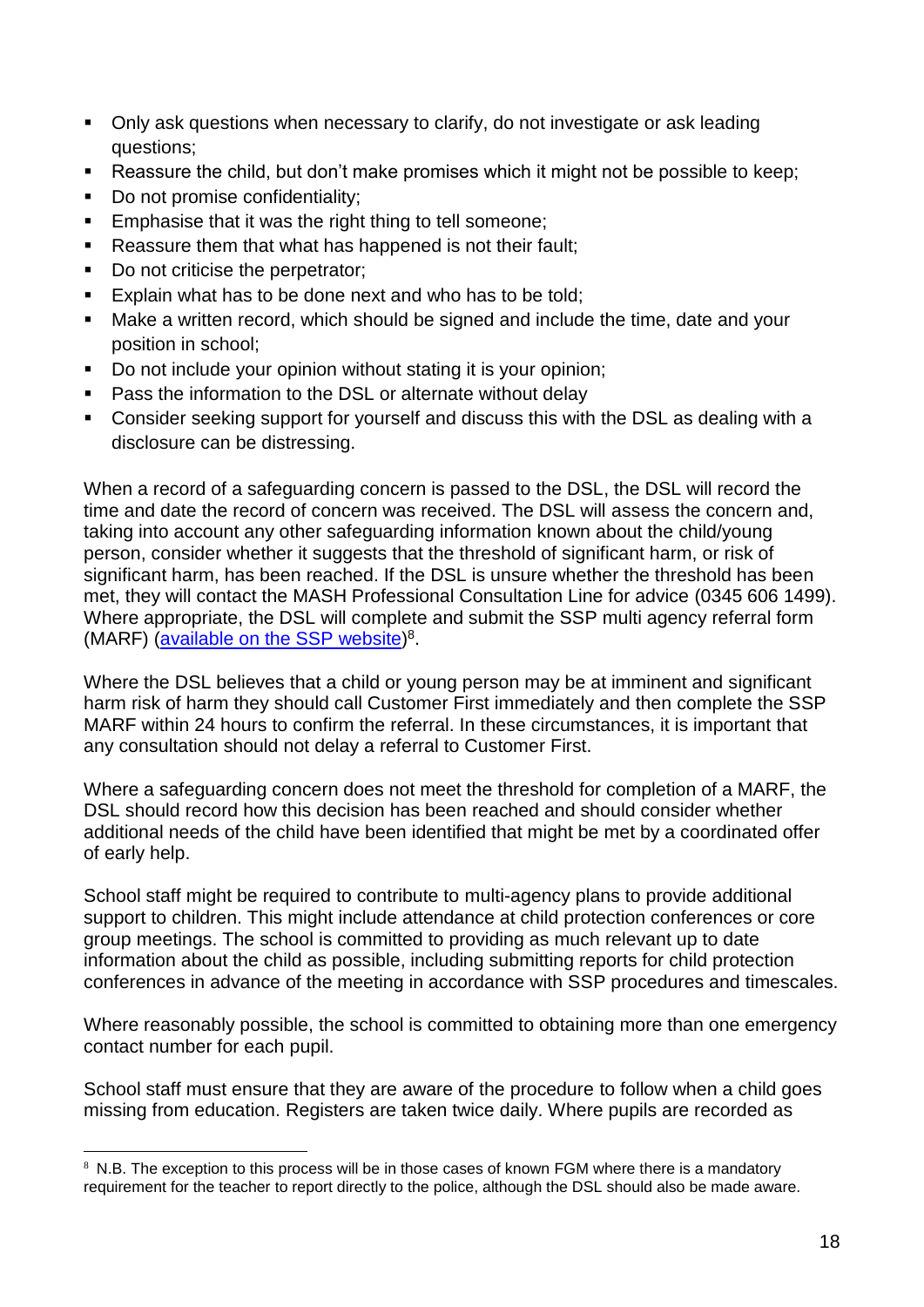- Only ask questions when necessary to clarify, do not investigate or ask leading questions;
- Reassure the child, but don't make promises which it might not be possible to keep;
- Do not promise confidentiality;
- Emphasise that it was the right thing to tell someone;
- Reassure them that what has happened is not their fault;
- Do not criticise the perpetrator;
- Explain what has to be done next and who has to be told;
- Make a written record, which should be signed and include the time, date and your position in school;
- Do not include your opinion without stating it is your opinion;
- Pass the information to the DSL or alternate without delay
- Consider seeking support for yourself and discuss this with the DSL as dealing with a disclosure can be distressing.

When a record of a safeguarding concern is passed to the DSL, the DSL will record the time and date the record of concern was received. The DSL will assess the concern and, taking into account any other safeguarding information known about the child/young person, consider whether it suggests that the threshold of significant harm, or risk of significant harm, has been reached. If the DSL is unsure whether the threshold has been met, they will contact the MASH Professional Consultation Line for advice (0345 606 1499). Where appropriate, the DSL will complete and submit the SSP multi agency referral form (MARF) [\(available on the SSP](https://earlyhelpportal.suffolk.gov.uk/web/portal/pages/marf#h1) website)<sup>8</sup>.

Where the DSL believes that a child or young person may be at imminent and significant harm risk of harm they should call Customer First immediately and then complete the SSP MARF within 24 hours to confirm the referral. In these circumstances, it is important that any consultation should not delay a referral to Customer First.

Where a safeguarding concern does not meet the threshold for completion of a MARF, the DSL should record how this decision has been reached and should consider whether additional needs of the child have been identified that might be met by a coordinated offer of early help.

School staff might be required to contribute to multi-agency plans to provide additional support to children. This might include attendance at child protection conferences or core group meetings. The school is committed to providing as much relevant up to date information about the child as possible, including submitting reports for child protection conferences in advance of the meeting in accordance with SSP procedures and timescales.

Where reasonably possible, the school is committed to obtaining more than one emergency contact number for each pupil.

School staff must ensure that they are aware of the procedure to follow when a child goes missing from education. Registers are taken twice daily. Where pupils are recorded as

<sup>1</sup>  $8$  N.B. The exception to this process will be in those cases of known FGM where there is a mandatory requirement for the teacher to report directly to the police, although the DSL should also be made aware.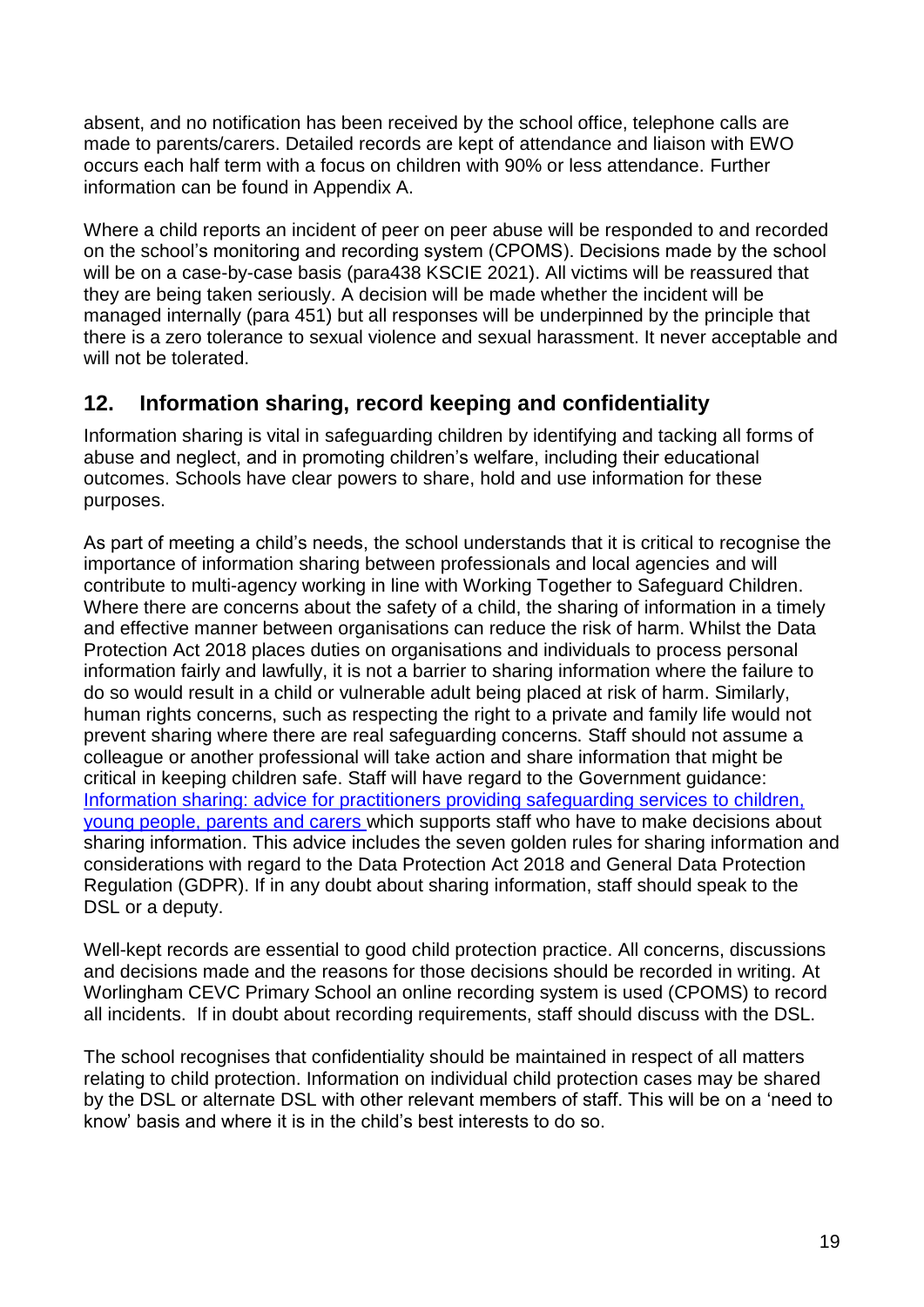absent, and no notification has been received by the school office, telephone calls are made to parents/carers. Detailed records are kept of attendance and liaison with EWO occurs each half term with a focus on children with 90% or less attendance. Further information can be found in Appendix A.

Where a child reports an incident of peer on peer abuse will be responded to and recorded on the school's monitoring and recording system (CPOMS). Decisions made by the school will be on a case-by-case basis (para438 KSCIE 2021). All victims will be reassured that they are being taken seriously. A decision will be made whether the incident will be managed internally (para 451) but all responses will be underpinned by the principle that there is a zero tolerance to sexual violence and sexual harassment. It never acceptable and will not be tolerated.

## **12. Information sharing, record keeping and confidentiality**

Information sharing is vital in safeguarding children by identifying and tacking all forms of abuse and neglect, and in promoting children's welfare, including their educational outcomes. Schools have clear powers to share, hold and use information for these purposes.

As part of meeting a child's needs, the school understands that it is critical to recognise the importance of information sharing between professionals and local agencies and will contribute to multi-agency working in line with Working Together to Safeguard Children. Where there are concerns about the safety of a child, the sharing of information in a timely and effective manner between organisations can reduce the risk of harm. Whilst the Data Protection Act 2018 places duties on organisations and individuals to process personal information fairly and lawfully, it is not a barrier to sharing information where the failure to do so would result in a child or vulnerable adult being placed at risk of harm. Similarly, human rights concerns, such as respecting the right to a private and family life would not prevent sharing where there are real safeguarding concerns. Staff should not assume a colleague or another professional will take action and share information that might be critical in keeping children safe. Staff will have regard to the Government guidance: [Information sharing: advice for practitioners providing safeguarding services](https://assets.publishing.service.gov.uk/government/uploads/system/uploads/attachment_data/file/721581/Information_sharing_advice_practitioners_safeguarding_services.pdf) to children, [young people, parents and carers w](https://assets.publishing.service.gov.uk/government/uploads/system/uploads/attachment_data/file/721581/Information_sharing_advice_practitioners_safeguarding_services.pdf)hich supports staff who have to make decisions about sharing information. This advice includes the seven golden rules for sharing information and considerations with regard to the Data Protection Act 2018 and General Data Protection Regulation (GDPR). If in any doubt about sharing information, staff should speak to the DSL or a deputy.

Well-kept records are essential to good child protection practice. All concerns, discussions and decisions made and the reasons for those decisions should be recorded in writing. At Worlingham CEVC Primary School an online recording system is used (CPOMS) to record all incidents. If in doubt about recording requirements, staff should discuss with the DSL.

The school recognises that confidentiality should be maintained in respect of all matters relating to child protection. Information on individual child protection cases may be shared by the DSL or alternate DSL with other relevant members of staff. This will be on a 'need to know' basis and where it is in the child's best interests to do so.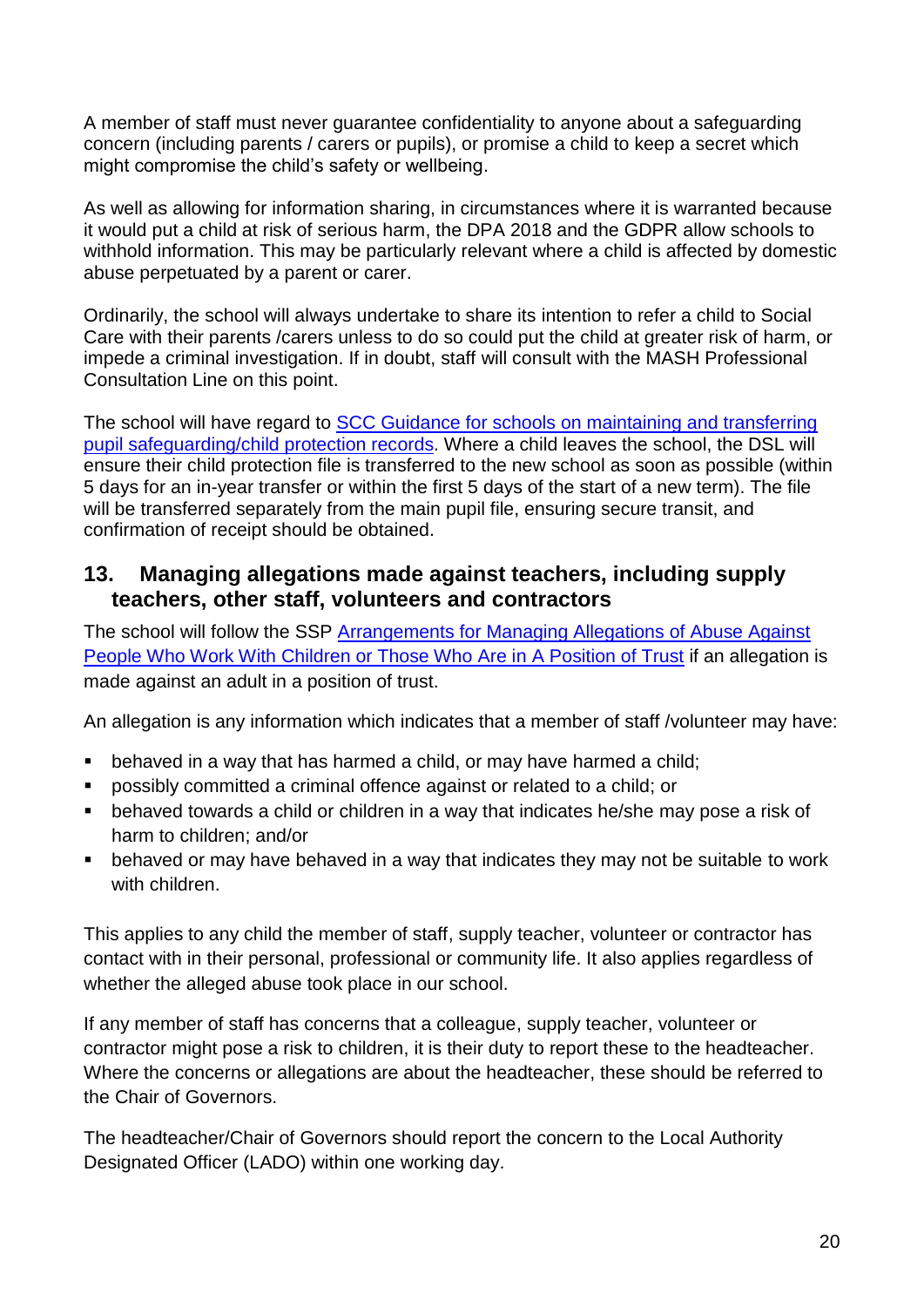A member of staff must never guarantee confidentiality to anyone about a safeguarding concern (including parents / carers or pupils), or promise a child to keep a secret which might compromise the child's safety or wellbeing.

As well as allowing for information sharing, in circumstances where it is warranted because it would put a child at risk of serious harm, the DPA 2018 and the GDPR allow schools to withhold information. This may be particularly relevant where a child is affected by domestic abuse perpetuated by a parent or carer.

Ordinarily, the school will always undertake to share its intention to refer a child to Social Care with their parents /carers unless to do so could put the child at greater risk of harm, or impede a criminal investigation. If in doubt, staff will consult with the MASH Professional Consultation Line on this point.

The school will have regard to [SCC Guidance for schools on maintaining and transferring](file://///wor2k12/Users$/Teachers/mbrown/Downloads/wa_29-8-2019-101753_Guidance_for_schools_on_maintaining_pupil_safeguarding_Sept_2019.pdf)  [pupil safeguarding/child protection records.](file://///wor2k12/Users$/Teachers/mbrown/Downloads/wa_29-8-2019-101753_Guidance_for_schools_on_maintaining_pupil_safeguarding_Sept_2019.pdf) Where a child leaves the school, the DSL will ensure their child protection file is transferred to the new school as soon as possible (within 5 days for an in-year transfer or within the first 5 days of the start of a new term). The file will be transferred separately from the main pupil file, ensuring secure transit, and confirmation of receipt should be obtained.

### **13. Managing allegations made against teachers, including supply teachers, other staff, volunteers and contractors**

The school will follow the SSP Arrangements for Managing Allegations of Abuse Against [People Who Work With Children or Those Who Are in A Position of Trust](https://suffolksp.org.uk/assets/Working-with-Children-Adults/LADO/2019-12-10-Arrangements-for-Managing-Allegations-of-Abuse-v9.pdf) if an allegation is made against an adult in a position of trust.

An allegation is any information which indicates that a member of staff /volunteer may have:

- behaved in a way that has harmed a child, or may have harmed a child;
- possibly committed a criminal offence against or related to a child; or
- behaved towards a child or children in a way that indicates he/she may pose a risk of harm to children; and/or
- **E** behaved or may have behaved in a way that indicates they may not be suitable to work with children.

This applies to any child the member of staff, supply teacher, volunteer or contractor has contact with in their personal, professional or community life. It also applies regardless of whether the alleged abuse took place in our school.

If any member of staff has concerns that a colleague, supply teacher, volunteer or contractor might pose a risk to children, it is their duty to report these to the headteacher. Where the concerns or allegations are about the headteacher, these should be referred to the Chair of Governors.

The headteacher/Chair of Governors should report the concern to the Local Authority Designated Officer (LADO) within one working day.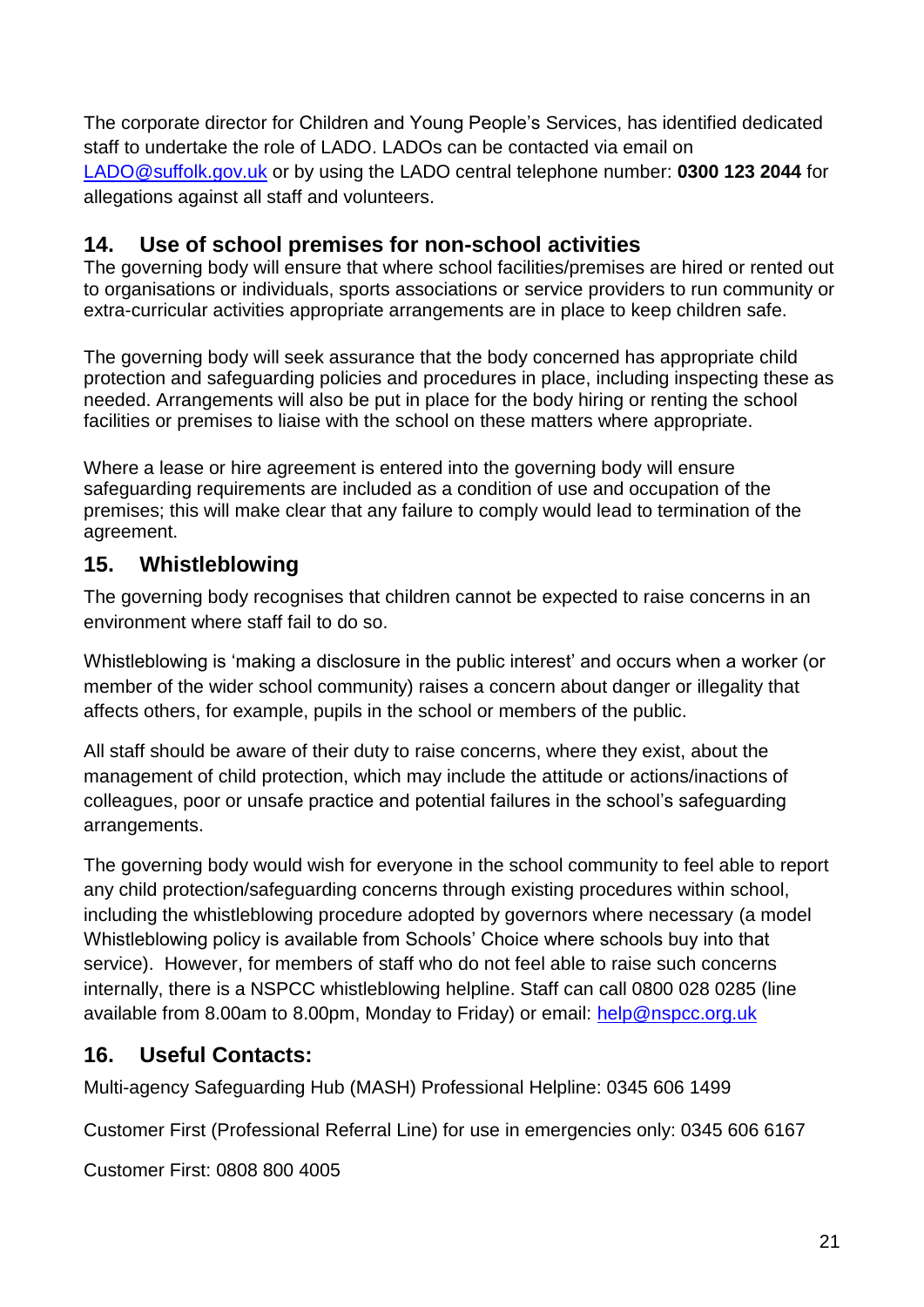The corporate director for Children and Young People's Services, has identified dedicated staff to undertake the role of LADO. LADOs can be contacted via email on [LADO@suffolk.gov.uk](mailto:LADO@suffolk.gov.uk) or by using the LADO central telephone number: **0300 123 2044** for allegations against all staff and volunteers.

## **14. Use of school premises for non-school activities**

The governing body will ensure that where school facilities/premises are hired or rented out to organisations or individuals, sports associations or service providers to run community or extra-curricular activities appropriate arrangements are in place to keep children safe.

The governing body will seek assurance that the body concerned has appropriate child protection and safeguarding policies and procedures in place, including inspecting these as needed. Arrangements will also be put in place for the body hiring or renting the school facilities or premises to liaise with the school on these matters where appropriate.

Where a lease or hire agreement is entered into the governing body will ensure safeguarding requirements are included as a condition of use and occupation of the premises; this will make clear that any failure to comply would lead to termination of the agreement.

## **15. Whistleblowing**

The governing body recognises that children cannot be expected to raise concerns in an environment where staff fail to do so.

Whistleblowing is 'making a disclosure in the public interest' and occurs when a worker (or member of the wider school community) raises a concern about danger or illegality that affects others, for example, pupils in the school or members of the public.

All staff should be aware of their duty to raise concerns, where they exist, about the management of child protection, which may include the attitude or actions/inactions of colleagues, poor or unsafe practice and potential failures in the school's safeguarding arrangements.

The governing body would wish for everyone in the school community to feel able to report any child protection/safeguarding concerns through existing procedures within school, including the whistleblowing procedure adopted by governors where necessary (a model Whistleblowing policy is available from Schools' Choice where schools buy into that service). However, for members of staff who do not feel able to raise such concerns internally, there is a NSPCC whistleblowing helpline. Staff can call 0800 028 0285 (line available from 8.00am to 8.00pm, Monday to Friday) or email: [help@nspcc.org.uk](mailto:help@nspcc.org.uk)

## **16. Useful Contacts:**

Multi-agency Safeguarding Hub (MASH) Professional Helpline: 0345 606 [1499](tel:00443456061499)

Customer First (Professional Referral Line) for use in emergencies only: [0345](tel:00443456066167) 606 6167

Customer First: 0808 800 4005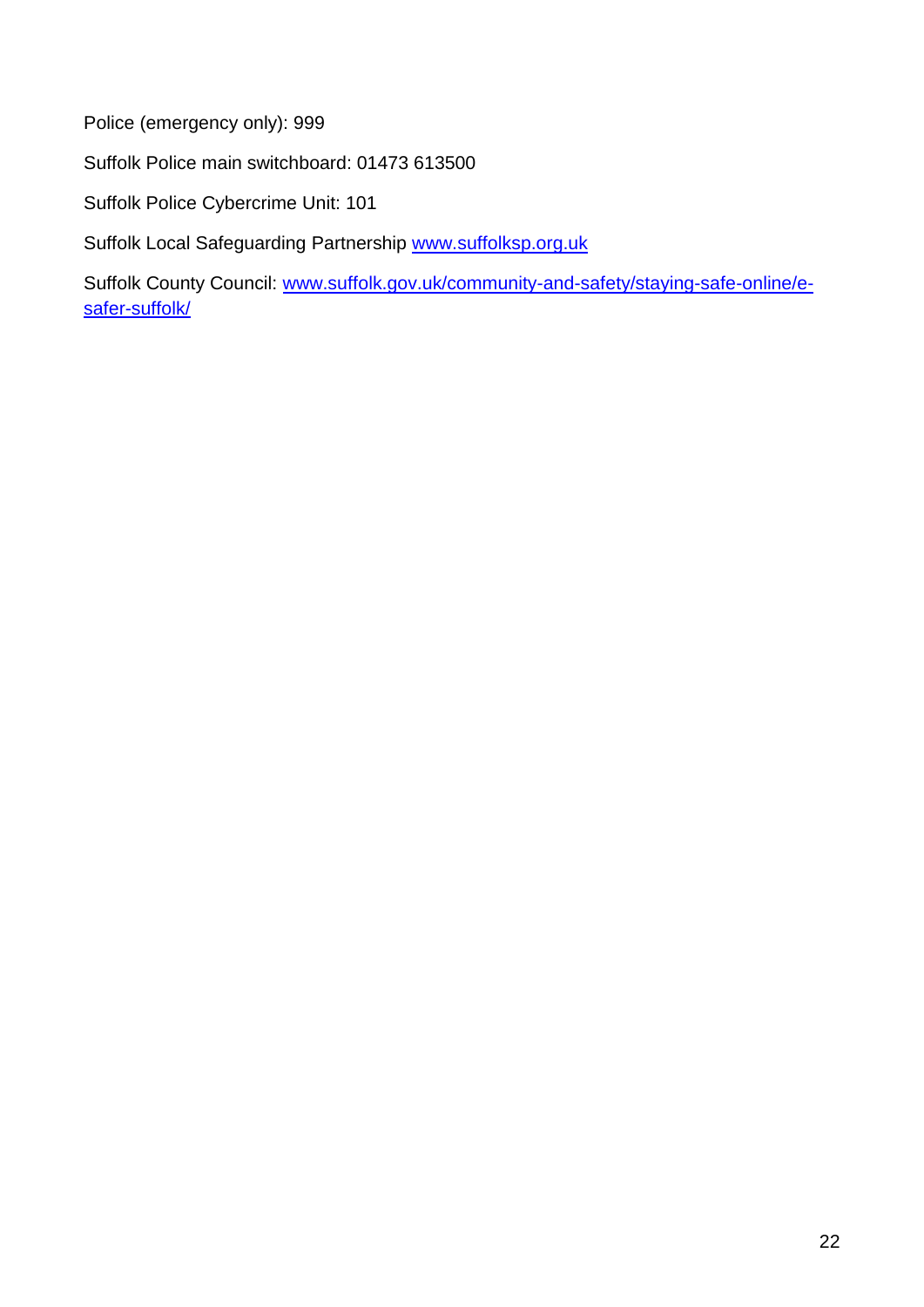Police (emergency only): 999

Suffolk Police main switchboard: 01473 613500

Suffolk Police Cybercrime Unit: 101

Suffolk Local Safeguarding Partnership [www.suffolksp.org.uk](http://www.suffolksp.org.uk/)

Suffolk County Council: [www.suffolk.gov.uk/community-and-safety/staying-safe-online/e](http://www.suffolk.gov.uk/community-and-safety/staying-safe-online/e-safer-suffolk/)[safer-suffolk/](http://www.suffolk.gov.uk/community-and-safety/staying-safe-online/e-safer-suffolk/)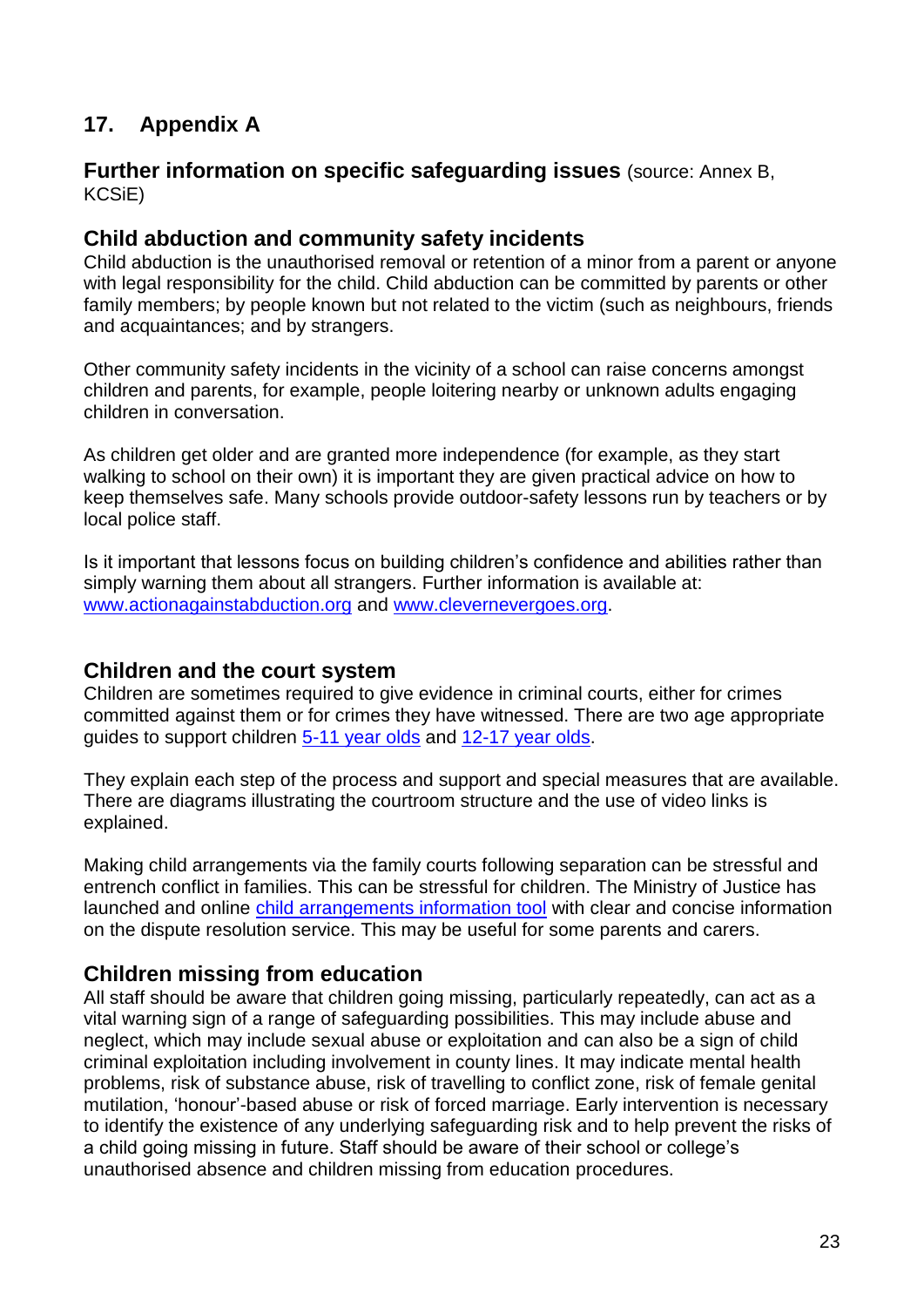## **17. Appendix A**

#### **Further information on specific safeguarding issues** (source: Annex B, KCSiE)

#### **Child abduction and community safety incidents**

Child abduction is the unauthorised removal or retention of a minor from a parent or anyone with legal responsibility for the child. Child abduction can be committed by parents or other family members; by people known but not related to the victim (such as neighbours, friends and acquaintances; and by strangers.

Other community safety incidents in the vicinity of a school can raise concerns amongst children and parents, for example, people loitering nearby or unknown adults engaging children in conversation.

As children get older and are granted more independence (for example, as they start walking to school on their own) it is important they are given practical advice on how to keep themselves safe. Many schools provide outdoor-safety lessons run by teachers or by local police staff.

Is it important that lessons focus on building children's confidence and abilities rather than simply warning them about all strangers. Further information is available at: [www.actionagainstabduction.org](http://www.actionagainstabduction.org/) and [www.clevernevergoes.org.](https://clevernevergoes.org/)

### **Children and the court system**

Children are sometimes required to give evidence in criminal courts, either for crimes committed against them or for crimes they have witnessed. There are two age appropriate guides to support children [5-11 year olds](https://www.gov.uk/government/publications/young-witness-booklet-for-5-to-11-year-olds) and [12-17 year olds.](https://www.gov.uk/government/publications/young-witness-booklet-for-12-to-17-year-olds)

They explain each step of the process and support and special measures that are available. There are diagrams illustrating the courtroom structure and the use of video links is explained.

Making child arrangements via the family courts following separation can be stressful and entrench conflict in families. This can be stressful for children. The Ministry of Justice has launched and online [child arrangements information tool](https://helpwithchildarrangements.service.justice.gov.uk/) with clear and concise information on the dispute resolution service. This may be useful for some parents and carers.

### **Children missing from education**

All staff should be aware that children going missing, particularly repeatedly, can act as a vital warning sign of a range of safeguarding possibilities. This may include abuse and neglect, which may include sexual abuse or exploitation and can also be a sign of child criminal exploitation including involvement in county lines. It may indicate mental health problems, risk of substance abuse, risk of travelling to conflict zone, risk of female genital mutilation, 'honour'-based abuse or risk of forced marriage. Early intervention is necessary to identify the existence of any underlying safeguarding risk and to help prevent the risks of a child going missing in future. Staff should be aware of their school or college's unauthorised absence and children missing from education procedures.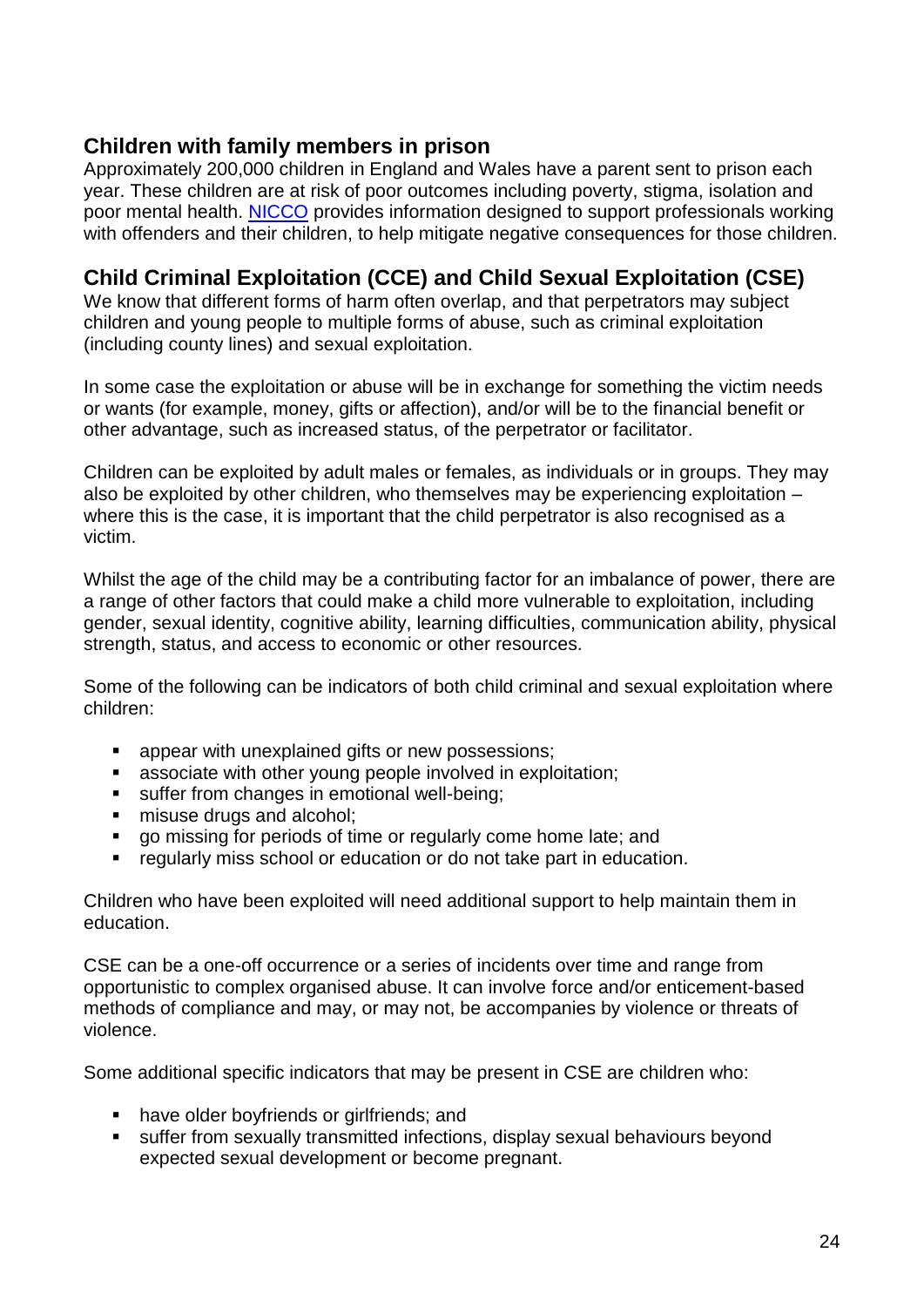### **Children with family members in prison**

Approximately 200,000 children in England and Wales have a parent sent to prison each year. These children are at risk of poor outcomes including poverty, stigma, isolation and poor mental health. [NICCO](https://www.nicco.org.uk/) provides information designed to support professionals working with offenders and their children, to help mitigate negative consequences for those children.

## **Child Criminal Exploitation (CCE) and Child Sexual Exploitation (CSE)**

We know that different forms of harm often overlap, and that perpetrators may subject children and young people to multiple forms of abuse, such as criminal exploitation (including county lines) and sexual exploitation.

In some case the exploitation or abuse will be in exchange for something the victim needs or wants (for example, money, gifts or affection), and/or will be to the financial benefit or other advantage, such as increased status, of the perpetrator or facilitator.

Children can be exploited by adult males or females, as individuals or in groups. They may also be exploited by other children, who themselves may be experiencing exploitation – where this is the case, it is important that the child perpetrator is also recognised as a victim.

Whilst the age of the child may be a contributing factor for an imbalance of power, there are a range of other factors that could make a child more vulnerable to exploitation, including gender, sexual identity, cognitive ability, learning difficulties, communication ability, physical strength, status, and access to economic or other resources.

Some of the following can be indicators of both child criminal and sexual exploitation where children:

- appear with unexplained gifts or new possessions;
- associate with other young people involved in exploitation;
- suffer from changes in emotional well-being;
- misuse drugs and alcohol:
- go missing for periods of time or regularly come home late; and
- regularly miss school or education or do not take part in education.

Children who have been exploited will need additional support to help maintain them in education.

CSE can be a one-off occurrence or a series of incidents over time and range from opportunistic to complex organised abuse. It can involve force and/or enticement-based methods of compliance and may, or may not, be accompanies by violence or threats of violence.

Some additional specific indicators that may be present in CSE are children who:

- have older boyfriends or girlfriends; and
- suffer from sexually transmitted infections, display sexual behaviours beyond expected sexual development or become pregnant.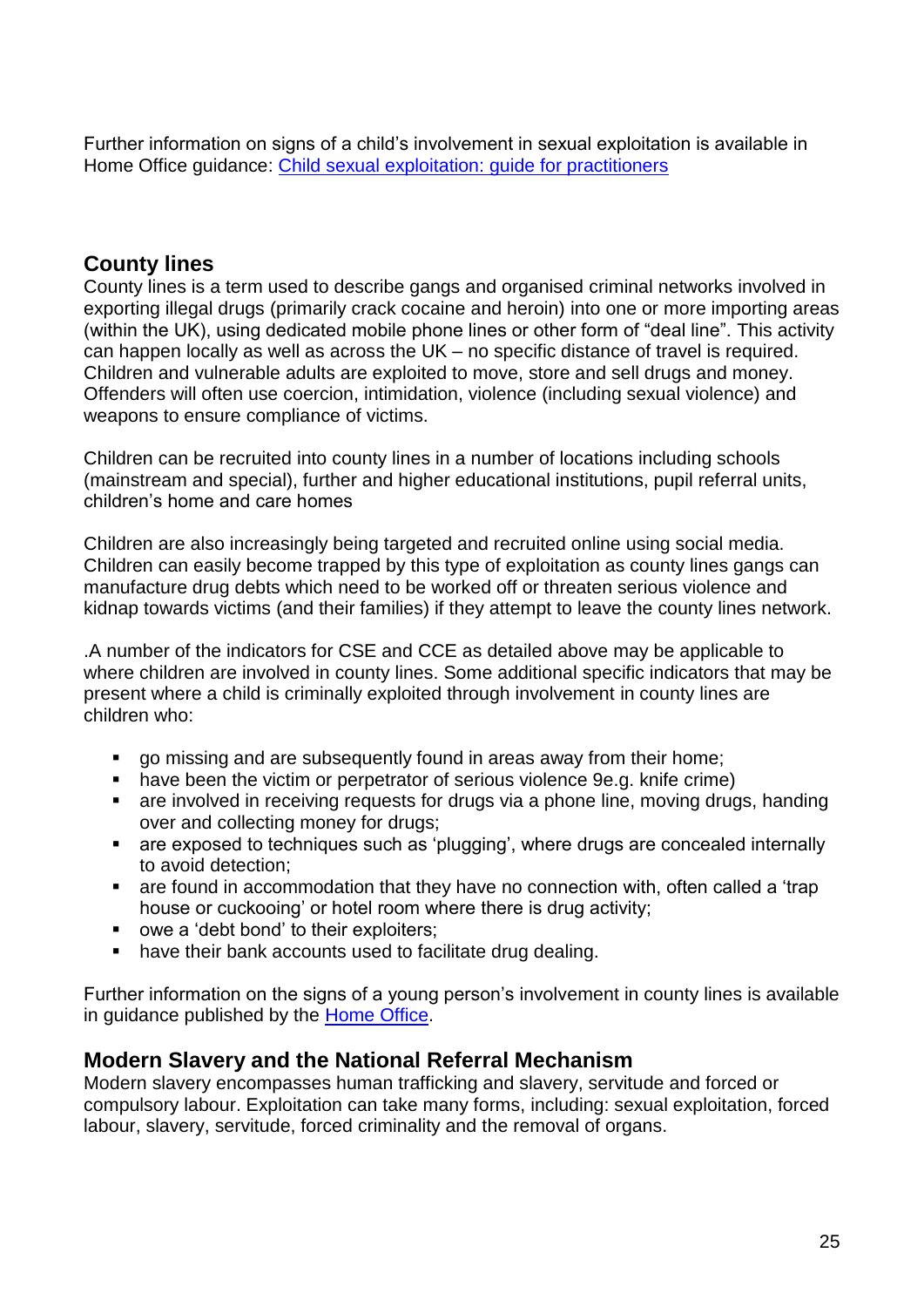Further information on signs of a child's involvement in sexual exploitation is available in Home Office guidance: [Child sexual exploitation: guide for practitioners](https://assets.publishing.service.gov.uk/government/uploads/system/uploads/attachment_data/file/591903/CSE_Guidance_Core_Document_13.02.2017.pdf)

## **County lines**

County lines is a term used to describe gangs and organised criminal networks involved in exporting illegal drugs (primarily crack cocaine and heroin) into one or more importing areas (within the UK), using dedicated mobile phone lines or other form of "deal line". This activity can happen locally as well as across the UK – no specific distance of travel is required. Children and vulnerable adults are exploited to move, store and sell drugs and money. Offenders will often use coercion, intimidation, violence (including sexual violence) and weapons to ensure compliance of victims.

Children can be recruited into county lines in a number of locations including schools (mainstream and special), further and higher educational institutions, pupil referral units, children's home and care homes

Children are also increasingly being targeted and recruited online using social media. Children can easily become trapped by this type of exploitation as county lines gangs can manufacture drug debts which need to be worked off or threaten serious violence and kidnap towards victims (and their families) if they attempt to leave the county lines network.

.A number of the indicators for CSE and CCE as detailed above may be applicable to where children are involved in county lines. Some additional specific indicators that may be present where a child is criminally exploited through involvement in county lines are children who:

- go missing and are subsequently found in areas away from their home;
- have been the victim or perpetrator of serious violence 9e.g. knife crime)
- are involved in receiving requests for drugs via a phone line, moving drugs, handing over and collecting money for drugs;
- are exposed to techniques such as 'plugging', where drugs are concealed internally to avoid detection;
- are found in accommodation that they have no connection with, often called a 'trap house or cuckooing' or hotel room where there is drug activity;
- owe a 'debt bond' to their exploiters;
- have their bank accounts used to facilitate drug dealing.

Further information on the signs of a young person's involvement in county lines is available in guidance published by the **Home Office**.

### **Modern Slavery and the National Referral Mechanism**

Modern slavery encompasses human trafficking and slavery, servitude and forced or compulsory labour. Exploitation can take many forms, including: sexual exploitation, forced labour, slavery, servitude, forced criminality and the removal of organs.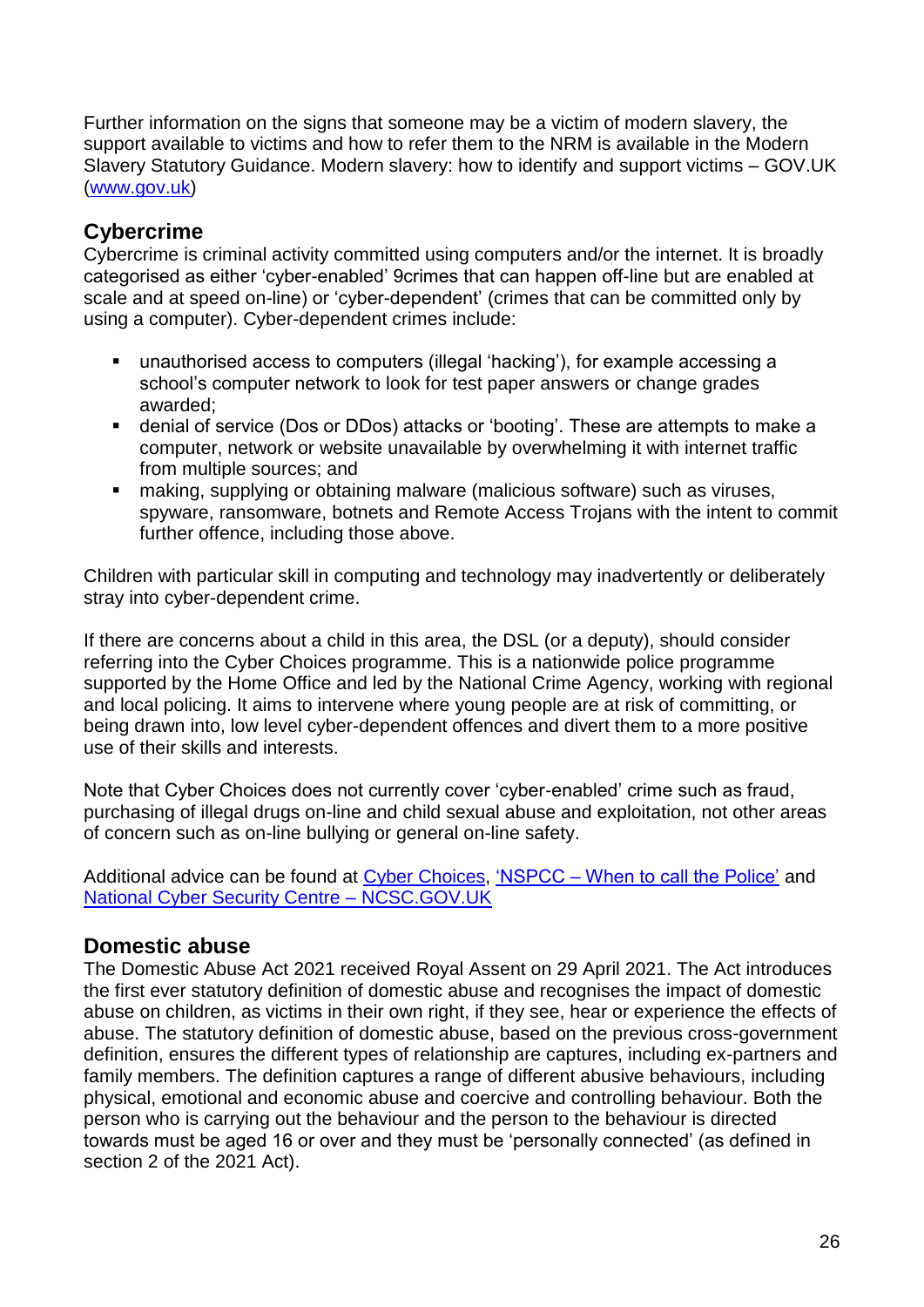Further information on the signs that someone may be a victim of modern slavery, the support available to victims and how to refer them to the NRM is available in the Modern Slavery Statutory Guidance. Modern slavery: how to identify and support victims – GOV.UK [\(www.gov.uk\)](http://www.gov.uk/)

## **Cybercrime**

Cybercrime is criminal activity committed using computers and/or the internet. It is broadly categorised as either 'cyber-enabled' 9crimes that can happen off-line but are enabled at scale and at speed on-line) or 'cyber-dependent' (crimes that can be committed only by using a computer). Cyber-dependent crimes include:

- unauthorised access to computers (illegal 'hacking'), for example accessing a school's computer network to look for test paper answers or change grades awarded;
- denial of service (Dos or DDos) attacks or 'booting'. These are attempts to make a computer, network or website unavailable by overwhelming it with internet traffic from multiple sources; and
- making, supplying or obtaining malware (malicious software) such as viruses, spyware, ransomware, botnets and Remote Access Trojans with the intent to commit further offence, including those above.

Children with particular skill in computing and technology may inadvertently or deliberately stray into cyber-dependent crime.

If there are concerns about a child in this area, the DSL (or a deputy), should consider referring into the Cyber Choices programme. This is a nationwide police programme supported by the Home Office and led by the National Crime Agency, working with regional and local policing. It aims to intervene where young people are at risk of committing, or being drawn into, low level cyber-dependent offences and divert them to a more positive use of their skills and interests.

Note that Cyber Choices does not currently cover 'cyber-enabled' crime such as fraud, purchasing of illegal drugs on-line and child sexual abuse and exploitation, not other areas of concern such as on-line bullying or general on-line safety.

Additional advice can be found at [Cyber Choices,](https://nationalcrimeagency.gov.uk/what-we-do/crime-threats/cyber-crime/cyberchoices) 'NSPCC – [When to call the Police'](https://www.npcc.police.uk/documents/Children%20and%20Young%20people/When%20to%20call%20the%20police%20guidance%20for%20schools%20and%20colleges.pdf) and [National Cyber Security Centre –](https://www.ncsc.gov.uk/) NCSC.GOV.UK

## **Domestic abuse**

The Domestic Abuse Act 2021 received Royal Assent on 29 April 2021. The Act introduces the first ever statutory definition of domestic abuse and recognises the impact of domestic abuse on children, as victims in their own right, if they see, hear or experience the effects of abuse. The statutory definition of domestic abuse, based on the previous cross-government definition, ensures the different types of relationship are captures, including ex-partners and family members. The definition captures a range of different abusive behaviours, including physical, emotional and economic abuse and coercive and controlling behaviour. Both the person who is carrying out the behaviour and the person to the behaviour is directed towards must be aged 16 or over and they must be 'personally connected' (as defined in section 2 of the 2021 Act).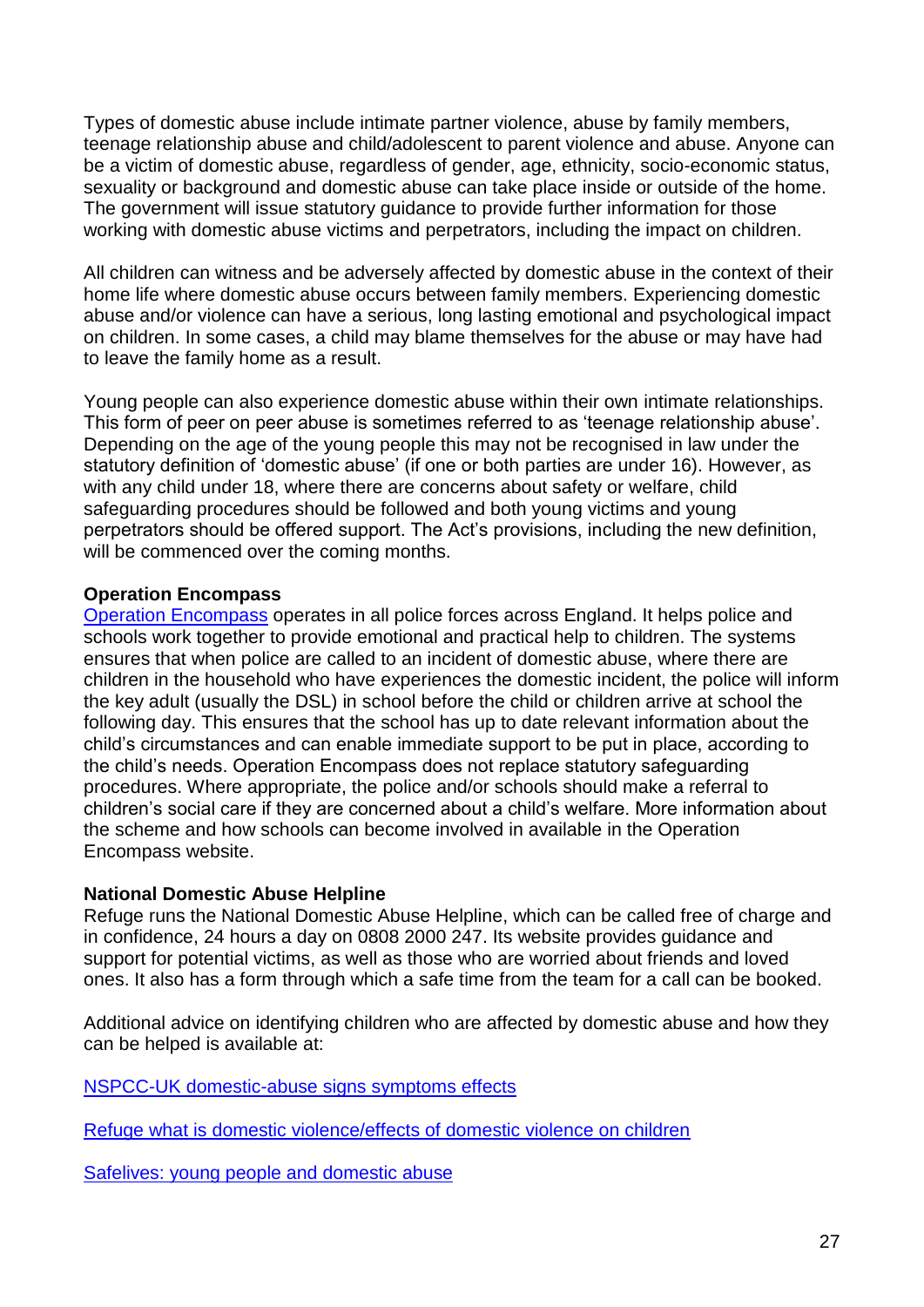Types of domestic abuse include intimate partner violence, abuse by family members, teenage relationship abuse and child/adolescent to parent violence and abuse. Anyone can be a victim of domestic abuse, regardless of gender, age, ethnicity, socio-economic status, sexuality or background and domestic abuse can take place inside or outside of the home. The government will issue statutory guidance to provide further information for those working with domestic abuse victims and perpetrators, including the impact on children.

All children can witness and be adversely affected by domestic abuse in the context of their home life where domestic abuse occurs between family members. Experiencing domestic abuse and/or violence can have a serious, long lasting emotional and psychological impact on children. In some cases, a child may blame themselves for the abuse or may have had to leave the family home as a result.

Young people can also experience domestic abuse within their own intimate relationships. This form of peer on peer abuse is sometimes referred to as 'teenage relationship abuse'. Depending on the age of the young people this may not be recognised in law under the statutory definition of 'domestic abuse' (if one or both parties are under 16). However, as with any child under 18, where there are concerns about safety or welfare, child safeguarding procedures should be followed and both young victims and young perpetrators should be offered support. The Act's provisions, including the new definition, will be commenced over the coming months.

#### **Operation Encompass**

[Operation Encompass](https://www.operationencompass.org/) operates in all police forces across England. It helps police and schools work together to provide emotional and practical help to children. The systems ensures that when police are called to an incident of domestic abuse, where there are children in the household who have experiences the domestic incident, the police will inform the key adult (usually the DSL) in school before the child or children arrive at school the following day. This ensures that the school has up to date relevant information about the child's circumstances and can enable immediate support to be put in place, according to the child's needs. Operation Encompass does not replace statutory safeguarding procedures. Where appropriate, the police and/or schools should make a referral to children's social care if they are concerned about a child's welfare. More information about the scheme and how schools can become involved in available in the Operation Encompass website.

#### **National Domestic Abuse Helpline**

Refuge runs the National Domestic Abuse Helpline, which can be called free of charge and in confidence, 24 hours a day on 0808 2000 247. Its website provides guidance and support for potential victims, as well as those who are worried about friends and loved ones. It also has a form through which a safe time from the team for a call can be booked.

Additional advice on identifying children who are affected by domestic abuse and how they can be helped is available at:

[NSPCC-UK domestic-abuse signs symptoms effects](https://www.nspcc.org.uk/preventing-abuse/child-abuse-and-neglect/domestic-abuse/signs-symptoms-effects/)

[Refuge what is domestic violence/effects of domestic violence on children](http://www.refuge.org.uk/get-help-now/support-for-women/what-about-my-children/)

[Safelives: young people and domestic abuse](http://www.safelives.org.uk/knowledge-hub/spotlights/spotlight-3-young-people-and-domestic-abuse)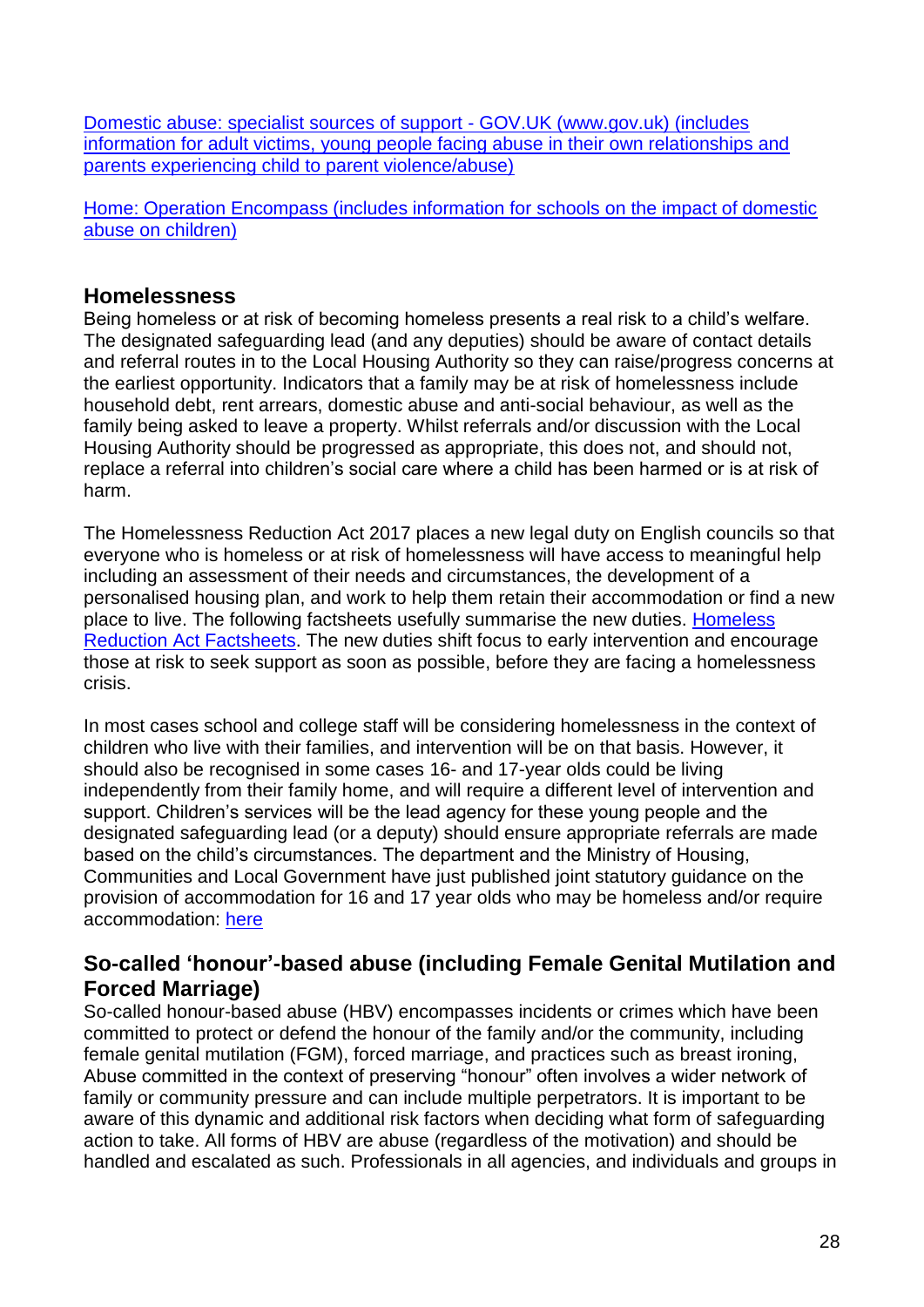[Domestic abuse: specialist sources of support -](https://www.gov.uk/government/publications/domestic-abuse-get-help-for-specific-needs-or-situations/domestic-abuse-specialist-sources-of-support) GOV.UK (www.gov.uk) (includes [information for adult victims, young people facing abuse in their own relationships and](https://www.gov.uk/government/publications/domestic-abuse-get-help-for-specific-needs-or-situations/domestic-abuse-specialist-sources-of-support)  [parents experiencing child to parent violence/abuse\)](https://www.gov.uk/government/publications/domestic-abuse-get-help-for-specific-needs-or-situations/domestic-abuse-specialist-sources-of-support)

[Home: Operation Encompass \(includes information for schools on the impact of domestic](https://www.operationencompass.org/)  [abuse on children\)](https://www.operationencompass.org/)

### **Homelessness**

Being homeless or at risk of becoming homeless presents a real risk to a child's welfare. The designated safeguarding lead (and any deputies) should be aware of contact details and referral routes in to the Local Housing Authority so they can raise/progress concerns at the earliest opportunity. Indicators that a family may be at risk of homelessness include household debt, rent arrears, domestic abuse and anti-social behaviour, as well as the family being asked to leave a property. Whilst referrals and/or discussion with the Local Housing Authority should be progressed as appropriate, this does not, and should not, replace a referral into children's social care where a child has been harmed or is at risk of harm.

The Homelessness Reduction Act 2017 places a new legal duty on English councils so that everyone who is homeless or at risk of homelessness will have access to meaningful help including an assessment of their needs and circumstances, the development of a personalised housing plan, and work to help them retain their accommodation or find a new place to live. The following factsheets usefully summarise the new duties. [Homeless](https://www.gov.uk/government/publications/homelessness-reduction-bill-policy-factsheets)  [Reduction Act Factsheets.](https://www.gov.uk/government/publications/homelessness-reduction-bill-policy-factsheets) The new duties shift focus to early intervention and encourage those at risk to seek support as soon as possible, before they are facing a homelessness crisis.

In most cases school and college staff will be considering homelessness in the context of children who live with their families, and intervention will be on that basis. However, it should also be recognised in some cases 16- and 17-year olds could be living independently from their family home, and will require a different level of intervention and support. Children's services will be the lead agency for these young people and the designated safeguarding lead (or a deputy) should ensure appropriate referrals are made based on the child's circumstances. The department and the Ministry of Housing, Communities and Local Government have just published joint statutory guidance on the provision of accommodation for 16 and 17 year olds who may be homeless and/or require accommodation: [here](https://www.gov.uk/government/publications/homelessness-reduction-bill-policy-factsheets)

### **So-called 'honour'-based abuse (including Female Genital Mutilation and Forced Marriage)**

So-called honour-based abuse (HBV) encompasses incidents or crimes which have been committed to protect or defend the honour of the family and/or the community, including female genital mutilation (FGM), forced marriage, and practices such as breast ironing, Abuse committed in the context of preserving "honour" often involves a wider network of family or community pressure and can include multiple perpetrators. It is important to be aware of this dynamic and additional risk factors when deciding what form of safeguarding action to take. All forms of HBV are abuse (regardless of the motivation) and should be handled and escalated as such. Professionals in all agencies, and individuals and groups in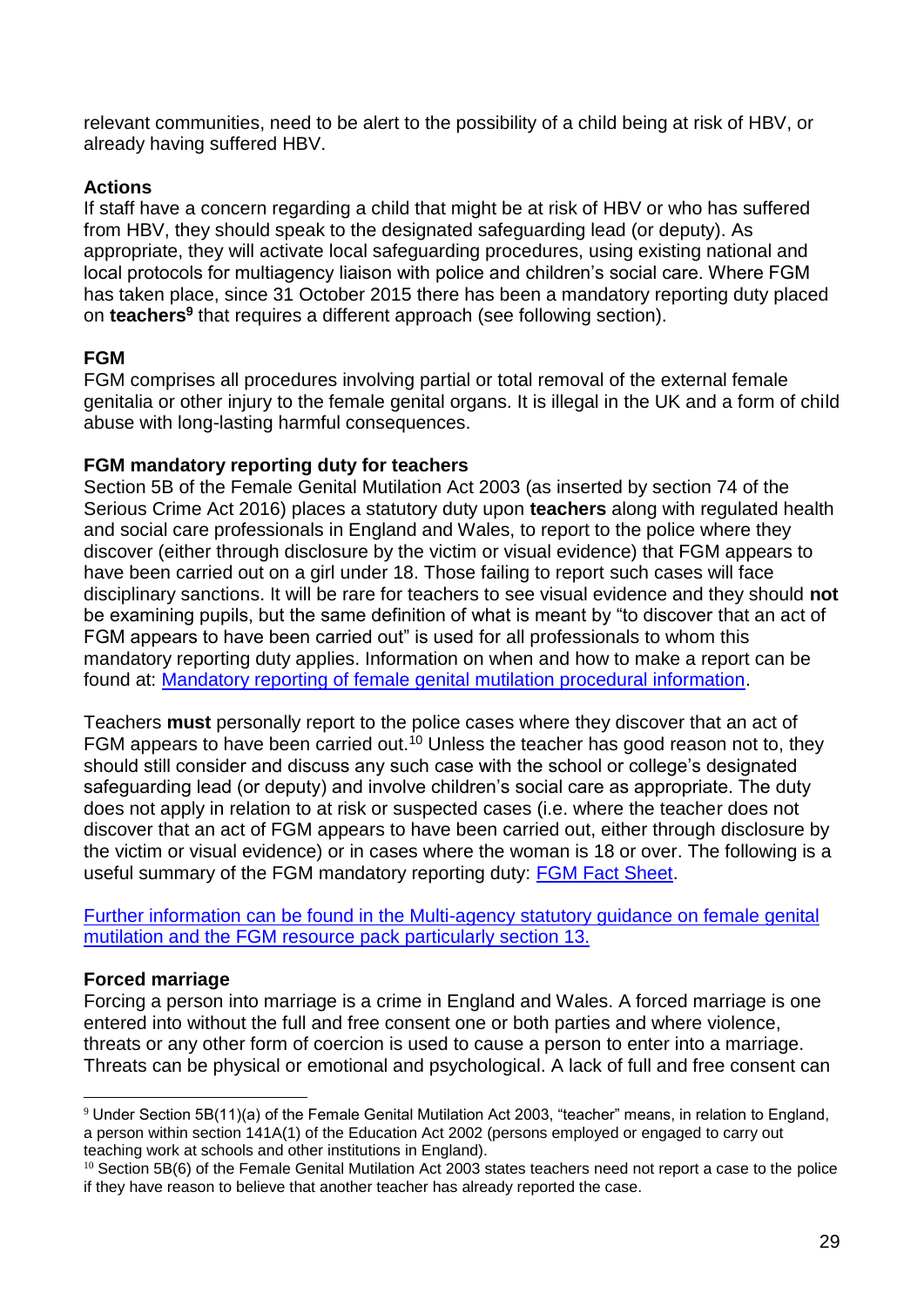relevant communities, need to be alert to the possibility of a child being at risk of HBV, or already having suffered HBV.

#### **Actions**

If staff have a concern regarding a child that might be at risk of HBV or who has suffered from HBV, they should speak to the designated safeguarding lead (or deputy). As appropriate, they will activate local safeguarding procedures, using existing national and local protocols for multiagency liaison with police and children's social care. Where FGM has taken place, since 31 October 2015 there has been a mandatory reporting duty placed on **teachers<sup>9</sup>** that requires a different approach (see following section).

#### **FGM**

FGM comprises all procedures involving partial or total removal of the external female genitalia or other injury to the female genital organs. It is illegal in the UK and a form of child abuse with long-lasting harmful consequences.

#### **FGM mandatory reporting duty for teachers**

Section 5B of the Female Genital Mutilation Act 2003 (as inserted by section 74 of the Serious Crime Act 2016) places a statutory duty upon **teachers** along with regulated health and social care professionals in England and Wales, to report to the police where they discover (either through disclosure by the victim or visual evidence) that FGM appears to have been carried out on a girl under 18. Those failing to report such cases will face disciplinary sanctions. It will be rare for teachers to see visual evidence and they should **not** be examining pupils, but the same definition of what is meant by "to discover that an act of FGM appears to have been carried out" is used for all professionals to whom this mandatory reporting duty applies. Information on when and how to make a report can be found at: [Mandatory reporting of female genital mutilation procedural information.](https://www.gov.uk/government/publications/mandatory-reporting-of-female-genital-mutilation-procedural-information)

Teachers **must** personally report to the police cases where they discover that an act of FGM appears to have been carried out.<sup>10</sup> Unless the teacher has good reason not to, they should still consider and discuss any such case with the school or college's designated safeguarding lead (or deputy) and involve children's social care as appropriate. The duty does not apply in relation to at risk or suspected cases (i.e. where the teacher does not discover that an act of FGM appears to have been carried out, either through disclosure by the victim or visual evidence) or in cases where the woman is 18 or over. The following is a useful summary of the FGM mandatory reporting duty: [FGM Fact Sheet.](https://assets.publishing.service.gov.uk/government/uploads/system/uploads/attachment_data/file/496415/6_1639_HO_SP_FGM_mandatory_reporting_Fact_sheet_Web.pdf)

[Further information can be found in the Multi-agency statutory guidance on female genital](https://assets.publishing.service.gov.uk/government/uploads/system/uploads/attachment_data/file/912996/6-1914-HO-Multi_Agency_Statutory_Guidance_on_FGM__-_MASTER_V7_-_FINAL__July_2020.pdf)  [mutilation and the FGM resource pack particularly section 13.](https://assets.publishing.service.gov.uk/government/uploads/system/uploads/attachment_data/file/912996/6-1914-HO-Multi_Agency_Statutory_Guidance_on_FGM__-_MASTER_V7_-_FINAL__July_2020.pdf)

### **Forced marriage**

1

Forcing a person into marriage is a crime in England and Wales. A forced marriage is one entered into without the full and free consent one or both parties and where violence, threats or any other form of coercion is used to cause a person to enter into a marriage. Threats can be physical or emotional and psychological. A lack of full and free consent can

<sup>9</sup> Under Section 5B(11)(a) of the Female Genital Mutilation Act 2003, "teacher" means, in relation to England, a person within section 141A(1) of the Education Act 2002 (persons employed or engaged to carry out teaching work at schools and other institutions in England).

 $10$  Section 5B(6) of the Female Genital Mutilation Act 2003 states teachers need not report a case to the police if they have reason to believe that another teacher has already reported the case.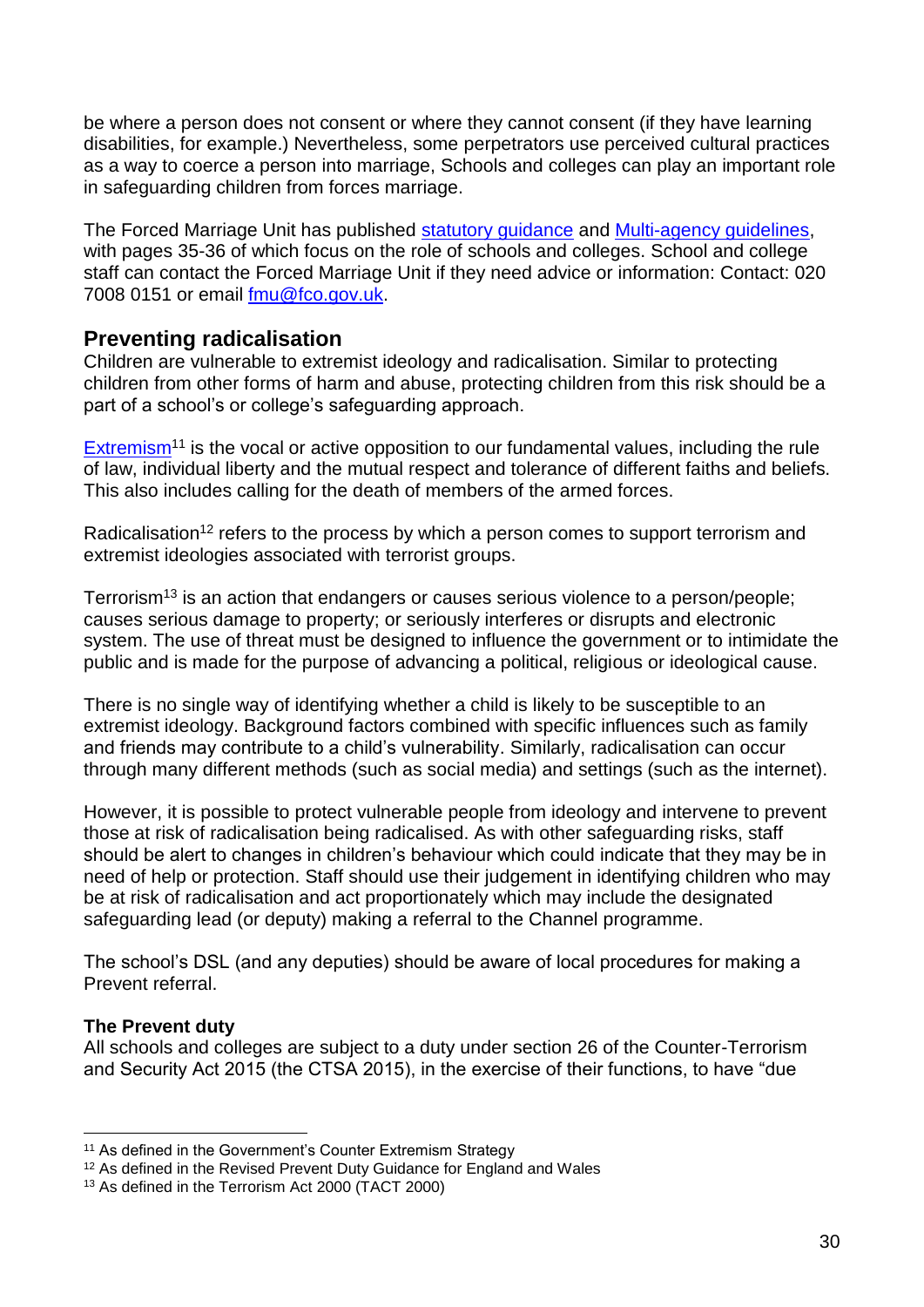be where a person does not consent or where they cannot consent (if they have learning disabilities, for example.) Nevertheless, some perpetrators use perceived cultural practices as a way to coerce a person into marriage, Schools and colleges can play an important role in safeguarding children from forces marriage.

The Forced Marriage Unit has published [statutory guidance](https://assets.publishing.service.gov.uk/government/uploads/system/uploads/attachment_data/file/322310/HMG_Statutory_Guidance_publication_180614_Final.pdf) and [Multi-agency guidelines,](https://assets.publishing.service.gov.uk/government/uploads/system/uploads/attachment_data/file/322307/HMG_MULTI_AGENCY_PRACTICE_GUIDELINES_v1_180614_FINAL.pdf) with pages 35-36 of which focus on the role of schools and colleges. School and college staff can contact the Forced Marriage Unit if they need advice or information: Contact: 020 7008 0151 or email [fmu@fco.gov.uk.](mailto:fmu@fco.gov.uk)

### **Preventing radicalisation**

Children are vulnerable to extremist ideology and radicalisation. Similar to protecting children from other forms of harm and abuse, protecting children from this risk should be a part of a school's or college's safeguarding approach.

[Extremism](https://assets.publishing.service.gov.uk/government/uploads/system/uploads/attachment_data/file/470088/51859_Cm9148_Accessible.pdf)<sup>11</sup> is the vocal or active opposition to our fundamental values, including the rule of law, individual liberty and the mutual respect and tolerance of different faiths and beliefs. This also includes calling for the death of members of the armed forces.

Radicalisation<sup>12</sup> refers to the process by which a person comes to support terrorism and extremist ideologies associated with terrorist groups.

Terrorism<sup>13</sup> is an action that endangers or causes serious violence to a person/people; causes serious damage to property; or seriously interferes or disrupts and electronic system. The use of threat must be designed to influence the government or to intimidate the public and is made for the purpose of advancing a political, religious or ideological cause.

There is no single way of identifying whether a child is likely to be susceptible to an extremist ideology. Background factors combined with specific influences such as family and friends may contribute to a child's vulnerability. Similarly, radicalisation can occur through many different methods (such as social media) and settings (such as the internet).

However, it is possible to protect vulnerable people from ideology and intervene to prevent those at risk of radicalisation being radicalised. As with other safeguarding risks, staff should be alert to changes in children's behaviour which could indicate that they may be in need of help or protection. Staff should use their judgement in identifying children who may be at risk of radicalisation and act proportionately which may include the designated safeguarding lead (or deputy) making a referral to the Channel programme.

The school's DSL (and any deputies) should be aware of local procedures for making a Prevent referral.

#### **The Prevent duty**

All schools and colleges are subject to a duty under section 26 of the Counter-Terrorism and Security Act 2015 (the CTSA 2015), in the exercise of their functions, to have "due

<sup>&</sup>lt;u>.</u> <sup>11</sup> As defined in the Government's Counter Extremism Strategy

<sup>&</sup>lt;sup>12</sup> As defined in the Revised Prevent Duty Guidance for England and Wales

<sup>&</sup>lt;sup>13</sup> As defined in the Terrorism Act 2000 (TACT 2000)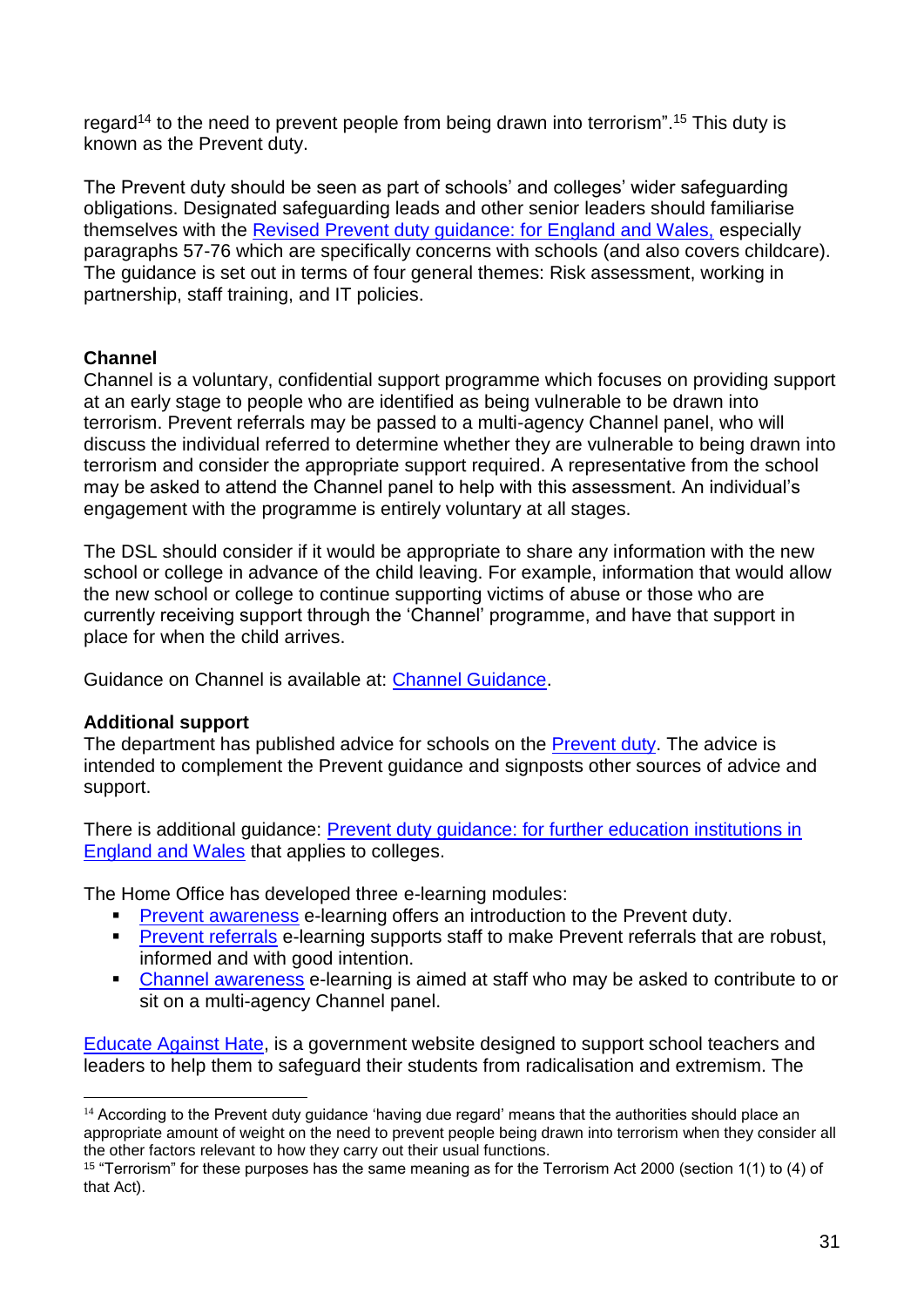regard<sup>14</sup> to the need to prevent people from being drawn into terrorism".<sup>15</sup> This duty is known as the Prevent duty.

The Prevent duty should be seen as part of schools' and colleges' wider safeguarding obligations. Designated safeguarding leads and other senior leaders should familiarise themselves with the [Revised Prevent duty guidance: for England and Wales,](https://www.gov.uk/government/publications/prevent-duty-guidance) especially paragraphs 57-76 which are specifically concerns with schools (and also covers childcare). The guidance is set out in terms of four general themes: Risk assessment, working in partnership, staff training, and IT policies.

### **Channel**

Channel is a voluntary, confidential support programme which focuses on providing support at an early stage to people who are identified as being vulnerable to be drawn into terrorism. Prevent referrals may be passed to a multi-agency Channel panel, who will discuss the individual referred to determine whether they are vulnerable to being drawn into terrorism and consider the appropriate support required. A representative from the school may be asked to attend the Channel panel to help with this assessment. An individual's engagement with the programme is entirely voluntary at all stages.

The DSL should consider if it would be appropriate to share any information with the new school or college in advance of the child leaving. For example, information that would allow the new school or college to continue supporting victims of abuse or those who are currently receiving support through the 'Channel' programme, and have that support in place for when the child arrives.

Guidance on Channel is available at: [Channel Guidance.](https://www.gov.uk/government/publications/channel-guidance)

### **Additional support**

1

The department has published advice for schools on the [Prevent duty.](https://www.gov.uk/government/publications/protecting-children-from-radicalisation-the-prevent-duty) The advice is intended to complement the Prevent guidance and signposts other sources of advice and support.

There is additional guidance: [Prevent duty guidance: for further education institutions in](https://www.gov.uk/government/publications/prevent-duty-guidance)  [England and Wales](https://www.gov.uk/government/publications/prevent-duty-guidance) that applies to colleges.

The Home Office has developed three e-learning modules:

- **[Prevent awareness](https://www.elearning.prevent.homeoffice.gov.uk/la2/screen1.html) e-learning offers an introduction to the Prevent duty.**
- **[Prevent referrals](https://www.elearning.prevent.homeoffice.gov.uk/prevent_referrals/01-welcome.html) e-learning supports staff to make Prevent referrals that are robust,** informed and with good intention.
- [Channel awareness](https://www.elearning.prevent.homeoffice.gov.uk/channel_awareness/01-welcome.html) e-learning is aimed at staff who may be asked to contribute to or sit on a multi-agency Channel panel.

[Educate Against Hate,](https://educateagainsthate.com/) is a government website designed to support school teachers and leaders to help them to safeguard their students from radicalisation and extremism. The

 $14$  According to the Prevent duty guidance 'having due regard' means that the authorities should place an appropriate amount of weight on the need to prevent people being drawn into terrorism when they consider all the other factors relevant to how they carry out their usual functions.

<sup>15</sup> "Terrorism" for these purposes has the same meaning as for the Terrorism Act 2000 (section 1(1) to (4) of that Act).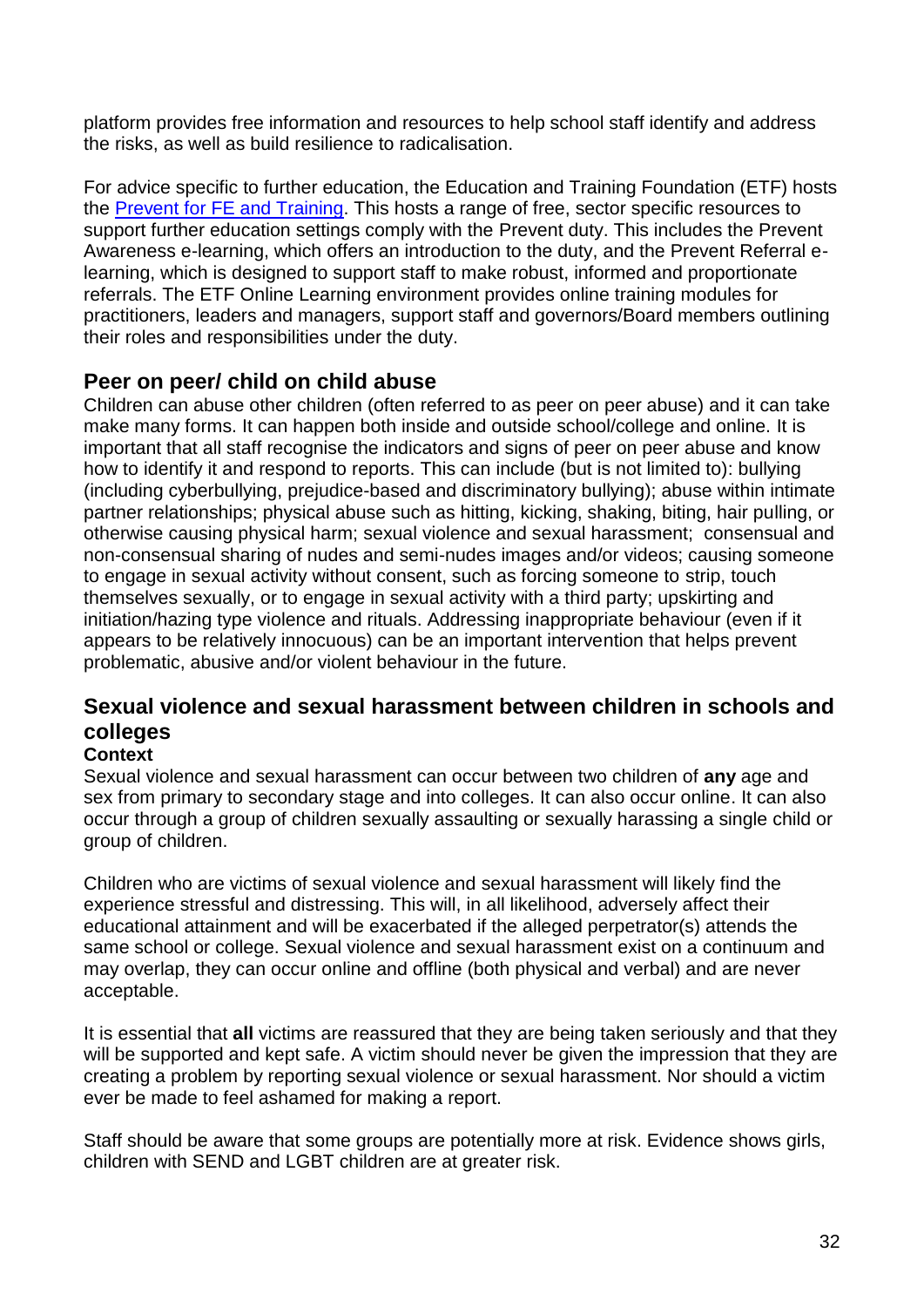platform provides free information and resources to help school staff identify and address the risks, as well as build resilience to radicalisation.

For advice specific to further education, the Education and Training Foundation (ETF) hosts the [Prevent for FE and Training.](https://preventforfeandtraining.org.uk/) This hosts a range of free, sector specific resources to support further education settings comply with the Prevent duty. This includes the Prevent Awareness e-learning, which offers an introduction to the duty, and the Prevent Referral elearning, which is designed to support staff to make robust, informed and proportionate referrals. The ETF Online Learning environment provides online training modules for practitioners, leaders and managers, support staff and governors/Board members outlining their roles and responsibilities under the duty.

## **Peer on peer/ child on child abuse**

Children can abuse other children (often referred to as peer on peer abuse) and it can take make many forms. It can happen both inside and outside school/college and online. It is important that all staff recognise the indicators and signs of peer on peer abuse and know how to identify it and respond to reports. This can include (but is not limited to): bullying (including cyberbullying, prejudice-based and discriminatory bullying); abuse within intimate partner relationships; physical abuse such as hitting, kicking, shaking, biting, hair pulling, or otherwise causing physical harm; sexual violence and sexual harassment; consensual and non-consensual sharing of nudes and semi-nudes images and/or videos; causing someone to engage in sexual activity without consent, such as forcing someone to strip, touch themselves sexually, or to engage in sexual activity with a third party; upskirting and initiation/hazing type violence and rituals. Addressing inappropriate behaviour (even if it appears to be relatively innocuous) can be an important intervention that helps prevent problematic, abusive and/or violent behaviour in the future.

## **Sexual violence and sexual harassment between children in schools and colleges**

#### **Context**

Sexual violence and sexual harassment can occur between two children of **any** age and sex from primary to secondary stage and into colleges. It can also occur online. It can also occur through a group of children sexually assaulting or sexually harassing a single child or group of children.

Children who are victims of sexual violence and sexual harassment will likely find the experience stressful and distressing. This will, in all likelihood, adversely affect their educational attainment and will be exacerbated if the alleged perpetrator(s) attends the same school or college. Sexual violence and sexual harassment exist on a continuum and may overlap, they can occur online and offline (both physical and verbal) and are never acceptable.

It is essential that **all** victims are reassured that they are being taken seriously and that they will be supported and kept safe. A victim should never be given the impression that they are creating a problem by reporting sexual violence or sexual harassment. Nor should a victim ever be made to feel ashamed for making a report.

Staff should be aware that some groups are potentially more at risk. Evidence shows girls, children with SEND and LGBT children are at greater risk.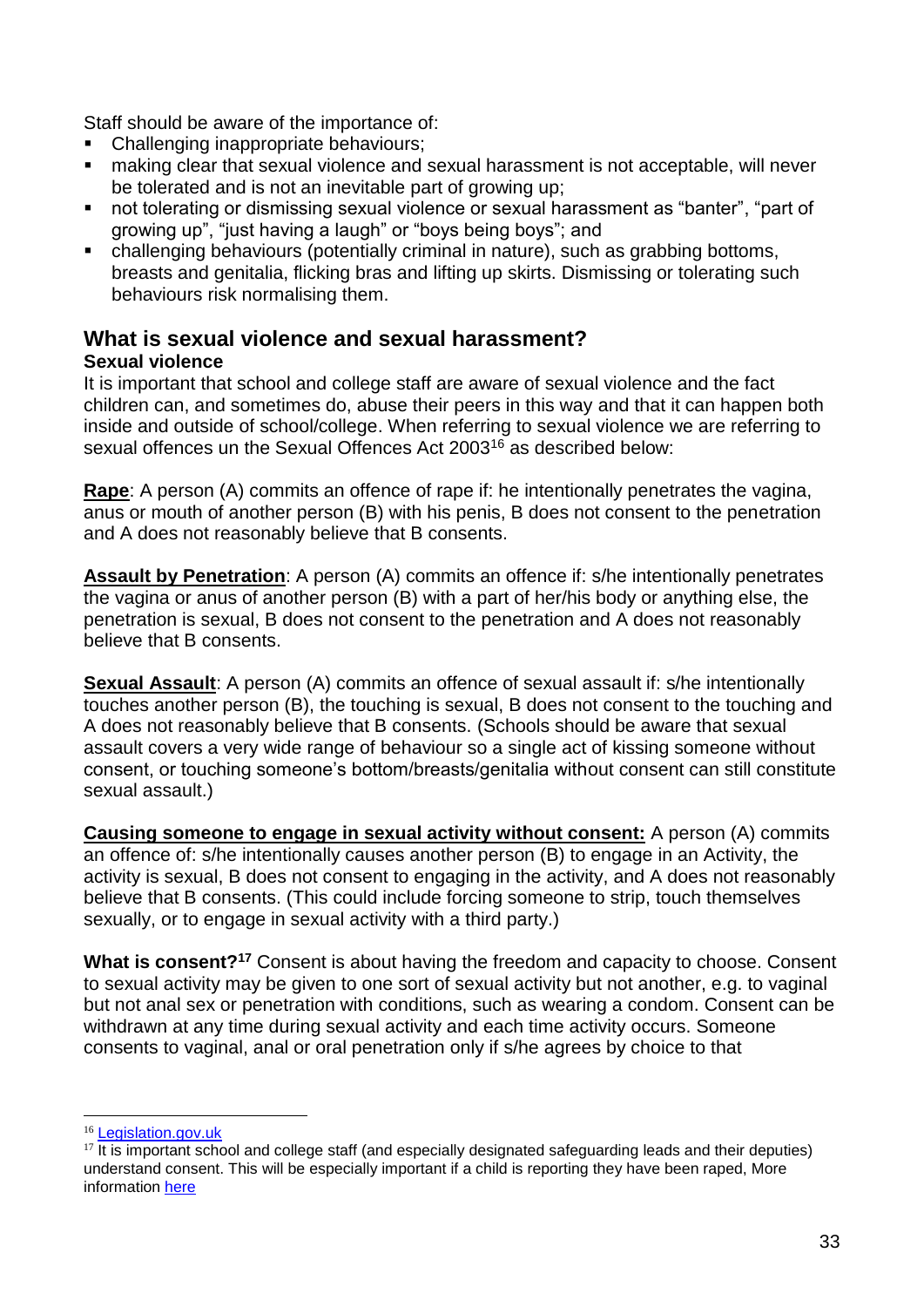Staff should be aware of the importance of:

- Challenging inappropriate behaviours;
- making clear that sexual violence and sexual harassment is not acceptable, will never be tolerated and is not an inevitable part of growing up;
- not tolerating or dismissing sexual violence or sexual harassment as "banter", "part of growing up", "just having a laugh" or "boys being boys"; and
- challenging behaviours (potentially criminal in nature), such as grabbing bottoms, breasts and genitalia, flicking bras and lifting up skirts. Dismissing or tolerating such behaviours risk normalising them.

## **What is sexual violence and sexual harassment?**

#### **Sexual violence**

It is important that school and college staff are aware of sexual violence and the fact children can, and sometimes do, abuse their peers in this way and that it can happen both inside and outside of school/college. When referring to sexual violence we are referring to sexual offences un the Sexual Offences Act 2003<sup>16</sup> as described below:

**Rape**: A person (A) commits an offence of rape if: he intentionally penetrates the vagina, anus or mouth of another person (B) with his penis, B does not consent to the penetration and A does not reasonably believe that B consents.

**Assault by Penetration**: A person (A) commits an offence if: s/he intentionally penetrates the vagina or anus of another person (B) with a part of her/his body or anything else, the penetration is sexual, B does not consent to the penetration and A does not reasonably believe that B consents.

**Sexual Assault**: A person (A) commits an offence of sexual assault if: s/he intentionally touches another person (B), the touching is sexual, B does not consent to the touching and A does not reasonably believe that B consents. (Schools should be aware that sexual assault covers a very wide range of behaviour so a single act of kissing someone without consent, or touching someone's bottom/breasts/genitalia without consent can still constitute sexual assault.)

**Causing someone to engage in sexual activity without consent:** A person (A) commits an offence of: s/he intentionally causes another person (B) to engage in an Activity, the activity is sexual, B does not consent to engaging in the activity, and A does not reasonably believe that B consents. (This could include forcing someone to strip, touch themselves sexually, or to engage in sexual activity with a third party.)

**What is consent?<sup>17</sup>** Consent is about having the freedom and capacity to choose. Consent to sexual activity may be given to one sort of sexual activity but not another, e.g. to vaginal but not anal sex or penetration with conditions, such as wearing a condom. Consent can be withdrawn at any time during sexual activity and each time activity occurs. Someone consents to vaginal, anal or oral penetration only if s/he agrees by choice to that

1

<sup>&</sup>lt;sup>16</sup> [Legislation.gov.uk](https://www.legislation.gov.uk/ukpga/2003/42/contents)

 $17$  It is important school and college staff (and especially designated safeguarding leads and their deputies) understand consent. This will be especially important if a child is reporting they have been raped, More information [here](https://www.disrespectnobody.co.uk/consent/what-is-consent/)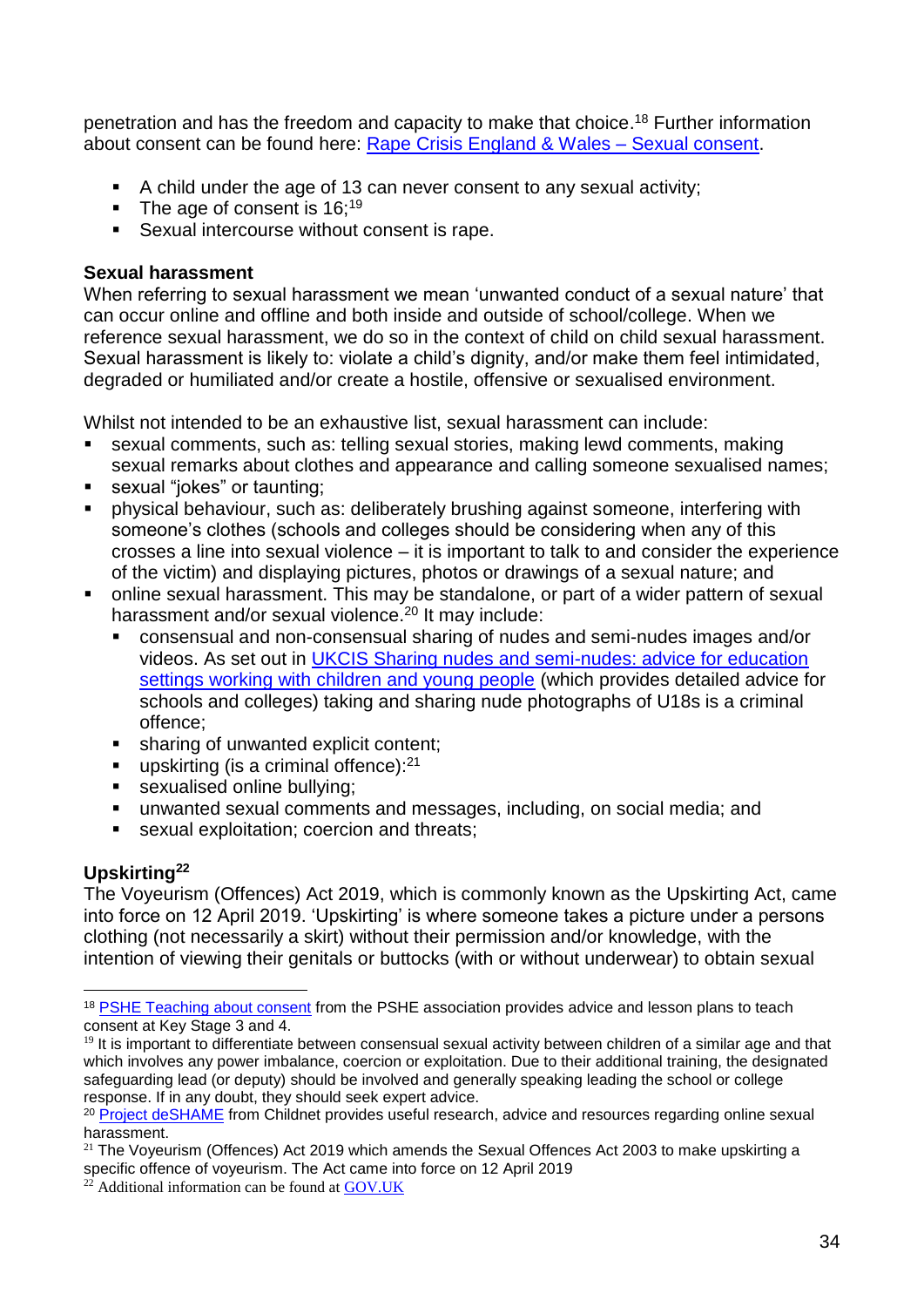penetration and has the freedom and capacity to make that choice. <sup>18</sup> Further information about consent can be found here: [Rape Crisis England & Wales –](https://rapecrisis.org.uk/) Sexual consent.

- A child under the age of 13 can never consent to any sexual activity;
- $\blacksquare$  The age of consent is 16:<sup>19</sup>
- Sexual intercourse without consent is rape.

#### **Sexual harassment**

When referring to sexual harassment we mean 'unwanted conduct of a sexual nature' that can occur online and offline and both inside and outside of school/college. When we reference sexual harassment, we do so in the context of child on child sexual harassment. Sexual harassment is likely to: violate a child's dignity, and/or make them feel intimidated, degraded or humiliated and/or create a hostile, offensive or sexualised environment.

Whilst not intended to be an exhaustive list, sexual harassment can include:

- sexual comments, such as: telling sexual stories, making lewd comments, making sexual remarks about clothes and appearance and calling someone sexualised names;
- sexual "jokes" or taunting;
- physical behaviour, such as: deliberately brushing against someone, interfering with someone's clothes (schools and colleges should be considering when any of this crosses a line into sexual violence – it is important to talk to and consider the experience of the victim) and displaying pictures, photos or drawings of a sexual nature; and
- online sexual harassment. This may be standalone, or part of a wider pattern of sexual harassment and/or sexual violence.<sup>20</sup> It may include:
	- consensual and non-consensual sharing of nudes and semi-nudes images and/or videos. As set out in [UKCIS Sharing nudes and semi-nudes: advice for education](https://www.gov.uk/government/publications/sharing-nudes-and-semi-nudes-advice-for-education-settings-working-with-children-and-young-people/sharing-nudes-and-semi-nudes-advice-for-education-settings-working-with-children-and-young-people)  [settings working with children and young people](https://www.gov.uk/government/publications/sharing-nudes-and-semi-nudes-advice-for-education-settings-working-with-children-and-young-people/sharing-nudes-and-semi-nudes-advice-for-education-settings-working-with-children-and-young-people) (which provides detailed advice for schools and colleges) taking and sharing nude photographs of U18s is a criminal offence;
	- **EXECUTE:** sharing of unwanted explicit content:
	- **•** upskirting (is a criminal offence): $21$
	- sexualised online bullying;
	- unwanted sexual comments and messages, including, on social media; and
	- sexual exploitation; coercion and threats;

### **Upskirting<sup>22</sup>**

The Voyeurism (Offences) Act 2019, which is commonly known as the Upskirting Act, came into force on 12 April 2019. 'Upskirting' is where someone takes a picture under a persons clothing (not necessarily a skirt) without their permission and/or knowledge, with the intention of viewing their genitals or buttocks (with or without underwear) to obtain sexual

<sup>1</sup> <sup>18</sup> [PSHE Teaching about consent](https://www.pshe-association.org.uk/curriculum-and-resources/resources/guidance-teaching-about-consent-pshe-education-key) from the PSHE association provides advice and lesson plans to teach consent at Key Stage 3 and 4.

<sup>&</sup>lt;sup>19</sup> It is important to differentiate between consensual sexual activity between children of a similar age and that which involves any power imbalance, coercion or exploitation. Due to their additional training, the designated safeguarding lead (or deputy) should be involved and generally speaking leading the school or college response. If in any doubt, they should seek expert advice.

<sup>&</sup>lt;sup>20</sup> [Project deSHAME](https://www.childnet.com/our-projects/project-deshame) from Childnet provides useful research, advice and resources regarding online sexual harassment.

 $21$  The Voyeurism (Offences) Act 2019 which amends the Sexual Offences Act 2003 to make upskirting a specific offence of voyeurism. The Act came into force on 12 April 2019

 $^{22}$  Additional information can be found at [GOV.UK](https://www.gov.uk/government/news/upskirting-law-comes-into-force)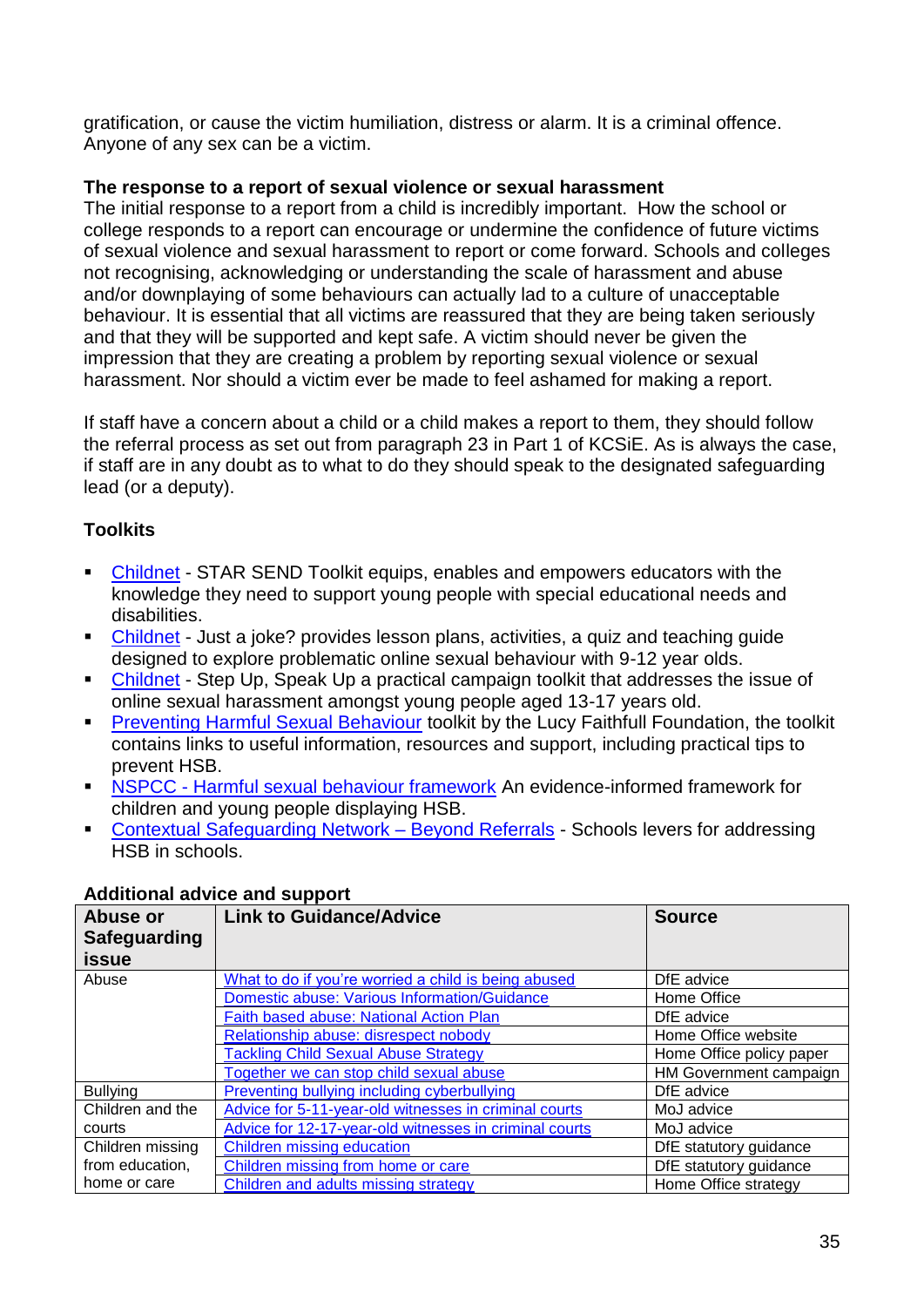gratification, or cause the victim humiliation, distress or alarm. It is a criminal offence. Anyone of any sex can be a victim.

#### **The response to a report of sexual violence or sexual harassment**

The initial response to a report from a child is incredibly important. How the school or college responds to a report can encourage or undermine the confidence of future victims of sexual violence and sexual harassment to report or come forward. Schools and colleges not recognising, acknowledging or understanding the scale of harassment and abuse and/or downplaying of some behaviours can actually lad to a culture of unacceptable behaviour. It is essential that all victims are reassured that they are being taken seriously and that they will be supported and kept safe. A victim should never be given the impression that they are creating a problem by reporting sexual violence or sexual harassment. Nor should a victim ever be made to feel ashamed for making a report.

If staff have a concern about a child or a child makes a report to them, they should follow the referral process as set out from paragraph 23 in Part 1 of KCSiE. As is always the case, if staff are in any doubt as to what to do they should speak to the designated safeguarding lead (or a deputy).

### **Toolkits**

- [Childnet](https://www.childnet.com/resources/star-send-toolkit) STAR SEND Toolkit equips, enables and empowers educators with the knowledge they need to support young people with special educational needs and disabilities.
- [Childnet](https://www.childnet.com/resources/just-a-joke) Just a joke? provides lesson plans, activities, a quiz and teaching quide designed to explore problematic online sexual behaviour with 9-12 year olds.
- [Childnet](https://www.childnet.com/resources/step-up-speak-up/) Step Up, Speak Up a practical campaign toolkit that addresses the issue of online sexual harassment amongst young people aged 13-17 years old.
- **[Preventing Harmful Sexual Behaviour](https://www.stopitnow.org.uk/concerned-about-a-child-or-young-persons-sexual-behaviour/preventing-harmful-sexual-behaviour/) toolkit by the Lucy Faithfull Foundation, the toolkit** contains links to useful information, resources and support, including practical tips to prevent HSB.
- **EXPCC [Harmful sexual behaviour framework](https://learning.nspcc.org.uk/research-resources/2019/harmful-sexual-behaviour-framework)** An evidence-informed framework for children and young people displaying HSB.
- [Contextual Safeguarding Network –](https://contextualsafeguarding.org.uk/portfolio-items/beyond-referrals-2-project-to-address-harmful-behaviour-in-schools/) Beyond Referrals Schools levers for addressing HSB in schools

| Abuse or<br><b>Safeguarding</b><br><b>issue</b> | <b>Link to Guidance/Advice</b>                         | <b>Source</b>            |
|-------------------------------------------------|--------------------------------------------------------|--------------------------|
| Abuse                                           | What to do if you're worried a child is being abused   | DfE advice               |
|                                                 | Domestic abuse: Various Information/Guidance           | Home Office              |
|                                                 | Faith based abuse: National Action Plan                | DfE advice               |
|                                                 | Relationship abuse: disrespect nobody                  | Home Office website      |
|                                                 | <b>Tackling Child Sexual Abuse Strategy</b>            | Home Office policy paper |
|                                                 | Together we can stop child sexual abuse                | HM Government campaign   |
| <b>Bullying</b>                                 | <b>Preventing bullying including cyberbullying</b>     | DfE advice               |
| Children and the                                | Advice for 5-11-year-old witnesses in criminal courts  | MoJ advice               |
| courts                                          | Advice for 12-17-year-old witnesses in criminal courts | MoJ advice               |
| Children missing                                | Children missing education                             | DfE statutory guidance   |
| from education,                                 | Children missing from home or care                     | DfE statutory guidance   |
| home or care                                    | Children and adults missing strategy                   | Home Office strategy     |

### **Additional advice and support**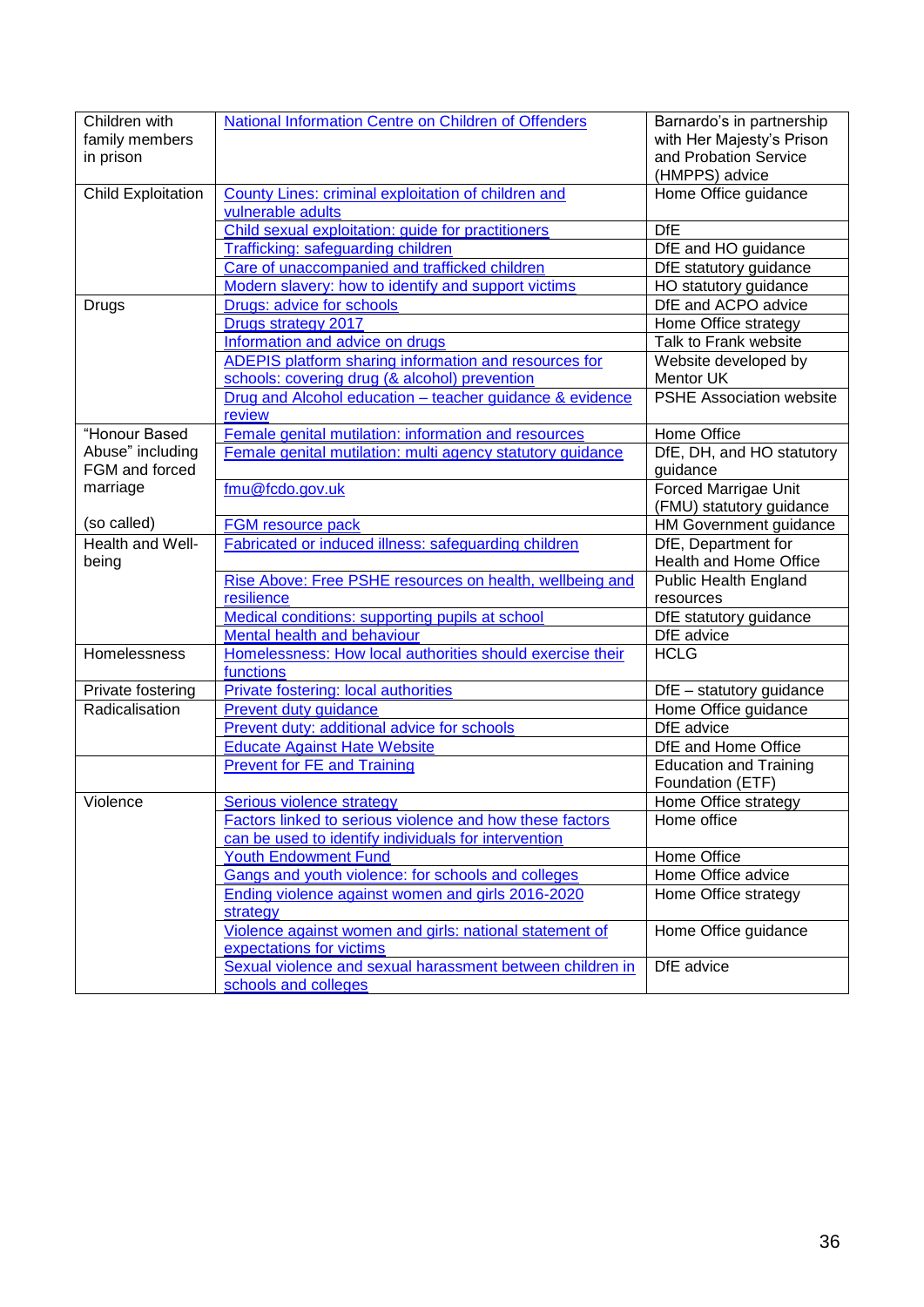| Children with             | National Information Centre on Children of Offenders         | Barnardo's in partnership       |
|---------------------------|--------------------------------------------------------------|---------------------------------|
| family members            |                                                              | with Her Majesty's Prison       |
| in prison                 |                                                              | and Probation Service           |
|                           |                                                              | (HMPPS) advice                  |
| <b>Child Exploitation</b> | County Lines: criminal exploitation of children and          | Home Office guidance            |
|                           | vulnerable adults                                            |                                 |
|                           | Child sexual exploitation: guide for practitioners           | <b>DfE</b>                      |
|                           | <b>Trafficking: safeguarding children</b>                    | DfE and HO guidance             |
|                           | Care of unaccompanied and trafficked children                | DfE statutory guidance          |
|                           | Modern slavery: how to identify and support victims          | HO statutory guidance           |
| Drugs                     | Drugs: advice for schools                                    | DfE and ACPO advice             |
|                           | Drugs strategy 2017                                          | Home Office strategy            |
|                           | Information and advice on drugs                              | Talk to Frank website           |
|                           | <b>ADEPIS platform sharing information and resources for</b> | Website developed by            |
|                           | schools: covering drug (& alcohol) prevention                | Mentor UK                       |
|                           | Drug and Alcohol education - teacher guidance & evidence     | <b>PSHE Association website</b> |
|                           | review                                                       |                                 |
| "Honour Based             | Female genital mutilation: information and resources         | Home Office                     |
| Abuse" including          | Female genital mutilation: multi agency statutory guidance   | DfE, DH, and HO statutory       |
| FGM and forced            |                                                              | guidance                        |
| marriage                  | fmu@fcdo.gov.uk                                              | <b>Forced Marrigae Unit</b>     |
|                           |                                                              | (FMU) statutory guidance        |
| (so called)               | FGM resource pack                                            | HM Government guidance          |
| Health and Well-          | Fabricated or induced illness: safeguarding children         | DfE, Department for             |
| being                     |                                                              | Health and Home Office          |
|                           | Rise Above: Free PSHE resources on health, wellbeing and     | Public Health England           |
|                           | resilience                                                   | resources                       |
|                           | Medical conditions: supporting pupils at school              | DfE statutory guidance          |
|                           | Mental health and behaviour                                  | DfE advice                      |
| Homelessness              | Homelessness: How local authorities should exercise their    | <b>HCLG</b>                     |
|                           | functions                                                    |                                 |
| Private fostering         | Private fostering: local authorities                         | DfE - statutory guidance        |
| Radicalisation            | <b>Prevent duty guidance</b>                                 | Home Office guidance            |
|                           | Prevent duty: additional advice for schools                  | DfE advice                      |
|                           | <b>Educate Against Hate Website</b>                          | DfE and Home Office             |
|                           | <b>Prevent for FE and Training</b>                           | <b>Education and Training</b>   |
|                           |                                                              | Foundation (ETF)                |
| Violence                  | Serious violence strategy                                    | Home Office strategy            |
|                           | Factors linked to serious violence and how these factors     | Home office                     |
|                           | can be used to identify individuals for intervention         |                                 |
|                           | <b>Youth Endowment Fund</b>                                  | Home Office                     |
|                           | Gangs and youth violence: for schools and colleges           | Home Office advice              |
|                           | Ending violence against women and girls 2016-2020            | Home Office strategy            |
|                           | strategy                                                     |                                 |
|                           | Violence against women and girls: national statement of      | Home Office guidance            |
|                           | expectations for victims                                     |                                 |
|                           | Sexual violence and sexual harassment between children in    | DfE advice                      |
|                           | schools and colleges                                         |                                 |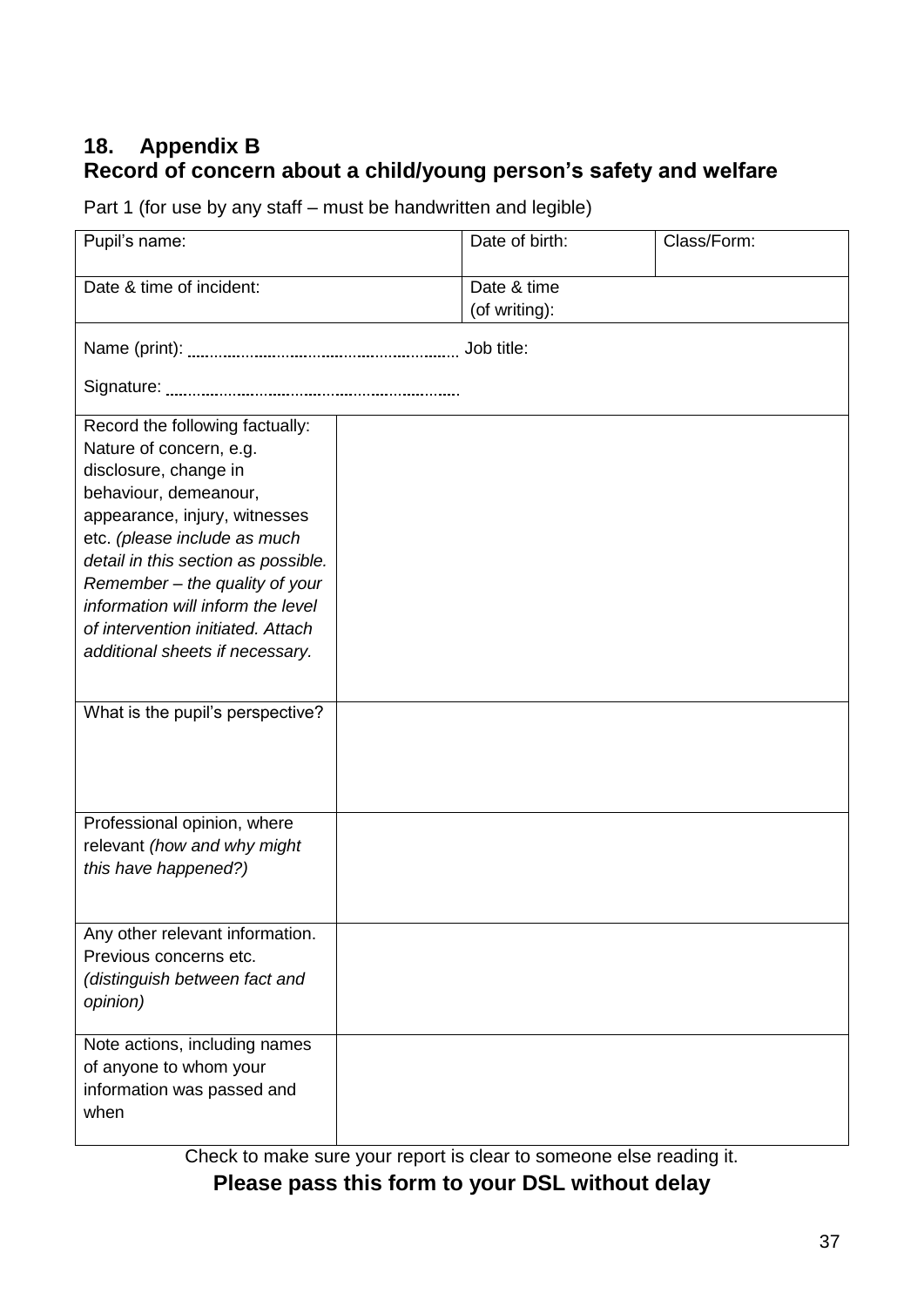## **18. Appendix B Record of concern about a child/young person's safety and welfare**

Part 1 (for use by any staff – must be handwritten and legible)

| Pupil's name:                                                                                                                                                                                                                                                                                                                                                       |  | Date of birth:               | Class/Form: |  |
|---------------------------------------------------------------------------------------------------------------------------------------------------------------------------------------------------------------------------------------------------------------------------------------------------------------------------------------------------------------------|--|------------------------------|-------------|--|
| Date & time of incident:                                                                                                                                                                                                                                                                                                                                            |  | Date & time<br>(of writing): |             |  |
|                                                                                                                                                                                                                                                                                                                                                                     |  |                              |             |  |
|                                                                                                                                                                                                                                                                                                                                                                     |  |                              |             |  |
| Record the following factually:<br>Nature of concern, e.g.<br>disclosure, change in<br>behaviour, demeanour,<br>appearance, injury, witnesses<br>etc. (please include as much<br>detail in this section as possible.<br>Remember - the quality of your<br>information will inform the level<br>of intervention initiated. Attach<br>additional sheets if necessary. |  |                              |             |  |
| What is the pupil's perspective?                                                                                                                                                                                                                                                                                                                                    |  |                              |             |  |
| Professional opinion, where<br>relevant (how and why might<br>this have happened?)                                                                                                                                                                                                                                                                                  |  |                              |             |  |
| Any other relevant information.<br>Previous concerns etc.<br>(distinguish between fact and<br>opinion)                                                                                                                                                                                                                                                              |  |                              |             |  |
| Note actions, including names<br>of anyone to whom your<br>information was passed and<br>when                                                                                                                                                                                                                                                                       |  |                              |             |  |

Check to make sure your report is clear to someone else reading it.

**Please pass this form to your DSL without delay**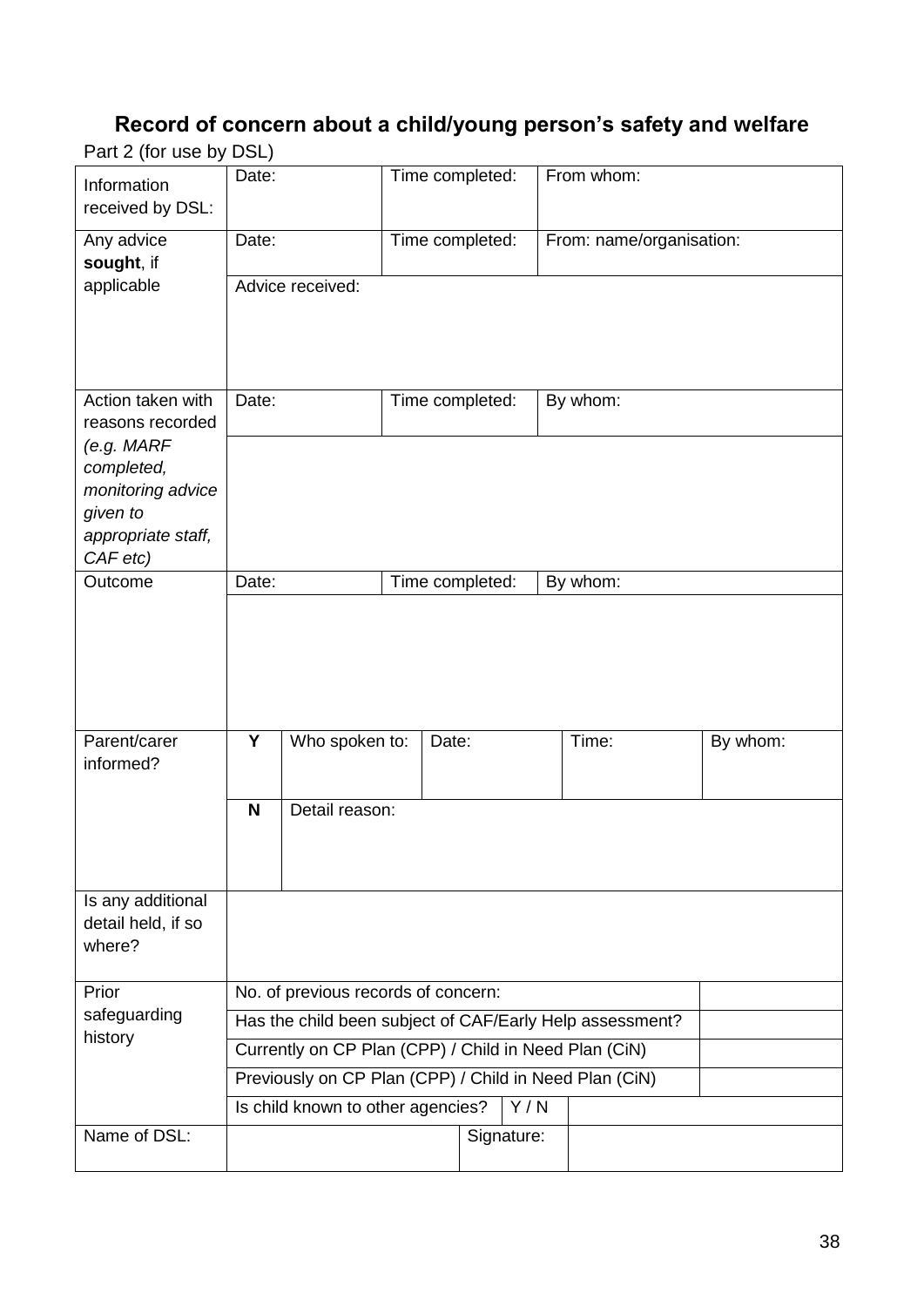# **Record of concern about a child/young person's safety and welfare**

Part 2 (for use by DSL)

| Information<br>received by DSL:                                                             | Date:                                                    |                  |  | Time completed: | From whom:               |          |
|---------------------------------------------------------------------------------------------|----------------------------------------------------------|------------------|--|-----------------|--------------------------|----------|
| Any advice<br>sought, if                                                                    | Date:                                                    |                  |  | Time completed: | From: name/organisation: |          |
| applicable                                                                                  |                                                          | Advice received: |  |                 |                          |          |
| Action taken with<br>reasons recorded                                                       | Date:                                                    |                  |  | Time completed: | By whom:                 |          |
| (e.g. MARF<br>completed,<br>monitoring advice<br>given to<br>appropriate staff,<br>CAF etc) |                                                          |                  |  |                 |                          |          |
| Outcome                                                                                     | Date:                                                    |                  |  | Time completed: | By whom:                 |          |
|                                                                                             |                                                          |                  |  |                 |                          |          |
| Parent/carer<br>informed?                                                                   | Y                                                        | Who spoken to:   |  | Date:           | Time:                    | By whom: |
|                                                                                             | $\mathbf N$                                              | Detail reason:   |  |                 |                          |          |
| Is any additional<br>detail held, if so<br>where?                                           |                                                          |                  |  |                 |                          |          |
| Prior                                                                                       | No. of previous records of concern:                      |                  |  |                 |                          |          |
| safeguarding<br>history                                                                     | Has the child been subject of CAF/Early Help assessment? |                  |  |                 |                          |          |
|                                                                                             | Currently on CP Plan (CPP) / Child in Need Plan (CiN)    |                  |  |                 |                          |          |
|                                                                                             | Previously on CP Plan (CPP) / Child in Need Plan (CiN)   |                  |  |                 |                          |          |
| Name of DSL:                                                                                | Is child known to other agencies?<br>Y/N<br>Signature:   |                  |  |                 |                          |          |
|                                                                                             |                                                          |                  |  |                 |                          |          |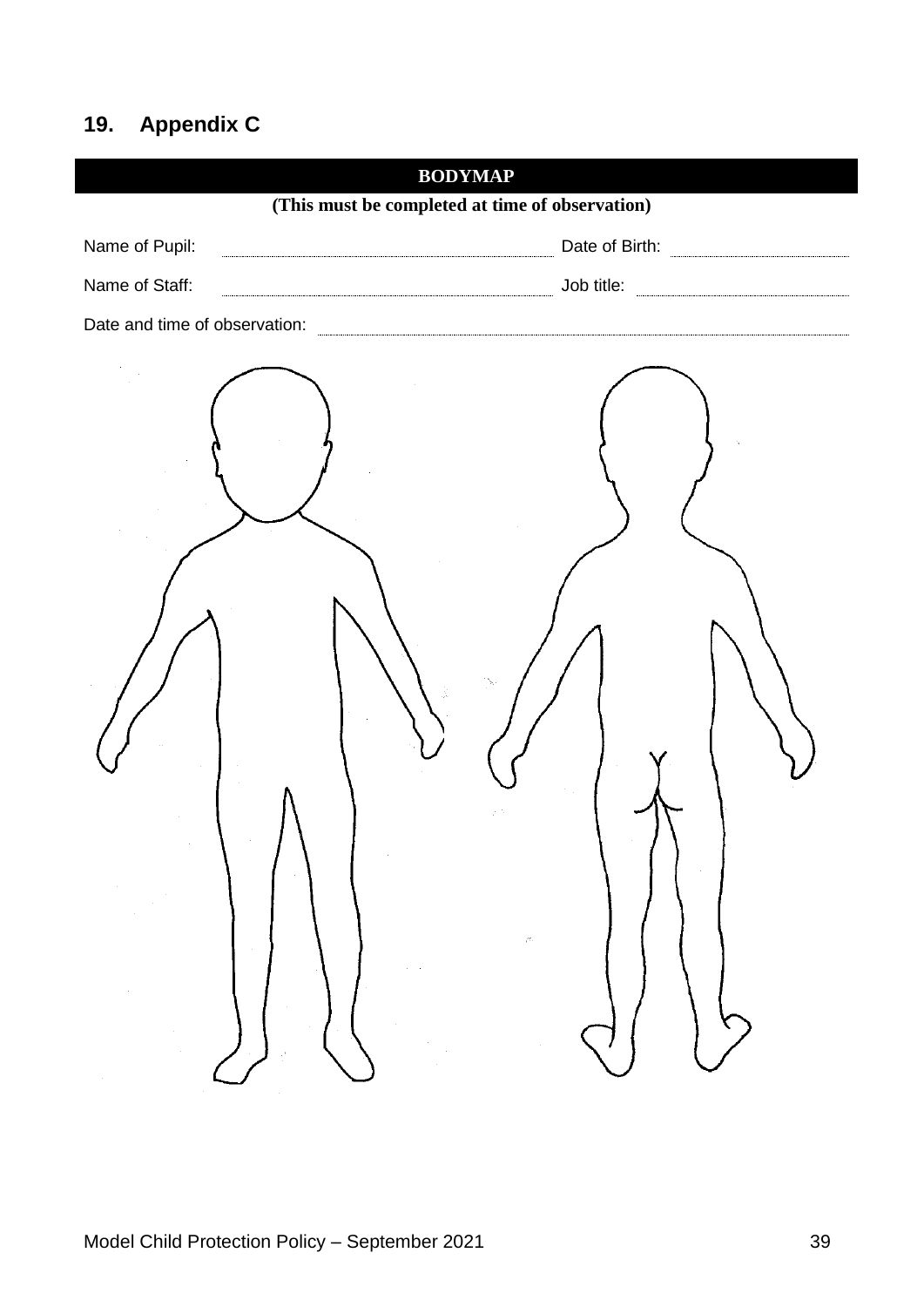# **19. Appendix C**

| <b>BODYMAP</b>                                  |  |  |  |
|-------------------------------------------------|--|--|--|
| (This must be completed at time of observation) |  |  |  |
| Name of Pupil:                                  |  |  |  |
| Name of Staff:                                  |  |  |  |
|                                                 |  |  |  |
|                                                 |  |  |  |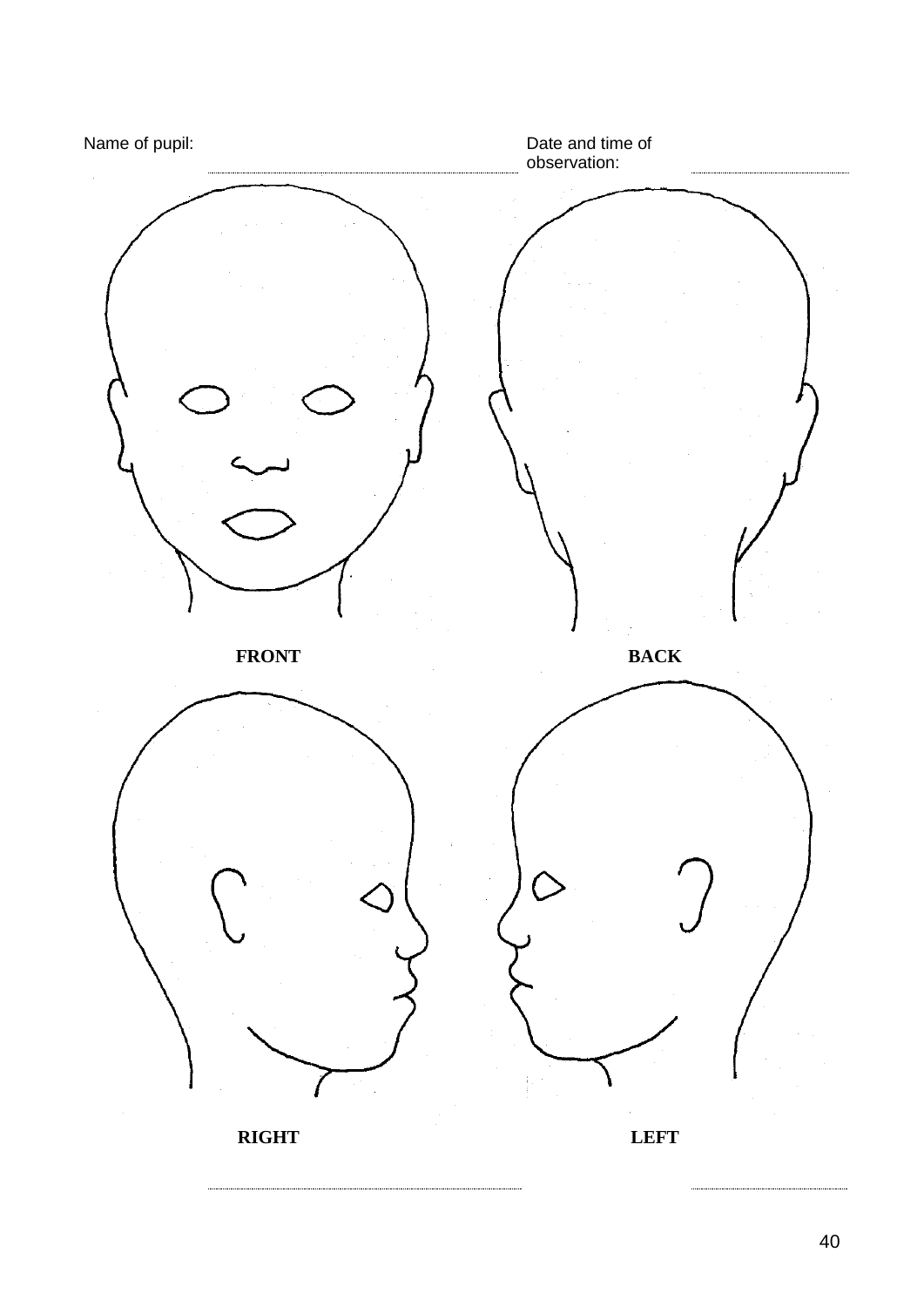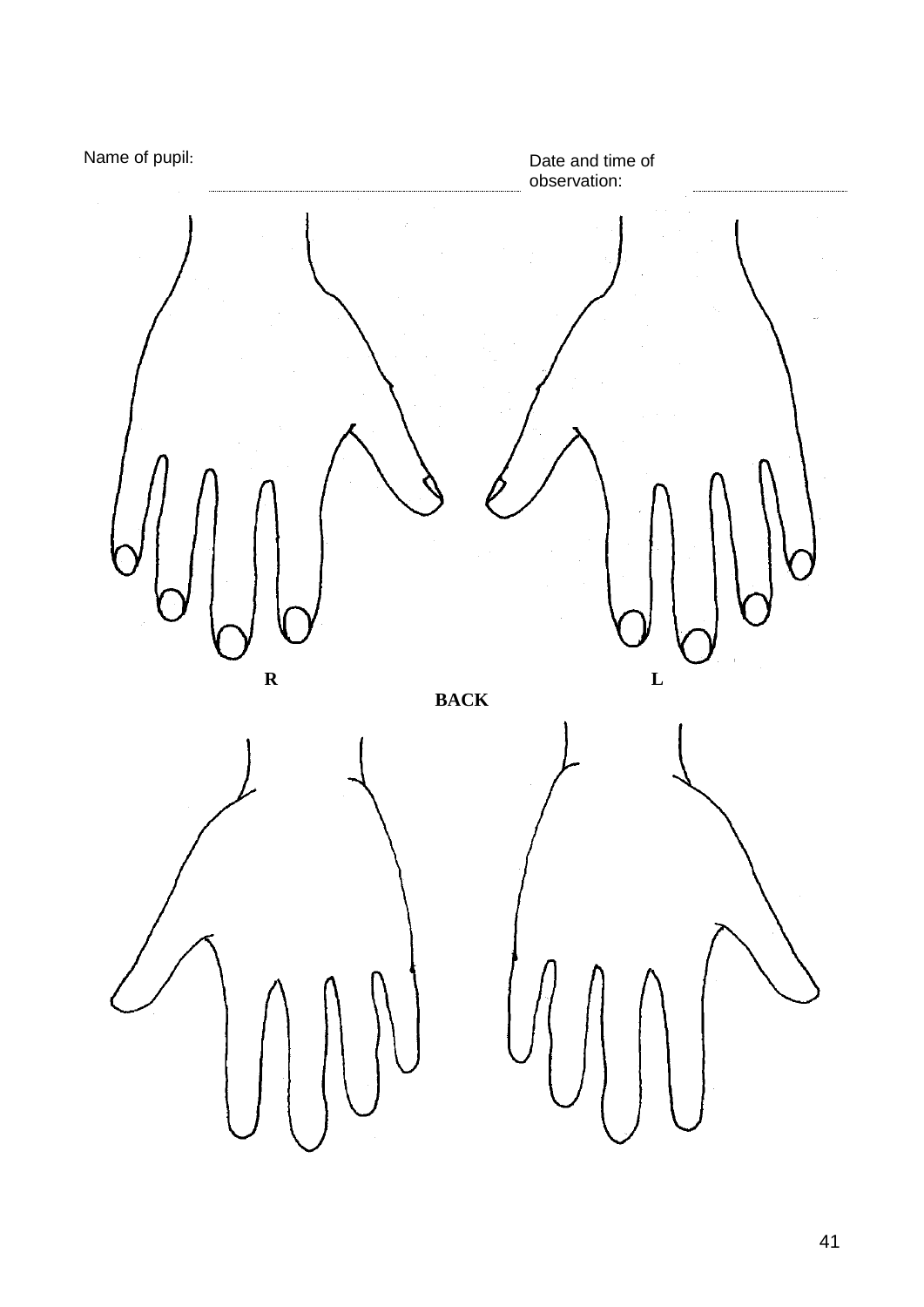